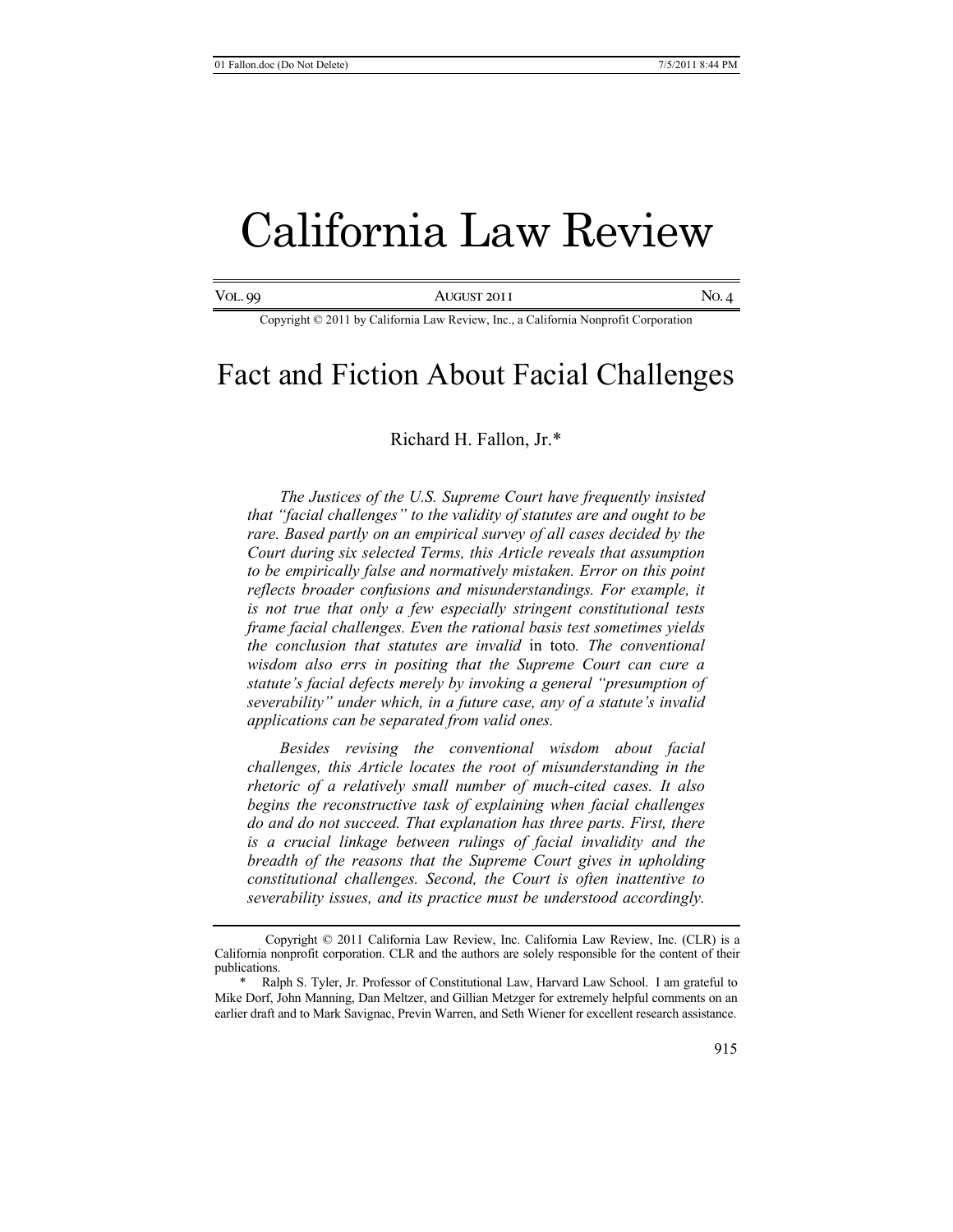# California Law Review

Vol. 99 August 2011 No. 4

Copyright © 2011 by California Law Review, Inc., a California Nonprofit Corporation

# Fact and Fiction About Facial Challenges

# Richard H. Fallon, Jr.\*

*The Justices of the U.S. Supreme Court have frequently insisted that "facial challenges" to the validity of statutes are and ought to be rare. Based partly on an empirical survey of all cases decided by the Court during six selected Terms, this Article reveals that assumption to be empirically false and normatively mistaken. Error on this point reflects broader confusions and misunderstandings. For example, it is not true that only a few especially stringent constitutional tests frame facial challenges. Even the rational basis test sometimes yields the conclusion that statutes are invalid* in toto*. The conventional wisdom also errs in positing that the Supreme Court can cure a statute's facial defects merely by invoking a general "presumption of severability" under which, in a future case, any of a statute's invalid applications can be separated from valid ones.* 

*Besides revising the conventional wisdom about facial challenges, this Article locates the root of misunderstanding in the rhetoric of a relatively small number of much-cited cases. It also begins the reconstructive task of explaining when facial challenges do and do not succeed. That explanation has three parts. First, there is a crucial linkage between rulings of facial invalidity and the breadth of the reasons that the Supreme Court gives in upholding constitutional challenges. Second, the Court is often inattentive to severability issues, and its practice must be understood accordingly.*

Copyright © 2011 California Law Review, Inc. California Law Review, Inc. (CLR) is a California nonprofit corporation. CLR and the authors are solely responsible for the content of their publications.

<sup>\*</sup> Ralph S. Tyler, Jr. Professor of Constitutional Law, Harvard Law School. I am grateful to Mike Dorf, John Manning, Dan Meltzer, and Gillian Metzger for extremely helpful comments on an earlier draft and to Mark Savignac, Previn Warren, and Seth Wiener for excellent research assistance.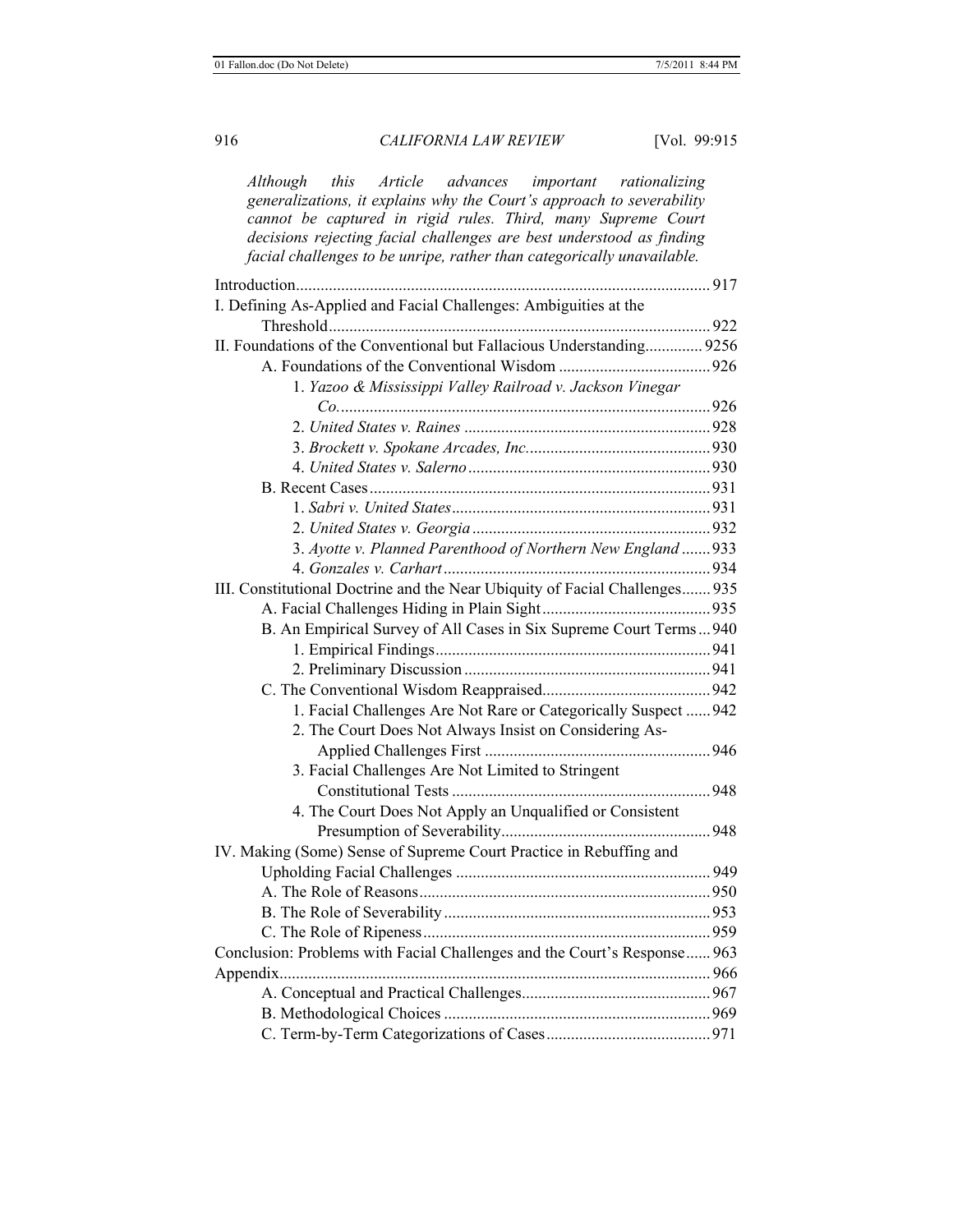*Although this Article advances important rationalizing generalizations, it explains why the Court's approach to severability cannot be captured in rigid rules. Third, many Supreme Court decisions rejecting facial challenges are best understood as finding facial challenges to be unripe, rather than categorically unavailable.*

| I. Defining As-Applied and Facial Challenges: Ambiguities at the            |  |
|-----------------------------------------------------------------------------|--|
|                                                                             |  |
| II. Foundations of the Conventional but Fallacious Understanding 9256       |  |
|                                                                             |  |
| 1. Yazoo & Mississippi Valley Railroad v. Jackson Vinegar                   |  |
|                                                                             |  |
|                                                                             |  |
|                                                                             |  |
|                                                                             |  |
|                                                                             |  |
|                                                                             |  |
|                                                                             |  |
| 3. Ayotte v. Planned Parenthood of Northern New England  933                |  |
|                                                                             |  |
| III. Constitutional Doctrine and the Near Ubiquity of Facial Challenges 935 |  |
|                                                                             |  |
| B. An Empirical Survey of All Cases in Six Supreme Court Terms940           |  |
|                                                                             |  |
|                                                                             |  |
|                                                                             |  |
| 1. Facial Challenges Are Not Rare or Categorically Suspect  942             |  |
| 2. The Court Does Not Always Insist on Considering As-                      |  |
|                                                                             |  |
| 3. Facial Challenges Are Not Limited to Stringent                           |  |
|                                                                             |  |
| 4. The Court Does Not Apply an Unqualified or Consistent                    |  |
|                                                                             |  |
| IV. Making (Some) Sense of Supreme Court Practice in Rebuffing and          |  |
|                                                                             |  |
|                                                                             |  |
|                                                                             |  |
|                                                                             |  |
| Conclusion: Problems with Facial Challenges and the Court's Response 963    |  |
|                                                                             |  |
|                                                                             |  |
|                                                                             |  |
|                                                                             |  |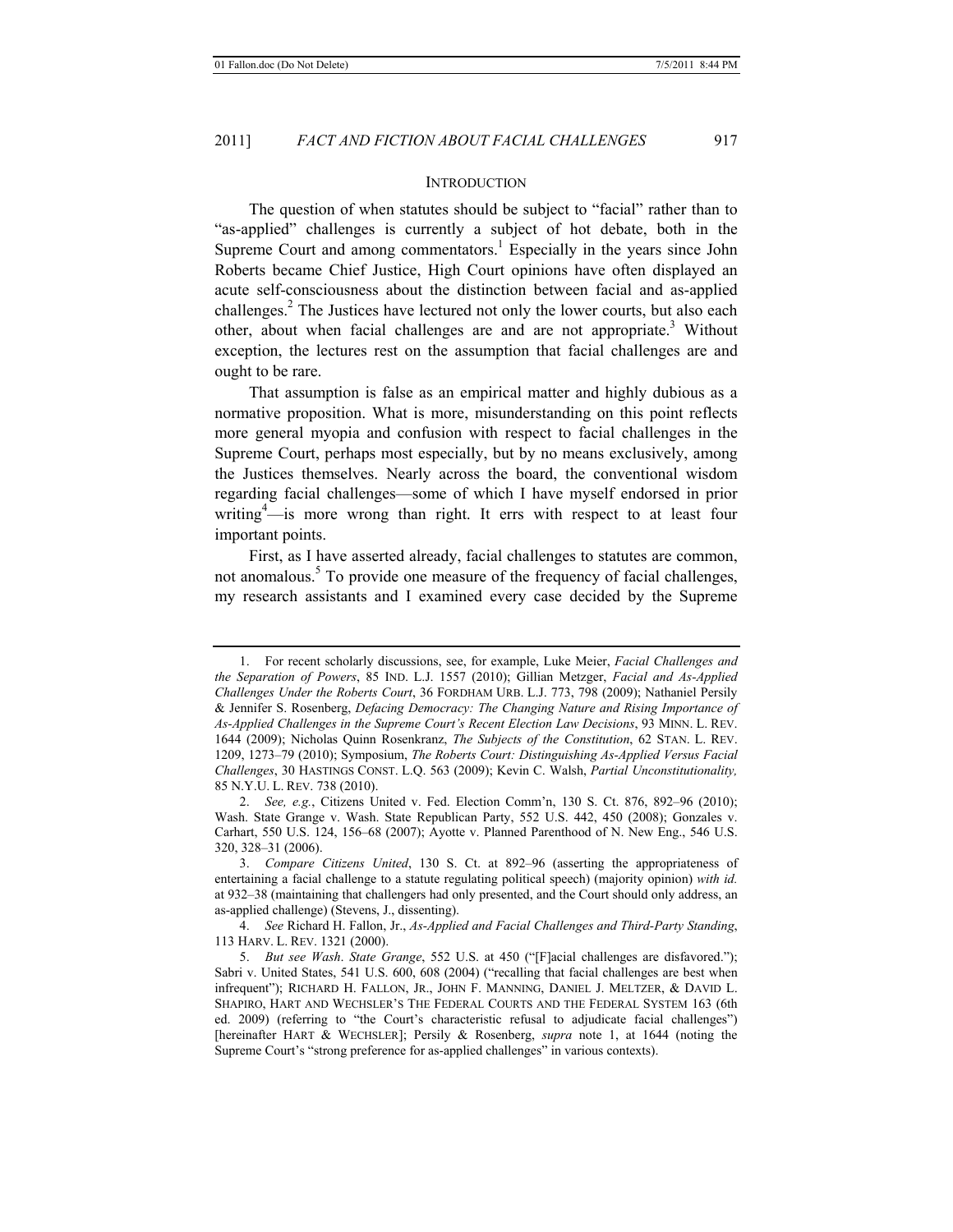#### **INTRODUCTION**

The question of when statutes should be subject to "facial" rather than to "as-applied" challenges is currently a subject of hot debate, both in the Supreme Court and among commentators.<sup>1</sup> Especially in the years since John Roberts became Chief Justice, High Court opinions have often displayed an acute self-consciousness about the distinction between facial and as-applied challenges.<sup>2</sup> The Justices have lectured not only the lower courts, but also each other, about when facial challenges are and are not appropriate.<sup>3</sup> Without exception, the lectures rest on the assumption that facial challenges are and ought to be rare.

That assumption is false as an empirical matter and highly dubious as a normative proposition. What is more, misunderstanding on this point reflects more general myopia and confusion with respect to facial challenges in the Supreme Court, perhaps most especially, but by no means exclusively, among the Justices themselves. Nearly across the board, the conventional wisdom regarding facial challenges—some of which I have myself endorsed in prior writing<sup>4</sup>—is more wrong than right. It errs with respect to at least four important points.

First, as I have asserted already, facial challenges to statutes are common, not anomalous.<sup>5</sup> To provide one measure of the frequency of facial challenges, my research assistants and I examined every case decided by the Supreme

<sup>1.</sup> For recent scholarly discussions, see, for example, Luke Meier, *Facial Challenges and the Separation of Powers*, 85 IND. L.J. 1557 (2010); Gillian Metzger, *Facial and As-Applied Challenges Under the Roberts Court*, 36 FORDHAM URB. L.J. 773, 798 (2009); Nathaniel Persily & Jennifer S. Rosenberg, *Defacing Democracy: The Changing Nature and Rising Importance of As-Applied Challenges in the Supreme Court's Recent Election Law Decisions*, 93 MINN. L. REV. 1644 (2009); Nicholas Quinn Rosenkranz, *The Subjects of the Constitution*, 62 STAN. L. REV. 1209, 1273–79 (2010); Symposium, *The Roberts Court: Distinguishing As-Applied Versus Facial Challenges*, 30 HASTINGS CONST. L.Q. 563 (2009); Kevin C. Walsh, *Partial Unconstitutionality,* 85 N.Y.U. L. REV. 738 (2010).

<sup>2.</sup> *See, e.g.*, Citizens United v. Fed. Election Comm'n, 130 S. Ct. 876, 892–96 (2010); Wash. State Grange v. Wash. State Republican Party, 552 U.S. 442, 450 (2008); Gonzales v. Carhart, 550 U.S. 124, 156–68 (2007); Ayotte v. Planned Parenthood of N. New Eng., 546 U.S. 320, 328–31 (2006).

<sup>3.</sup> *Compare Citizens United*, 130 S. Ct. at 892–96 (asserting the appropriateness of entertaining a facial challenge to a statute regulating political speech) (majority opinion) *with id.* at 932–38 (maintaining that challengers had only presented, and the Court should only address, an as-applied challenge) (Stevens, J., dissenting).

<sup>4.</sup> *See* Richard H. Fallon, Jr., *As-Applied and Facial Challenges and Third-Party Standing*, 113 HARV. L. REV. 1321 (2000).

<sup>5.</sup> *But see Wash*. *State Grange*, 552 U.S. at 450 ("[F]acial challenges are disfavored."); Sabri v. United States, 541 U.S. 600, 608 (2004) ("recalling that facial challenges are best when infrequent"); RICHARD H. FALLON, JR., JOHN F. MANNING, DANIEL J. MELTZER, & DAVID L. SHAPIRO, HART AND WECHSLER'S THE FEDERAL COURTS AND THE FEDERAL SYSTEM 163 (6th ed. 2009) (referring to "the Court's characteristic refusal to adjudicate facial challenges") [hereinafter HART & WECHSLER]; Persily & Rosenberg, *supra* note 1, at 1644 (noting the Supreme Court's "strong preference for as-applied challenges" in various contexts).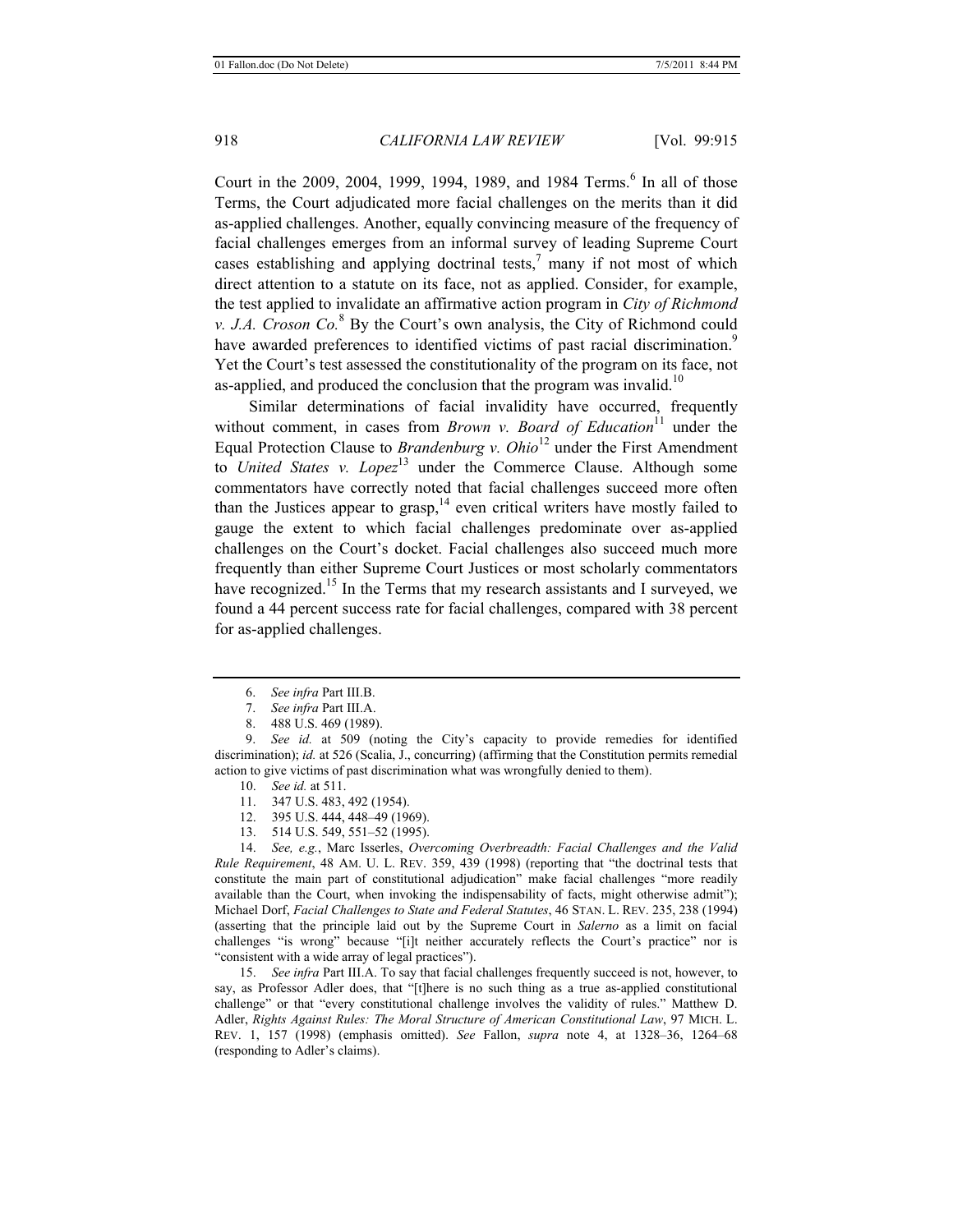Court in the 2009, 2004, 1999, 1994, 1989, and 1984 Terms.<sup>6</sup> In all of those Terms, the Court adjudicated more facial challenges on the merits than it did as-applied challenges. Another, equally convincing measure of the frequency of facial challenges emerges from an informal survey of leading Supreme Court cases establishing and applying doctrinal tests, $\frac{7}{1}$  many if not most of which direct attention to a statute on its face, not as applied. Consider, for example, the test applied to invalidate an affirmative action program in *City of Richmond v. J.A. Croson Co.*<sup>8</sup> By the Court's own analysis, the City of Richmond could have awarded preferences to identified victims of past racial discrimination.<sup>9</sup> Yet the Court's test assessed the constitutionality of the program on its face, not as-applied, and produced the conclusion that the program was invalid.<sup>10</sup>

Similar determinations of facial invalidity have occurred, frequently without comment, in cases from *Brown v. Board of Education*<sup>11</sup> under the Equal Protection Clause to *Brandenburg v. Ohio*12 under the First Amendment to *United States v. Lopez*<sup>13</sup> under the Commerce Clause. Although some commentators have correctly noted that facial challenges succeed more often than the Justices appear to grasp, $14$  even critical writers have mostly failed to gauge the extent to which facial challenges predominate over as-applied challenges on the Court's docket. Facial challenges also succeed much more frequently than either Supreme Court Justices or most scholarly commentators have recognized.<sup>15</sup> In the Terms that my research assistants and I surveyed, we found a 44 percent success rate for facial challenges, compared with 38 percent for as-applied challenges.

- 7. *See infra* Part III.A.
- 8. 488 U.S. 469 (1989).

9. *See id.* at 509 (noting the City's capacity to provide remedies for identified discrimination); *id.* at 526 (Scalia, J., concurring) (affirming that the Constitution permits remedial action to give victims of past discrimination what was wrongfully denied to them).

- 10. *See id.* at 511.
- 11. 347 U.S. 483, 492 (1954).
- 12. 395 U.S. 444, 448–49 (1969).
- 13. 514 U.S. 549, 551–52 (1995).

14. *See, e.g.*, Marc Isserles, *Overcoming Overbreadth: Facial Challenges and the Valid Rule Requirement*, 48 AM. U. L. REV. 359, 439 (1998) (reporting that "the doctrinal tests that constitute the main part of constitutional adjudication" make facial challenges "more readily available than the Court, when invoking the indispensability of facts, might otherwise admit"); Michael Dorf, *Facial Challenges to State and Federal Statutes*, 46 STAN. L. REV. 235, 238 (1994) (asserting that the principle laid out by the Supreme Court in *Salerno* as a limit on facial challenges "is wrong" because "[i]t neither accurately reflects the Court's practice" nor is "consistent with a wide array of legal practices").

15. *See infra* Part III.A. To say that facial challenges frequently succeed is not, however, to say, as Professor Adler does, that "[t]here is no such thing as a true as-applied constitutional challenge" or that "every constitutional challenge involves the validity of rules." Matthew D. Adler, *Rights Against Rules: The Moral Structure of American Constitutional Law*, 97 MICH. L. REV. 1, 157 (1998) (emphasis omitted). *See* Fallon, *supra* note 4, at 1328–36, 1264–68 (responding to Adler's claims).

<sup>6.</sup> *See infra* Part III.B.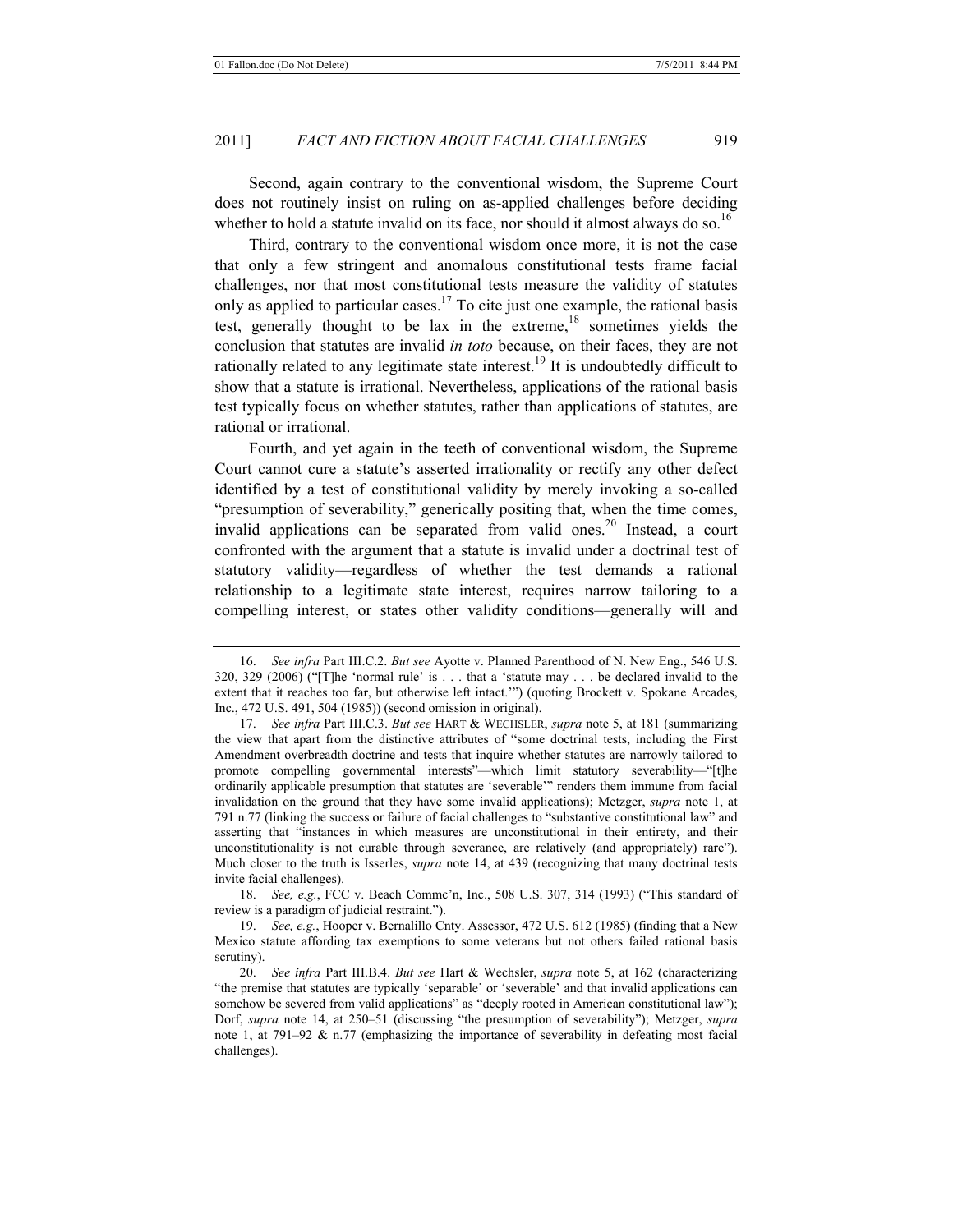Second, again contrary to the conventional wisdom, the Supreme Court does not routinely insist on ruling on as-applied challenges before deciding whether to hold a statute invalid on its face, nor should it almost always do so.<sup>16</sup>

Third, contrary to the conventional wisdom once more, it is not the case that only a few stringent and anomalous constitutional tests frame facial challenges, nor that most constitutional tests measure the validity of statutes only as applied to particular cases.<sup>17</sup> To cite just one example, the rational basis test, generally thought to be lax in the extreme, $18$  sometimes yields the conclusion that statutes are invalid *in toto* because, on their faces, they are not rationally related to any legitimate state interest.<sup>19</sup> It is undoubtedly difficult to show that a statute is irrational. Nevertheless, applications of the rational basis test typically focus on whether statutes, rather than applications of statutes, are rational or irrational.

Fourth, and yet again in the teeth of conventional wisdom, the Supreme Court cannot cure a statute's asserted irrationality or rectify any other defect identified by a test of constitutional validity by merely invoking a so-called "presumption of severability," generically positing that, when the time comes, invalid applications can be separated from valid ones.<sup>20</sup> Instead, a court confronted with the argument that a statute is invalid under a doctrinal test of statutory validity—regardless of whether the test demands a rational relationship to a legitimate state interest, requires narrow tailoring to a compelling interest, or states other validity conditions—generally will and

18. *See, e.g.*, FCC v. Beach Commc'n, Inc., 508 U.S. 307, 314 (1993) ("This standard of review is a paradigm of judicial restraint.").

<sup>16.</sup> *See infra* Part III.C.2. *But see* Ayotte v. Planned Parenthood of N. New Eng., 546 U.S. 320, 329 (2006) ("[T]he 'normal rule' is . . . that a 'statute may . . . be declared invalid to the extent that it reaches too far, but otherwise left intact.'") (quoting Brockett v. Spokane Arcades, Inc., 472 U.S. 491, 504 (1985)) (second omission in original).

<sup>17.</sup> *See infra* Part III.C.3. *But see* HART & WECHSLER, *supra* note 5, at 181 (summarizing the view that apart from the distinctive attributes of "some doctrinal tests, including the First Amendment overbreadth doctrine and tests that inquire whether statutes are narrowly tailored to promote compelling governmental interests"—which limit statutory severability—"[t]he ordinarily applicable presumption that statutes are 'severable'" renders them immune from facial invalidation on the ground that they have some invalid applications); Metzger, *supra* note 1, at 791 n.77 (linking the success or failure of facial challenges to "substantive constitutional law" and asserting that "instances in which measures are unconstitutional in their entirety, and their unconstitutionality is not curable through severance, are relatively (and appropriately) rare"). Much closer to the truth is Isserles, *supra* note 14, at 439 (recognizing that many doctrinal tests invite facial challenges).

<sup>19.</sup> *See, e.g.*, Hooper v. Bernalillo Cnty. Assessor, 472 U.S. 612 (1985) (finding that a New Mexico statute affording tax exemptions to some veterans but not others failed rational basis scrutiny).

<sup>20.</sup> *See infra* Part III.B.4. *But see* Hart & Wechsler, *supra* note 5, at 162 (characterizing "the premise that statutes are typically 'separable' or 'severable' and that invalid applications can somehow be severed from valid applications" as "deeply rooted in American constitutional law"); Dorf, *supra* note 14, at 250–51 (discussing "the presumption of severability"); Metzger, *supra* note 1, at  $791-92 \& n.77$  (emphasizing the importance of severability in defeating most facial challenges).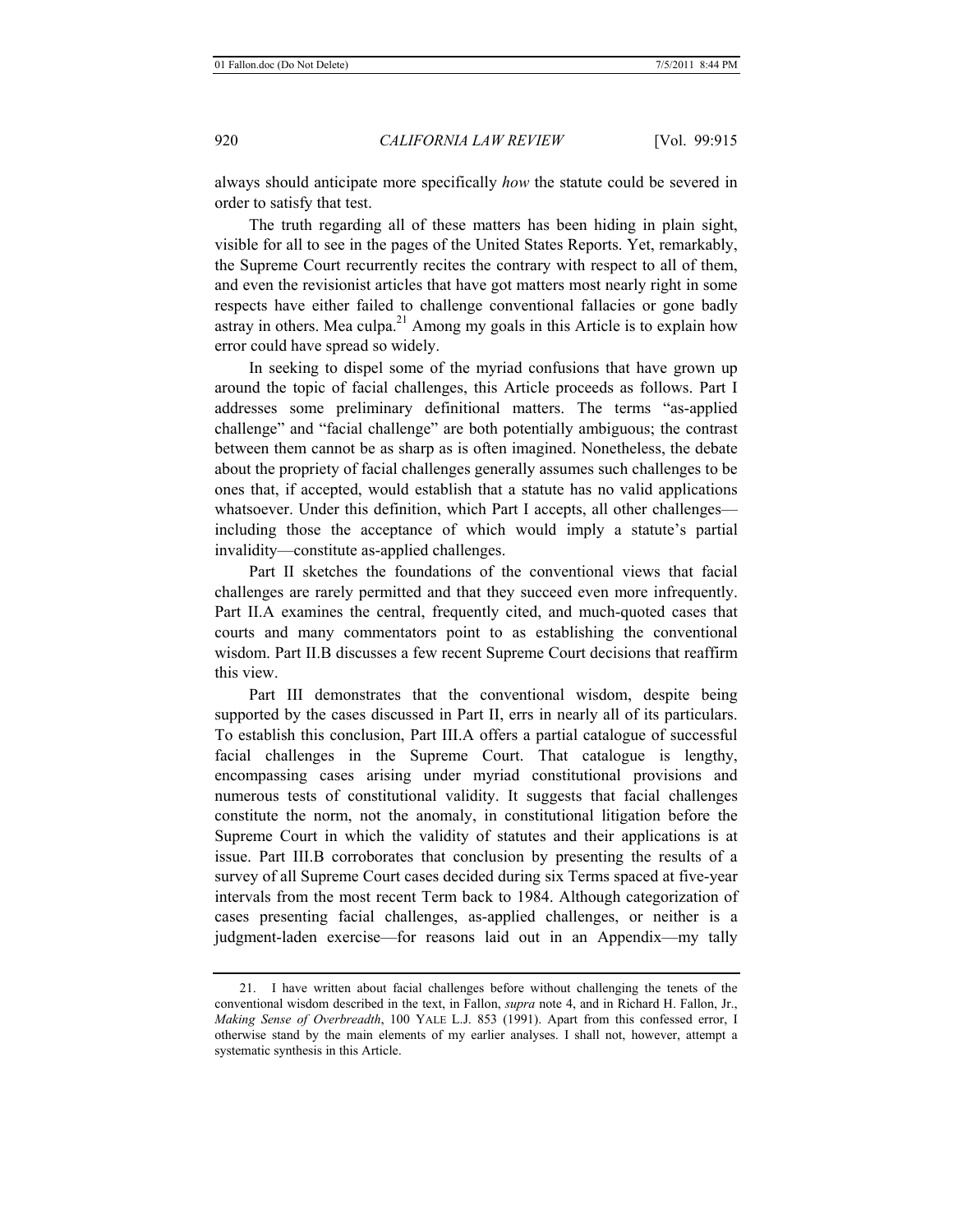always should anticipate more specifically *how* the statute could be severed in order to satisfy that test.

The truth regarding all of these matters has been hiding in plain sight, visible for all to see in the pages of the United States Reports. Yet, remarkably, the Supreme Court recurrently recites the contrary with respect to all of them, and even the revisionist articles that have got matters most nearly right in some respects have either failed to challenge conventional fallacies or gone badly astray in others. Mea culpa.<sup>21</sup> Among my goals in this Article is to explain how error could have spread so widely.

In seeking to dispel some of the myriad confusions that have grown up around the topic of facial challenges, this Article proceeds as follows. Part I addresses some preliminary definitional matters. The terms "as-applied challenge" and "facial challenge" are both potentially ambiguous; the contrast between them cannot be as sharp as is often imagined. Nonetheless, the debate about the propriety of facial challenges generally assumes such challenges to be ones that, if accepted, would establish that a statute has no valid applications whatsoever. Under this definition, which Part I accepts, all other challenges including those the acceptance of which would imply a statute's partial invalidity—constitute as-applied challenges.

Part II sketches the foundations of the conventional views that facial challenges are rarely permitted and that they succeed even more infrequently. Part II.A examines the central, frequently cited, and much-quoted cases that courts and many commentators point to as establishing the conventional wisdom. Part II.B discusses a few recent Supreme Court decisions that reaffirm this view.

Part III demonstrates that the conventional wisdom, despite being supported by the cases discussed in Part II, errs in nearly all of its particulars. To establish this conclusion, Part III.A offers a partial catalogue of successful facial challenges in the Supreme Court. That catalogue is lengthy, encompassing cases arising under myriad constitutional provisions and numerous tests of constitutional validity. It suggests that facial challenges constitute the norm, not the anomaly, in constitutional litigation before the Supreme Court in which the validity of statutes and their applications is at issue. Part III.B corroborates that conclusion by presenting the results of a survey of all Supreme Court cases decided during six Terms spaced at five-year intervals from the most recent Term back to 1984. Although categorization of cases presenting facial challenges, as-applied challenges, or neither is a judgment-laden exercise—for reasons laid out in an Appendix—my tally

<sup>21.</sup> I have written about facial challenges before without challenging the tenets of the conventional wisdom described in the text, in Fallon, *supra* note 4, and in Richard H. Fallon, Jr., *Making Sense of Overbreadth*, 100 YALE L.J. 853 (1991). Apart from this confessed error, I otherwise stand by the main elements of my earlier analyses. I shall not, however, attempt a systematic synthesis in this Article.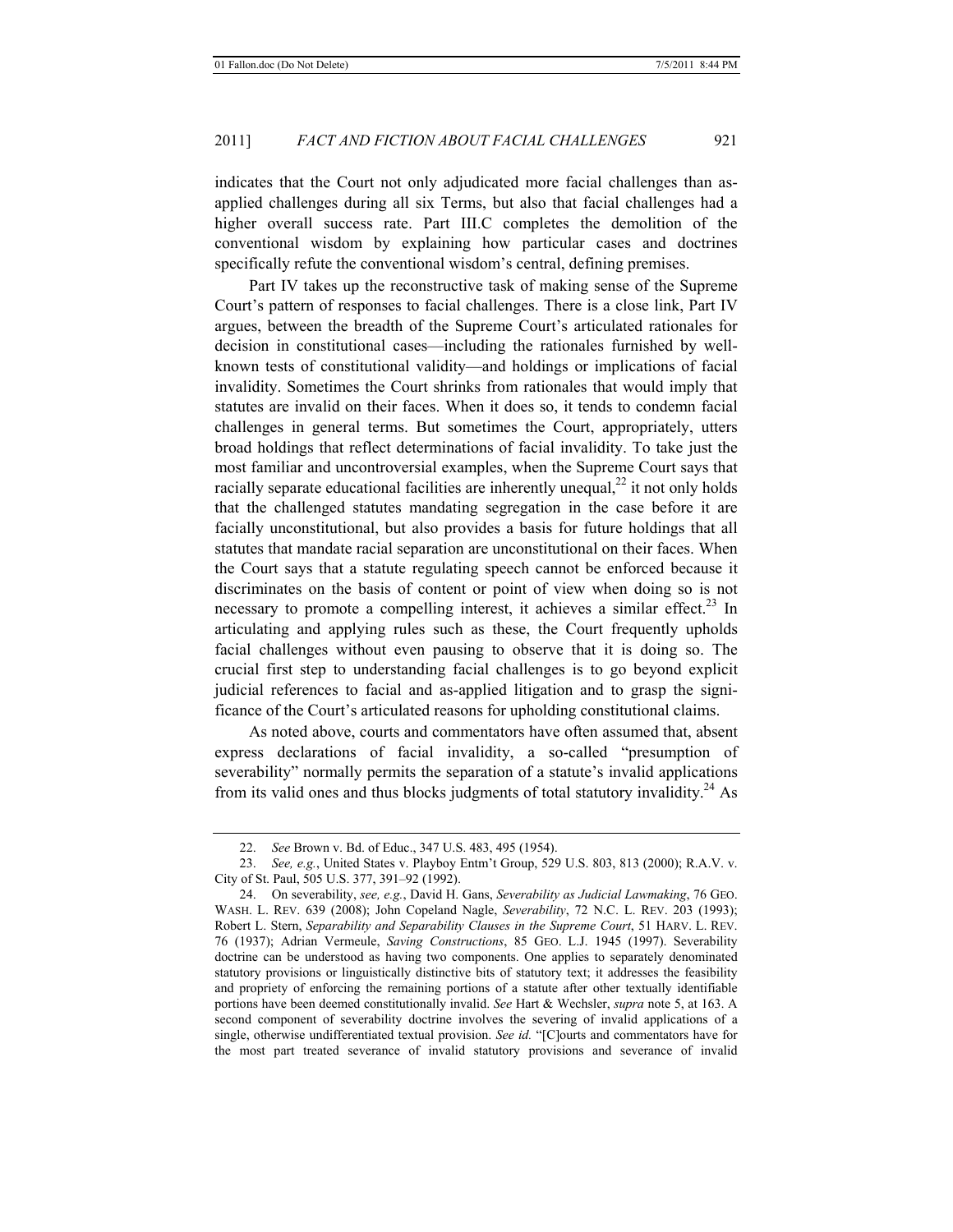indicates that the Court not only adjudicated more facial challenges than asapplied challenges during all six Terms, but also that facial challenges had a higher overall success rate. Part III.C completes the demolition of the conventional wisdom by explaining how particular cases and doctrines specifically refute the conventional wisdom's central, defining premises.

Part IV takes up the reconstructive task of making sense of the Supreme Court's pattern of responses to facial challenges. There is a close link, Part IV argues, between the breadth of the Supreme Court's articulated rationales for decision in constitutional cases—including the rationales furnished by wellknown tests of constitutional validity—and holdings or implications of facial invalidity. Sometimes the Court shrinks from rationales that would imply that statutes are invalid on their faces. When it does so, it tends to condemn facial challenges in general terms. But sometimes the Court, appropriately, utters broad holdings that reflect determinations of facial invalidity. To take just the most familiar and uncontroversial examples, when the Supreme Court says that racially separate educational facilities are inherently unequal,  $^{22}$  it not only holds that the challenged statutes mandating segregation in the case before it are facially unconstitutional, but also provides a basis for future holdings that all statutes that mandate racial separation are unconstitutional on their faces. When the Court says that a statute regulating speech cannot be enforced because it discriminates on the basis of content or point of view when doing so is not necessary to promote a compelling interest, it achieves a similar effect.<sup>23</sup> In articulating and applying rules such as these, the Court frequently upholds facial challenges without even pausing to observe that it is doing so. The crucial first step to understanding facial challenges is to go beyond explicit judicial references to facial and as-applied litigation and to grasp the significance of the Court's articulated reasons for upholding constitutional claims.

As noted above, courts and commentators have often assumed that, absent express declarations of facial invalidity, a so-called "presumption of severability" normally permits the separation of a statute's invalid applications from its valid ones and thus blocks judgments of total statutory invalidity.<sup>24</sup> As

<sup>22.</sup> *See* Brown v. Bd. of Educ., 347 U.S. 483, 495 (1954).

<sup>23.</sup> *See, e.g.*, United States v. Playboy Entm't Group, 529 U.S. 803, 813 (2000); R.A.V. v. City of St. Paul, 505 U.S. 377, 391–92 (1992).

<sup>24.</sup> On severability, *see, e.g.*, David H. Gans, *Severability as Judicial Lawmaking*, 76 GEO. WASH. L. REV. 639 (2008); John Copeland Nagle, *Severability*, 72 N.C. L. REV. 203 (1993); Robert L. Stern, *Separability and Separability Clauses in the Supreme Court*, 51 HARV. L. REV. 76 (1937); Adrian Vermeule, *Saving Constructions*, 85 GEO. L.J. 1945 (1997). Severability doctrine can be understood as having two components. One applies to separately denominated statutory provisions or linguistically distinctive bits of statutory text; it addresses the feasibility and propriety of enforcing the remaining portions of a statute after other textually identifiable portions have been deemed constitutionally invalid. *See* Hart & Wechsler, *supra* note 5, at 163. A second component of severability doctrine involves the severing of invalid applications of a single, otherwise undifferentiated textual provision. *See id.* "[C]ourts and commentators have for the most part treated severance of invalid statutory provisions and severance of invalid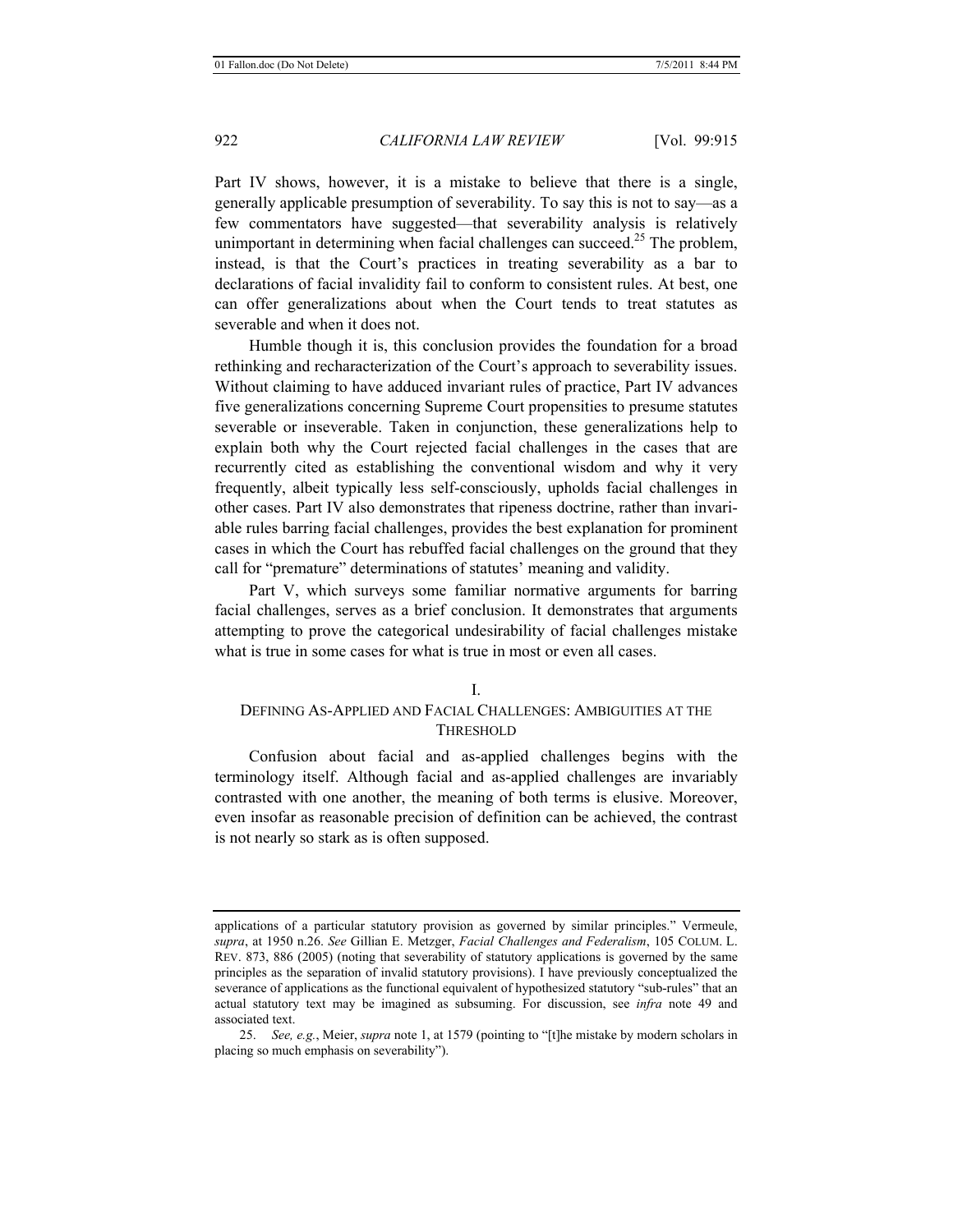Part IV shows, however, it is a mistake to believe that there is a single, generally applicable presumption of severability. To say this is not to say—as a few commentators have suggested—that severability analysis is relatively unimportant in determining when facial challenges can succeed.<sup>25</sup> The problem, instead, is that the Court's practices in treating severability as a bar to declarations of facial invalidity fail to conform to consistent rules. At best, one can offer generalizations about when the Court tends to treat statutes as severable and when it does not.

Humble though it is, this conclusion provides the foundation for a broad rethinking and recharacterization of the Court's approach to severability issues. Without claiming to have adduced invariant rules of practice, Part IV advances five generalizations concerning Supreme Court propensities to presume statutes severable or inseverable. Taken in conjunction, these generalizations help to explain both why the Court rejected facial challenges in the cases that are recurrently cited as establishing the conventional wisdom and why it very frequently, albeit typically less self-consciously, upholds facial challenges in other cases. Part IV also demonstrates that ripeness doctrine, rather than invariable rules barring facial challenges, provides the best explanation for prominent cases in which the Court has rebuffed facial challenges on the ground that they call for "premature" determinations of statutes' meaning and validity.

Part V, which surveys some familiar normative arguments for barring facial challenges, serves as a brief conclusion. It demonstrates that arguments attempting to prove the categorical undesirability of facial challenges mistake what is true in some cases for what is true in most or even all cases.

#### I.

# DEFINING AS-APPLIED AND FACIAL CHALLENGES: AMBIGUITIES AT THE **THRESHOLD**

Confusion about facial and as-applied challenges begins with the terminology itself. Although facial and as-applied challenges are invariably contrasted with one another, the meaning of both terms is elusive. Moreover, even insofar as reasonable precision of definition can be achieved, the contrast is not nearly so stark as is often supposed.

applications of a particular statutory provision as governed by similar principles." Vermeule, *supra*, at 1950 n.26. *See* Gillian E. Metzger, *Facial Challenges and Federalism*, 105 COLUM. L. REV. 873, 886 (2005) (noting that severability of statutory applications is governed by the same principles as the separation of invalid statutory provisions). I have previously conceptualized the severance of applications as the functional equivalent of hypothesized statutory "sub-rules" that an actual statutory text may be imagined as subsuming. For discussion, see *infra* note 49 and associated text.

<sup>25.</sup> *See, e.g.*, Meier, *supra* note 1, at 1579 (pointing to "[t]he mistake by modern scholars in placing so much emphasis on severability").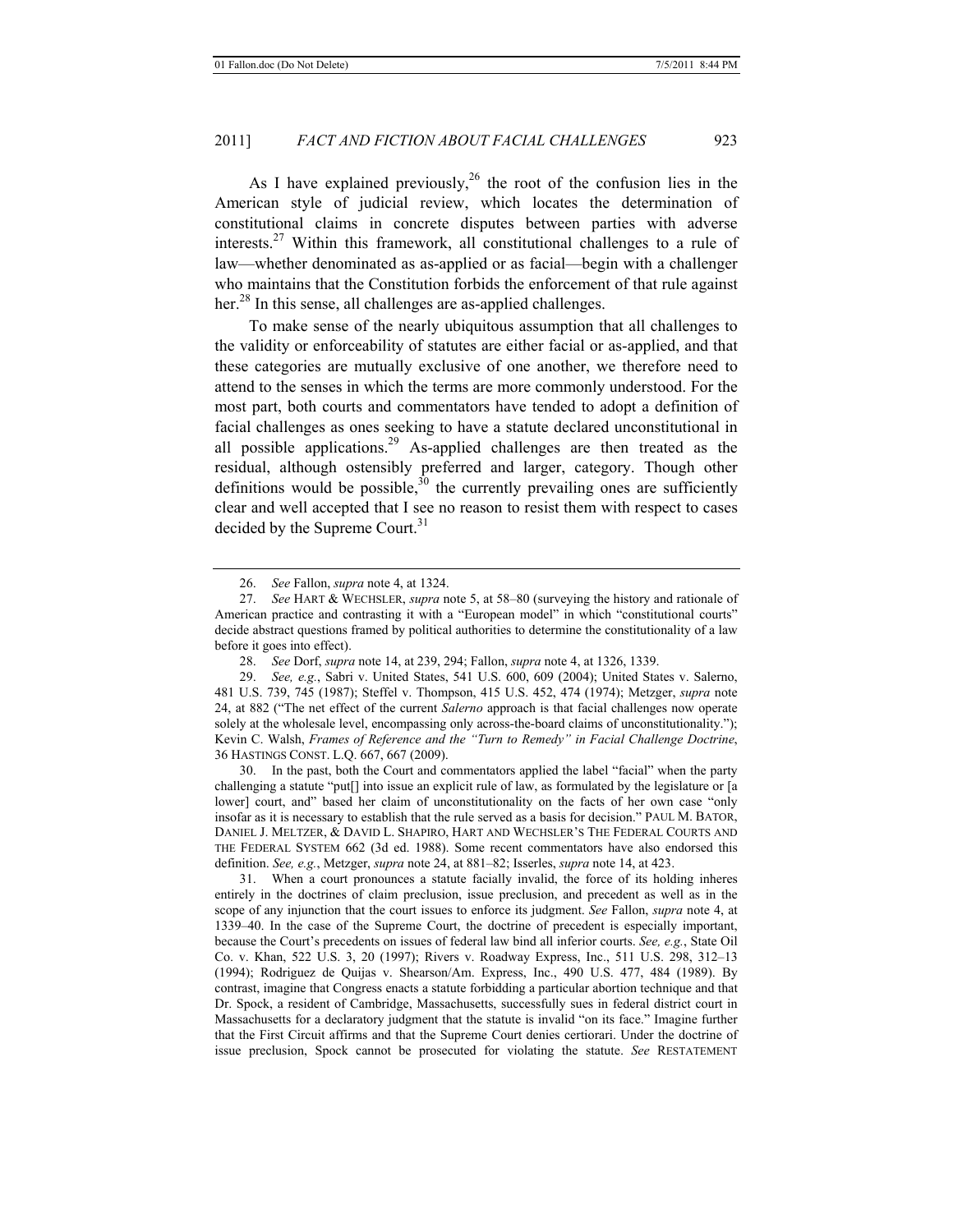As I have explained previously,  $^{26}$  the root of the confusion lies in the American style of judicial review, which locates the determination of constitutional claims in concrete disputes between parties with adverse interests.<sup>27</sup> Within this framework, all constitutional challenges to a rule of law—whether denominated as as-applied or as facial—begin with a challenger who maintains that the Constitution forbids the enforcement of that rule against her.<sup>28</sup> In this sense, all challenges are as-applied challenges.

To make sense of the nearly ubiquitous assumption that all challenges to the validity or enforceability of statutes are either facial or as-applied, and that these categories are mutually exclusive of one another, we therefore need to attend to the senses in which the terms are more commonly understood. For the most part, both courts and commentators have tended to adopt a definition of facial challenges as ones seeking to have a statute declared unconstitutional in all possible applications.<sup>29</sup> As-applied challenges are then treated as the residual, although ostensibly preferred and larger, category. Though other definitions would be possible,  $30$  the currently prevailing ones are sufficiently clear and well accepted that I see no reason to resist them with respect to cases decided by the Supreme Court.<sup>31</sup>

29. *See, e.g.*, Sabri v. United States, 541 U.S. 600, 609 (2004); United States v. Salerno, 481 U.S. 739, 745 (1987); Steffel v. Thompson, 415 U.S. 452, 474 (1974); Metzger, *supra* note 24, at 882 ("The net effect of the current *Salerno* approach is that facial challenges now operate solely at the wholesale level, encompassing only across-the-board claims of unconstitutionality."); Kevin C. Walsh, *Frames of Reference and the "Turn to Remedy" in Facial Challenge Doctrine*, 36 HASTINGS CONST. L.Q. 667, 667 (2009).

30. In the past, both the Court and commentators applied the label "facial" when the party challenging a statute "put[] into issue an explicit rule of law, as formulated by the legislature or [a lower] court, and" based her claim of unconstitutionality on the facts of her own case "only insofar as it is necessary to establish that the rule served as a basis for decision." PAUL M. BATOR, DANIEL J. MELTZER, & DAVID L. SHAPIRO, HART AND WECHSLER'S THE FEDERAL COURTS AND THE FEDERAL SYSTEM 662 (3d ed. 1988). Some recent commentators have also endorsed this definition. *See, e.g.*, Metzger, *supra* note 24, at 881–82; Isserles, *supra* note 14, at 423.

31. When a court pronounces a statute facially invalid, the force of its holding inheres entirely in the doctrines of claim preclusion, issue preclusion, and precedent as well as in the scope of any injunction that the court issues to enforce its judgment. *See* Fallon, *supra* note 4, at 1339–40. In the case of the Supreme Court, the doctrine of precedent is especially important, because the Court's precedents on issues of federal law bind all inferior courts. *See, e.g.*, State Oil Co. v. Khan, 522 U.S. 3, 20 (1997); Rivers v. Roadway Express, Inc., 511 U.S. 298, 312–13 (1994); Rodriguez de Quijas v. Shearson/Am. Express, Inc., 490 U.S. 477, 484 (1989). By contrast, imagine that Congress enacts a statute forbidding a particular abortion technique and that Dr. Spock, a resident of Cambridge, Massachusetts, successfully sues in federal district court in Massachusetts for a declaratory judgment that the statute is invalid "on its face." Imagine further that the First Circuit affirms and that the Supreme Court denies certiorari. Under the doctrine of issue preclusion, Spock cannot be prosecuted for violating the statute. *See* RESTATEMENT

<sup>26.</sup> *See* Fallon, *supra* note 4, at 1324.

<sup>27.</sup> *See* HART & WECHSLER, *supra* note 5, at 58–80 (surveying the history and rationale of American practice and contrasting it with a "European model" in which "constitutional courts" decide abstract questions framed by political authorities to determine the constitutionality of a law before it goes into effect).

<sup>28.</sup> *See* Dorf, *supra* note 14, at 239, 294; Fallon, *supra* note 4, at 1326, 1339.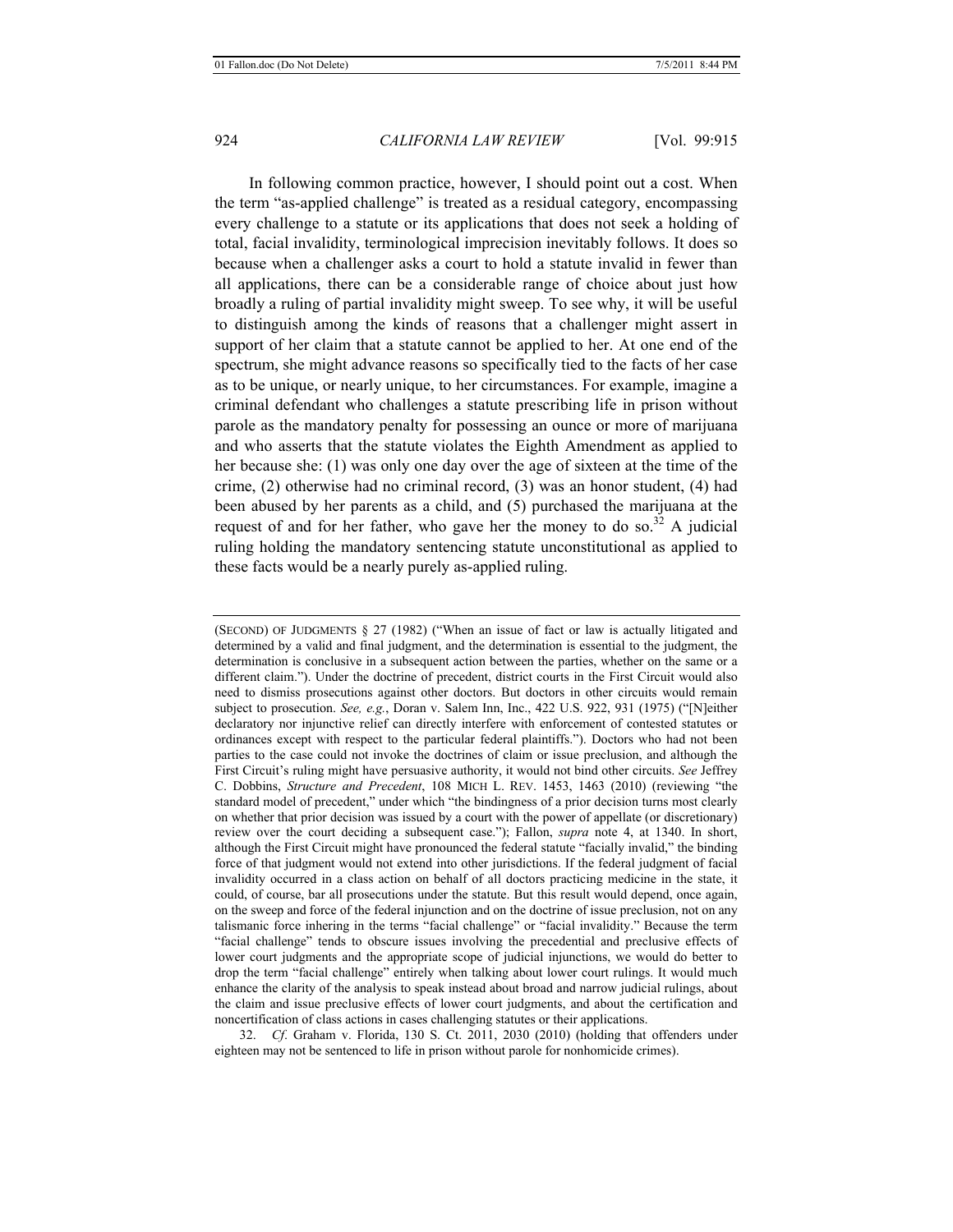In following common practice, however, I should point out a cost. When the term "as-applied challenge" is treated as a residual category, encompassing every challenge to a statute or its applications that does not seek a holding of total, facial invalidity, terminological imprecision inevitably follows. It does so because when a challenger asks a court to hold a statute invalid in fewer than all applications, there can be a considerable range of choice about just how broadly a ruling of partial invalidity might sweep. To see why, it will be useful to distinguish among the kinds of reasons that a challenger might assert in support of her claim that a statute cannot be applied to her. At one end of the spectrum, she might advance reasons so specifically tied to the facts of her case as to be unique, or nearly unique, to her circumstances. For example, imagine a criminal defendant who challenges a statute prescribing life in prison without parole as the mandatory penalty for possessing an ounce or more of marijuana and who asserts that the statute violates the Eighth Amendment as applied to her because she: (1) was only one day over the age of sixteen at the time of the crime, (2) otherwise had no criminal record, (3) was an honor student, (4) had been abused by her parents as a child, and (5) purchased the marijuana at the request of and for her father, who gave her the money to do so.<sup>32</sup> A judicial ruling holding the mandatory sentencing statute unconstitutional as applied to these facts would be a nearly purely as-applied ruling.

(SECOND) OF JUDGMENTS § 27 (1982) ("When an issue of fact or law is actually litigated and determined by a valid and final judgment, and the determination is essential to the judgment, the determination is conclusive in a subsequent action between the parties, whether on the same or a different claim."). Under the doctrine of precedent, district courts in the First Circuit would also need to dismiss prosecutions against other doctors. But doctors in other circuits would remain subject to prosecution. *See, e.g.*, Doran v. Salem Inn, Inc., 422 U.S. 922, 931 (1975) ("[N]either declaratory nor injunctive relief can directly interfere with enforcement of contested statutes or ordinances except with respect to the particular federal plaintiffs."). Doctors who had not been parties to the case could not invoke the doctrines of claim or issue preclusion, and although the First Circuit's ruling might have persuasive authority, it would not bind other circuits. *See* Jeffrey C. Dobbins, *Structure and Precedent*, 108 MICH L. REV. 1453, 1463 (2010) (reviewing "the standard model of precedent," under which "the bindingness of a prior decision turns most clearly on whether that prior decision was issued by a court with the power of appellate (or discretionary) review over the court deciding a subsequent case."); Fallon, *supra* note 4, at 1340. In short, although the First Circuit might have pronounced the federal statute "facially invalid," the binding force of that judgment would not extend into other jurisdictions. If the federal judgment of facial invalidity occurred in a class action on behalf of all doctors practicing medicine in the state, it could, of course, bar all prosecutions under the statute. But this result would depend, once again, on the sweep and force of the federal injunction and on the doctrine of issue preclusion, not on any talismanic force inhering in the terms "facial challenge" or "facial invalidity." Because the term "facial challenge" tends to obscure issues involving the precedential and preclusive effects of lower court judgments and the appropriate scope of judicial injunctions, we would do better to drop the term "facial challenge" entirely when talking about lower court rulings. It would much enhance the clarity of the analysis to speak instead about broad and narrow judicial rulings, about the claim and issue preclusive effects of lower court judgments, and about the certification and noncertification of class actions in cases challenging statutes or their applications.

32. *Cf*. Graham v. Florida, 130 S. Ct. 2011, 2030 (2010) (holding that offenders under eighteen may not be sentenced to life in prison without parole for nonhomicide crimes).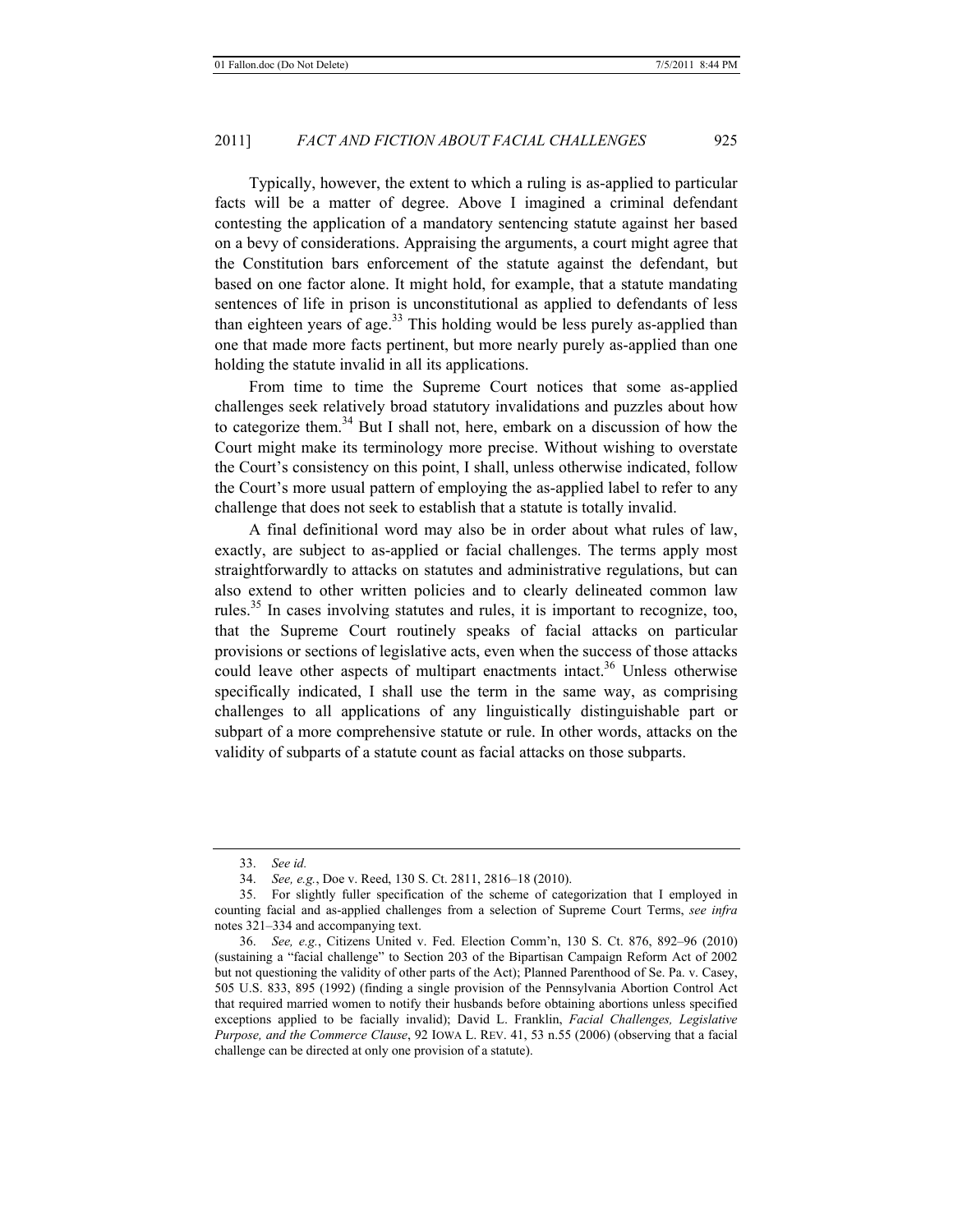Typically, however, the extent to which a ruling is as-applied to particular facts will be a matter of degree. Above I imagined a criminal defendant contesting the application of a mandatory sentencing statute against her based on a bevy of considerations. Appraising the arguments, a court might agree that the Constitution bars enforcement of the statute against the defendant, but based on one factor alone. It might hold, for example, that a statute mandating sentences of life in prison is unconstitutional as applied to defendants of less than eighteen years of age. $33$  This holding would be less purely as-applied than one that made more facts pertinent, but more nearly purely as-applied than one holding the statute invalid in all its applications.

From time to time the Supreme Court notices that some as-applied challenges seek relatively broad statutory invalidations and puzzles about how to categorize them.<sup>34</sup> But I shall not, here, embark on a discussion of how the Court might make its terminology more precise. Without wishing to overstate the Court's consistency on this point, I shall, unless otherwise indicated, follow the Court's more usual pattern of employing the as-applied label to refer to any challenge that does not seek to establish that a statute is totally invalid.

A final definitional word may also be in order about what rules of law, exactly, are subject to as-applied or facial challenges. The terms apply most straightforwardly to attacks on statutes and administrative regulations, but can also extend to other written policies and to clearly delineated common law rules.35 In cases involving statutes and rules, it is important to recognize, too, that the Supreme Court routinely speaks of facial attacks on particular provisions or sections of legislative acts, even when the success of those attacks could leave other aspects of multipart enactments intact.<sup>36</sup> Unless otherwise specifically indicated, I shall use the term in the same way, as comprising challenges to all applications of any linguistically distinguishable part or subpart of a more comprehensive statute or rule. In other words, attacks on the validity of subparts of a statute count as facial attacks on those subparts.

<sup>33.</sup> *See id.*

<sup>34.</sup> *See, e.g.*, Doe v. Reed, 130 S. Ct. 2811, 2816–18 (2010).

<sup>35.</sup> For slightly fuller specification of the scheme of categorization that I employed in counting facial and as-applied challenges from a selection of Supreme Court Terms, *see infra* notes 321–334 and accompanying text.

<sup>36.</sup> *See, e.g.*, Citizens United v. Fed. Election Comm'n, 130 S. Ct. 876, 892–96 (2010) (sustaining a "facial challenge" to Section 203 of the Bipartisan Campaign Reform Act of 2002 but not questioning the validity of other parts of the Act); Planned Parenthood of Se. Pa. v. Casey, 505 U.S. 833, 895 (1992) (finding a single provision of the Pennsylvania Abortion Control Act that required married women to notify their husbands before obtaining abortions unless specified exceptions applied to be facially invalid); David L. Franklin, *Facial Challenges, Legislative Purpose, and the Commerce Clause*, 92 IOWA L. REV. 41, 53 n.55 (2006) (observing that a facial challenge can be directed at only one provision of a statute).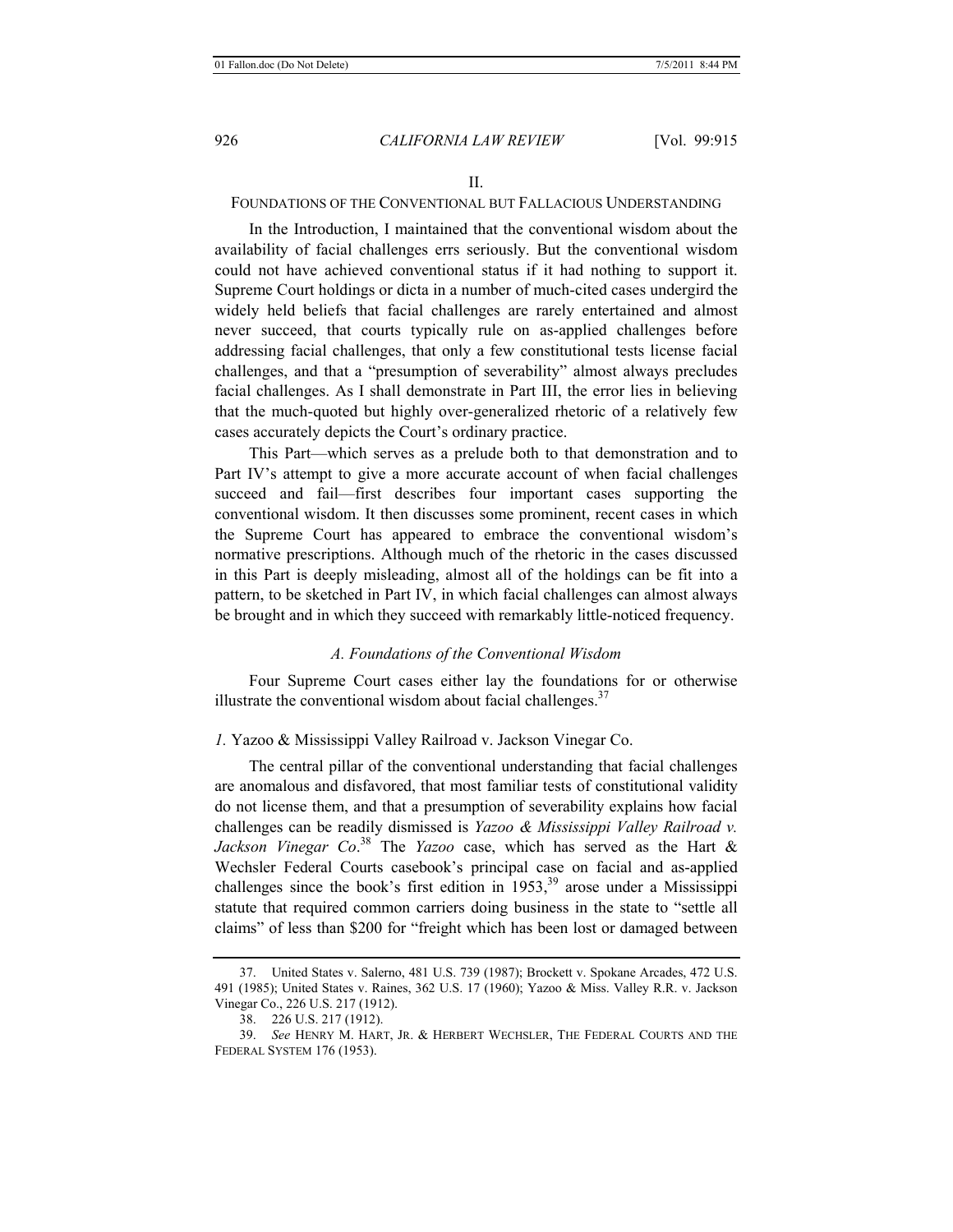# FOUNDATIONS OF THE CONVENTIONAL BUT FALLACIOUS UNDERSTANDING

In the Introduction, I maintained that the conventional wisdom about the availability of facial challenges errs seriously. But the conventional wisdom could not have achieved conventional status if it had nothing to support it. Supreme Court holdings or dicta in a number of much-cited cases undergird the widely held beliefs that facial challenges are rarely entertained and almost never succeed, that courts typically rule on as-applied challenges before addressing facial challenges, that only a few constitutional tests license facial challenges, and that a "presumption of severability" almost always precludes facial challenges. As I shall demonstrate in Part III, the error lies in believing that the much-quoted but highly over-generalized rhetoric of a relatively few cases accurately depicts the Court's ordinary practice.

This Part—which serves as a prelude both to that demonstration and to Part IV's attempt to give a more accurate account of when facial challenges succeed and fail—first describes four important cases supporting the conventional wisdom. It then discusses some prominent, recent cases in which the Supreme Court has appeared to embrace the conventional wisdom's normative prescriptions. Although much of the rhetoric in the cases discussed in this Part is deeply misleading, almost all of the holdings can be fit into a pattern, to be sketched in Part IV, in which facial challenges can almost always be brought and in which they succeed with remarkably little-noticed frequency.

#### *A. Foundations of the Conventional Wisdom*

Four Supreme Court cases either lay the foundations for or otherwise illustrate the conventional wisdom about facial challenges.<sup>37</sup>

#### *1.* Yazoo & Mississippi Valley Railroad v. Jackson Vinegar Co.

The central pillar of the conventional understanding that facial challenges are anomalous and disfavored, that most familiar tests of constitutional validity do not license them, and that a presumption of severability explains how facial challenges can be readily dismissed is *Yazoo & Mississippi Valley Railroad v. Jackson Vinegar Co*. 38 The *Yazoo* case, which has served as the Hart & Wechsler Federal Courts casebook's principal case on facial and as-applied challenges since the book's first edition in  $1953$ ,<sup>39</sup> arose under a Mississippi statute that required common carriers doing business in the state to "settle all claims" of less than \$200 for "freight which has been lost or damaged between

<sup>37.</sup> United States v. Salerno, 481 U.S. 739 (1987); Brockett v. Spokane Arcades, 472 U.S. 491 (1985); United States v. Raines, 362 U.S. 17 (1960); Yazoo & Miss. Valley R.R. v. Jackson Vinegar Co., 226 U.S. 217 (1912).

<sup>38. 226</sup> U.S. 217 (1912).

<sup>39.</sup> *See* HENRY M. HART, JR. & HERBERT WECHSLER, THE FEDERAL COURTS AND THE FEDERAL SYSTEM 176 (1953).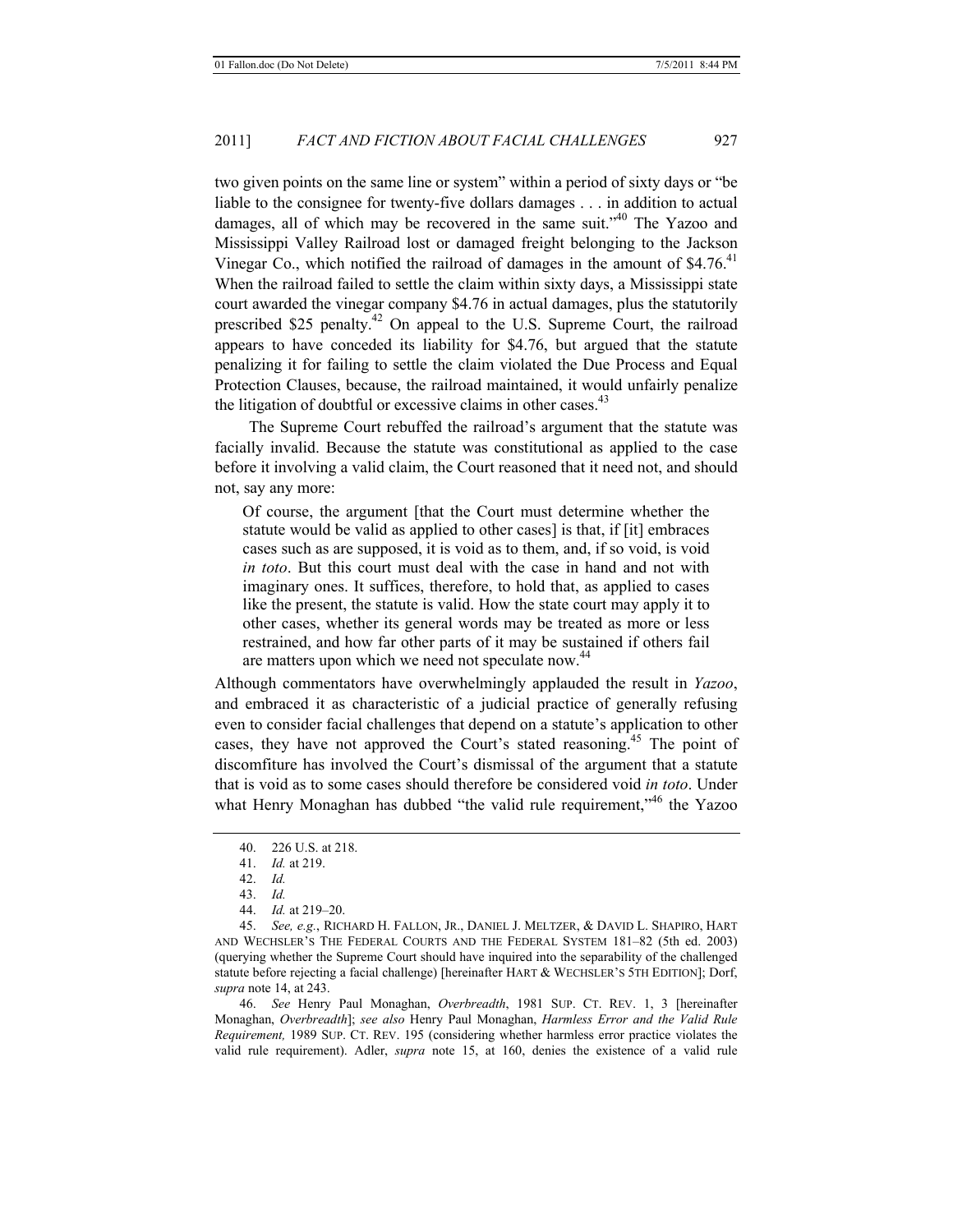two given points on the same line or system" within a period of sixty days or "be liable to the consignee for twenty-five dollars damages . . . in addition to actual damages, all of which may be recovered in the same suit."<sup>40</sup> The Yazoo and Mississippi Valley Railroad lost or damaged freight belonging to the Jackson Vinegar Co., which notified the railroad of damages in the amount of  $$4.76<sup>41</sup>$ When the railroad failed to settle the claim within sixty days, a Mississippi state court awarded the vinegar company \$4.76 in actual damages, plus the statutorily prescribed \$25 penalty.42 On appeal to the U.S. Supreme Court, the railroad appears to have conceded its liability for \$4.76, but argued that the statute penalizing it for failing to settle the claim violated the Due Process and Equal Protection Clauses, because, the railroad maintained, it would unfairly penalize the litigation of doubtful or excessive claims in other cases. $43$ 

The Supreme Court rebuffed the railroad's argument that the statute was facially invalid. Because the statute was constitutional as applied to the case before it involving a valid claim, the Court reasoned that it need not, and should not, say any more:

Of course, the argument [that the Court must determine whether the statute would be valid as applied to other cases] is that, if [it] embraces cases such as are supposed, it is void as to them, and, if so void, is void *in toto*. But this court must deal with the case in hand and not with imaginary ones. It suffices, therefore, to hold that, as applied to cases like the present, the statute is valid. How the state court may apply it to other cases, whether its general words may be treated as more or less restrained, and how far other parts of it may be sustained if others fail are matters upon which we need not speculate now.<sup>44</sup>

Although commentators have overwhelmingly applauded the result in *Yazoo*, and embraced it as characteristic of a judicial practice of generally refusing even to consider facial challenges that depend on a statute's application to other cases, they have not approved the Court's stated reasoning.<sup>45</sup> The point of discomfiture has involved the Court's dismissal of the argument that a statute that is void as to some cases should therefore be considered void *in toto*. Under what Henry Monaghan has dubbed "the valid rule requirement,"<sup>46</sup> the Yazoo

44. *Id.* at 219–20.

45. *See, e.g.*, RICHARD H. FALLON, JR., DANIEL J. MELTZER, & DAVID L. SHAPIRO, HART AND WECHSLER'S THE FEDERAL COURTS AND THE FEDERAL SYSTEM 181–82 (5th ed. 2003) (querying whether the Supreme Court should have inquired into the separability of the challenged statute before rejecting a facial challenge) [hereinafter HART & WECHSLER'S 5TH EDITION]; Dorf, *supra* note 14, at 243.

46. *See* Henry Paul Monaghan, *Overbreadth*, 1981 SUP. CT. REV. 1, 3 [hereinafter Monaghan, *Overbreadth*]; *see also* Henry Paul Monaghan, *Harmless Error and the Valid Rule Requirement,* 1989 SUP. CT. REV. 195 (considering whether harmless error practice violates the valid rule requirement). Adler, *supra* note 15, at 160, denies the existence of a valid rule

<sup>40. 226</sup> U.S. at 218.

<sup>41.</sup> *Id.* at 219.

<sup>42.</sup> *Id.*

<sup>43.</sup> *Id.*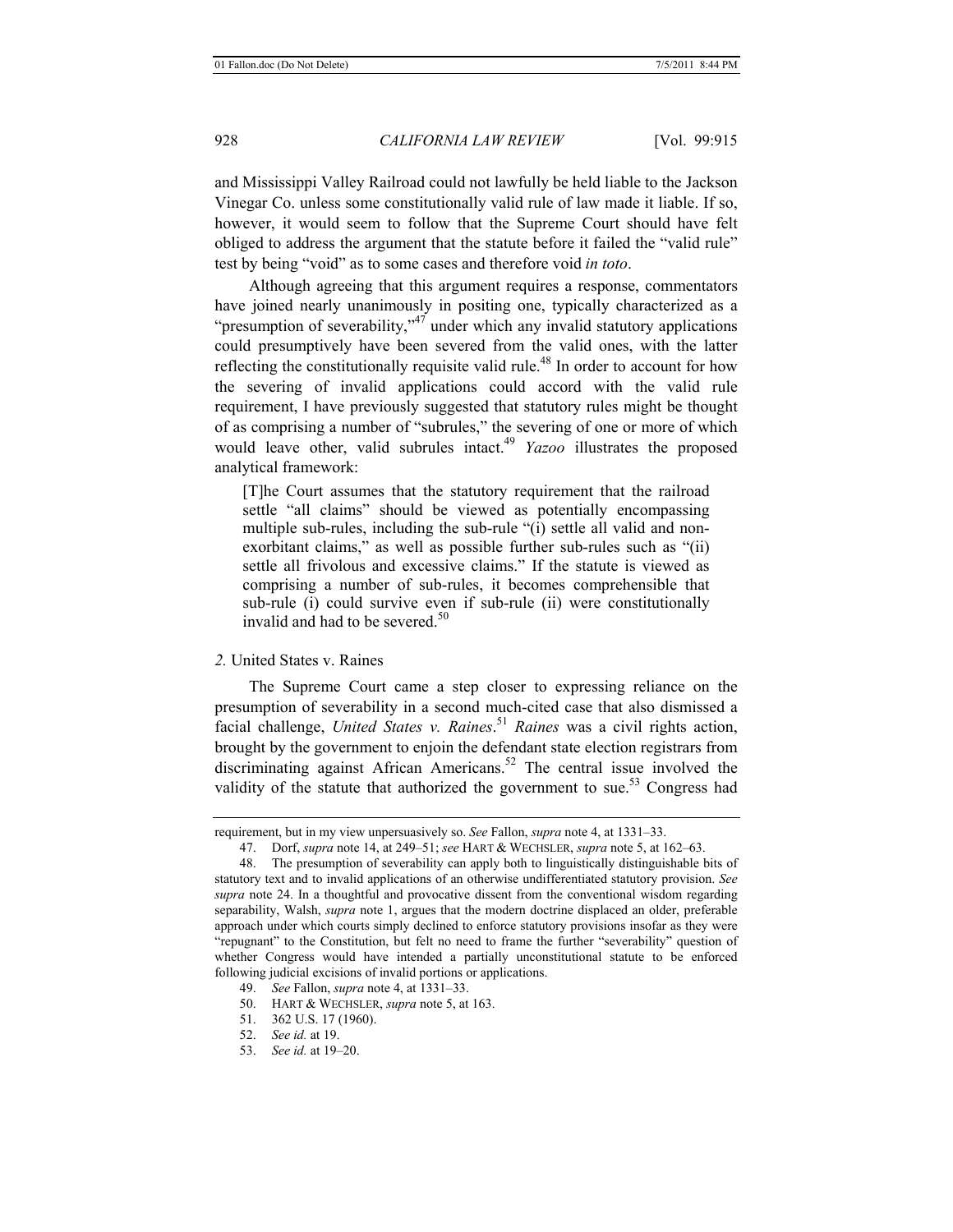and Mississippi Valley Railroad could not lawfully be held liable to the Jackson Vinegar Co. unless some constitutionally valid rule of law made it liable. If so, however, it would seem to follow that the Supreme Court should have felt obliged to address the argument that the statute before it failed the "valid rule" test by being "void" as to some cases and therefore void *in toto*.

Although agreeing that this argument requires a response, commentators have joined nearly unanimously in positing one, typically characterized as a "presumption of severability," $47$  under which any invalid statutory applications could presumptively have been severed from the valid ones, with the latter reflecting the constitutionally requisite valid rule.<sup>48</sup> In order to account for how the severing of invalid applications could accord with the valid rule requirement, I have previously suggested that statutory rules might be thought of as comprising a number of "subrules," the severing of one or more of which would leave other, valid subrules intact.<sup>49</sup> *Yazoo* illustrates the proposed analytical framework:

[T]he Court assumes that the statutory requirement that the railroad settle "all claims" should be viewed as potentially encompassing multiple sub-rules, including the sub-rule "(i) settle all valid and nonexorbitant claims," as well as possible further sub-rules such as "(ii) settle all frivolous and excessive claims." If the statute is viewed as comprising a number of sub-rules, it becomes comprehensible that sub-rule (i) could survive even if sub-rule (ii) were constitutionally invalid and had to be severed. $50$ 

*2.* United States v. Raines

The Supreme Court came a step closer to expressing reliance on the presumption of severability in a second much-cited case that also dismissed a facial challenge, *United States v. Raines*. <sup>51</sup> *Raines* was a civil rights action, brought by the government to enjoin the defendant state election registrars from discriminating against African Americans.<sup>52</sup> The central issue involved the validity of the statute that authorized the government to sue.<sup>53</sup> Congress had

- 50. HART & WECHSLER, *supra* note 5, at 163.
- 51. 362 U.S. 17 (1960).
- 52. *See id.* at 19.
- 53. *See id.* at 19–20.

requirement, but in my view unpersuasively so. *See* Fallon, *supra* note 4, at 1331–33.

<sup>47.</sup> Dorf, *supra* note 14, at 249–51; *see* HART & WECHSLER, *supra* note 5, at 162–63.

<sup>48.</sup> The presumption of severability can apply both to linguistically distinguishable bits of statutory text and to invalid applications of an otherwise undifferentiated statutory provision. *See supra* note 24. In a thoughtful and provocative dissent from the conventional wisdom regarding separability, Walsh, *supra* note 1, argues that the modern doctrine displaced an older, preferable approach under which courts simply declined to enforce statutory provisions insofar as they were "repugnant" to the Constitution, but felt no need to frame the further "severability" question of whether Congress would have intended a partially unconstitutional statute to be enforced following judicial excisions of invalid portions or applications.

<sup>49.</sup> *See* Fallon, *supra* note 4, at 1331–33.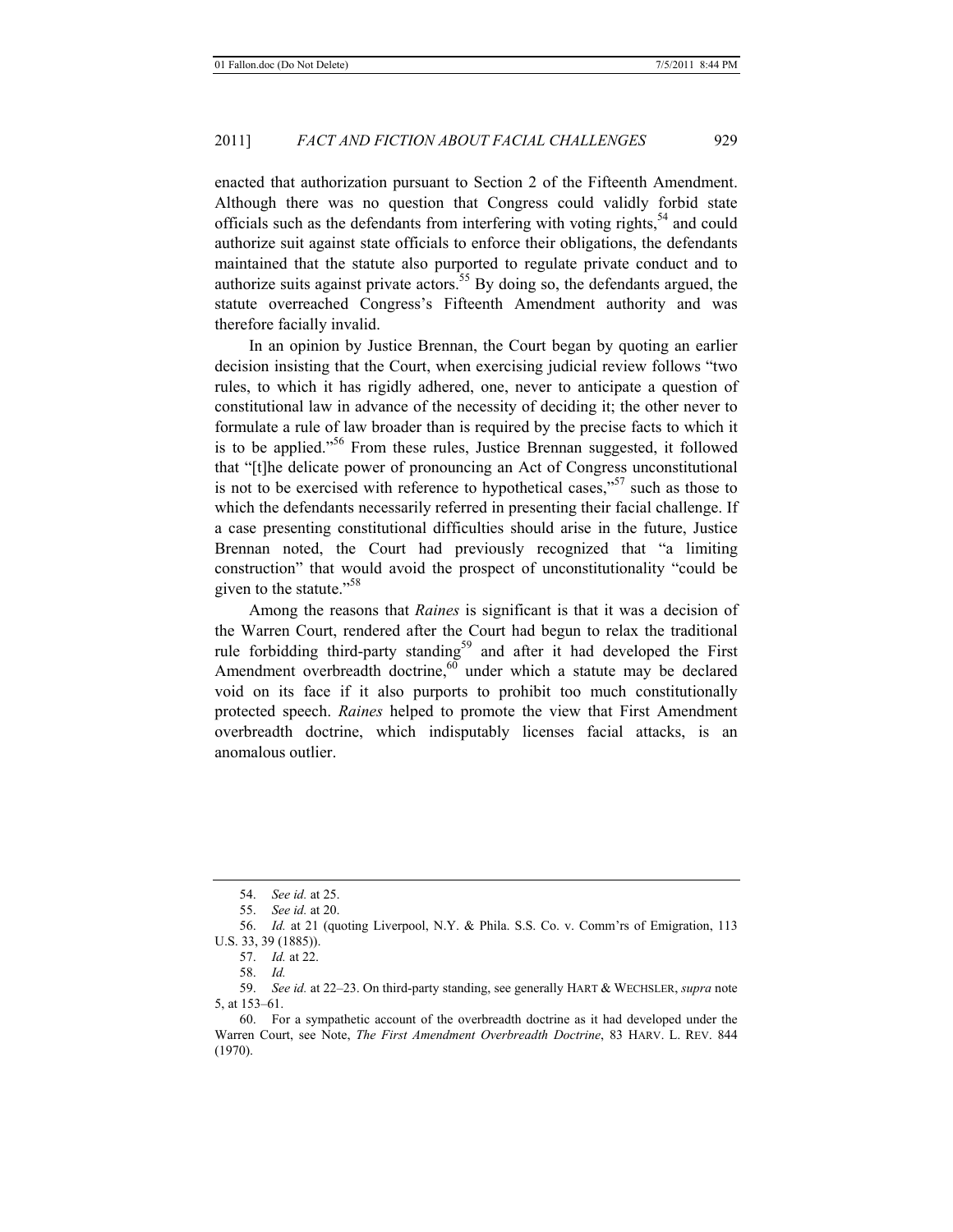enacted that authorization pursuant to Section 2 of the Fifteenth Amendment. Although there was no question that Congress could validly forbid state officials such as the defendants from interfering with voting rights,  $54$  and could authorize suit against state officials to enforce their obligations, the defendants maintained that the statute also purported to regulate private conduct and to authorize suits against private actors.<sup>55</sup> By doing so, the defendants argued, the statute overreached Congress's Fifteenth Amendment authority and was therefore facially invalid.

In an opinion by Justice Brennan, the Court began by quoting an earlier decision insisting that the Court, when exercising judicial review follows "two rules, to which it has rigidly adhered, one, never to anticipate a question of constitutional law in advance of the necessity of deciding it; the other never to formulate a rule of law broader than is required by the precise facts to which it is to be applied."56 From these rules, Justice Brennan suggested, it followed that "[t]he delicate power of pronouncing an Act of Congress unconstitutional is not to be exercised with reference to hypothetical cases," $57$  such as those to which the defendants necessarily referred in presenting their facial challenge. If a case presenting constitutional difficulties should arise in the future, Justice Brennan noted, the Court had previously recognized that "a limiting construction" that would avoid the prospect of unconstitutionality "could be given to the statute."<sup>58</sup>

Among the reasons that *Raines* is significant is that it was a decision of the Warren Court, rendered after the Court had begun to relax the traditional rule forbidding third-party standing<sup>59</sup> and after it had developed the First Amendment overbreadth doctrine, $60$  under which a statute may be declared void on its face if it also purports to prohibit too much constitutionally protected speech. *Raines* helped to promote the view that First Amendment overbreadth doctrine, which indisputably licenses facial attacks, is an anomalous outlier.

<sup>54.</sup> *See id.* at 25.

<sup>55.</sup> *See id.* at 20.

<sup>56.</sup> *Id.* at 21 (quoting Liverpool, N.Y. & Phila. S.S. Co. v. Comm'rs of Emigration, 113 U.S. 33, 39 (1885)).

<sup>57.</sup> *Id.* at 22.

<sup>58.</sup> *Id.*

<sup>59.</sup> *See id.* at 22–23. On third-party standing, see generally HART & WECHSLER, *supra* note 5, at 153–61.

<sup>60.</sup> For a sympathetic account of the overbreadth doctrine as it had developed under the Warren Court, see Note, *The First Amendment Overbreadth Doctrine*, 83 HARV. L. REV. 844 (1970).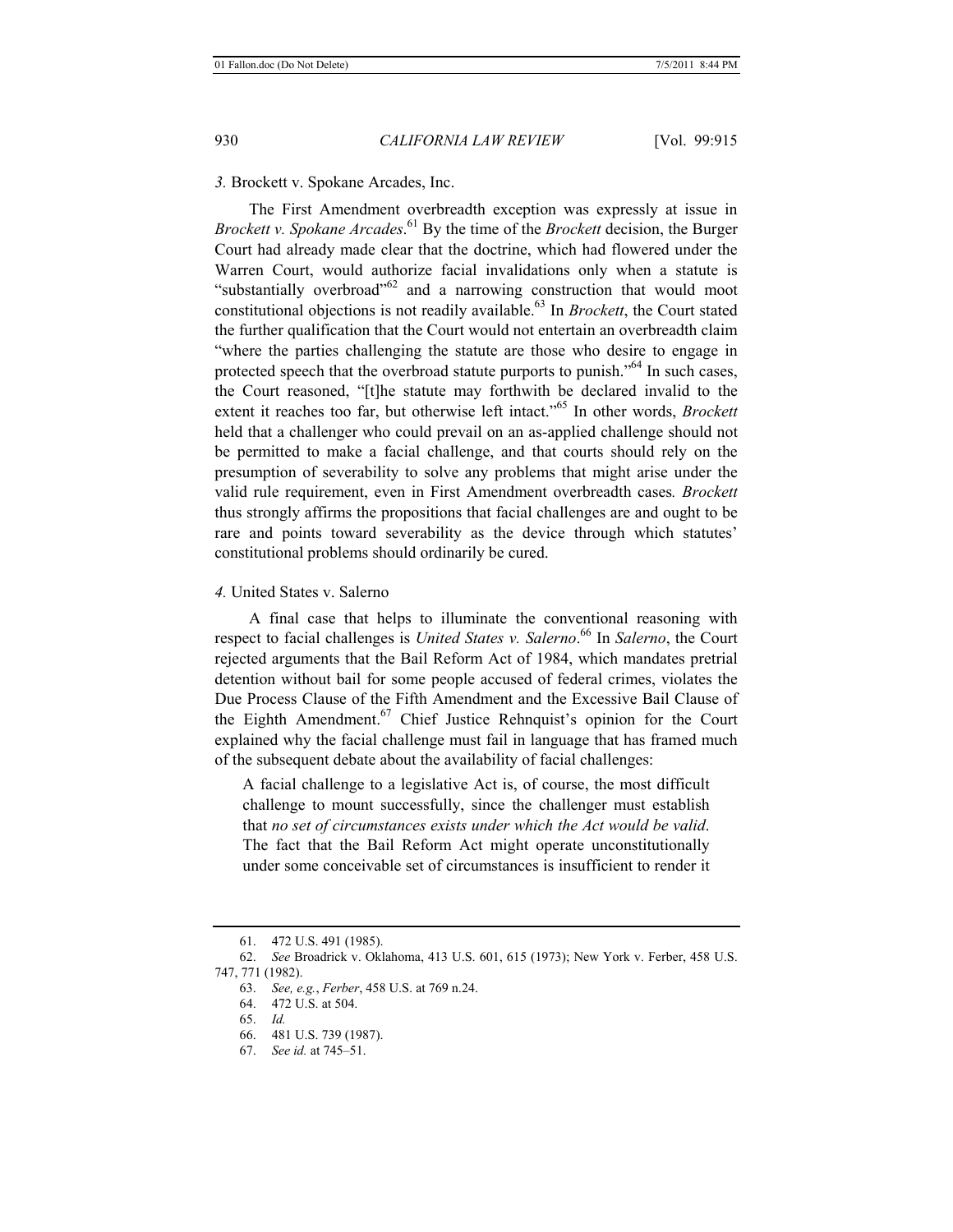*3.* Brockett v. Spokane Arcades, Inc.

The First Amendment overbreadth exception was expressly at issue in *Brockett v. Spokane Arcades*. 61 By the time of the *Brockett* decision, the Burger Court had already made clear that the doctrine, which had flowered under the Warren Court, would authorize facial invalidations only when a statute is "substantially overbroad"<sup>62</sup> and a narrowing construction that would moot constitutional objections is not readily available.<sup>63</sup> In *Brockett*, the Court stated the further qualification that the Court would not entertain an overbreadth claim "where the parties challenging the statute are those who desire to engage in protected speech that the overbroad statute purports to punish."<sup>64</sup> In such cases, the Court reasoned, "[t]he statute may forthwith be declared invalid to the extent it reaches too far, but otherwise left intact."65 In other words, *Brockett* held that a challenger who could prevail on an as-applied challenge should not be permitted to make a facial challenge, and that courts should rely on the presumption of severability to solve any problems that might arise under the valid rule requirement, even in First Amendment overbreadth cases*. Brockett* thus strongly affirms the propositions that facial challenges are and ought to be rare and points toward severability as the device through which statutes' constitutional problems should ordinarily be cured.

*4.* United States v. Salerno

A final case that helps to illuminate the conventional reasoning with respect to facial challenges is *United States v. Salerno*. 66 In *Salerno*, the Court rejected arguments that the Bail Reform Act of 1984, which mandates pretrial detention without bail for some people accused of federal crimes, violates the Due Process Clause of the Fifth Amendment and the Excessive Bail Clause of the Eighth Amendment.<sup>67</sup> Chief Justice Rehnquist's opinion for the Court explained why the facial challenge must fail in language that has framed much of the subsequent debate about the availability of facial challenges:

A facial challenge to a legislative Act is, of course, the most difficult challenge to mount successfully, since the challenger must establish that *no set of circumstances exists under which the Act would be valid*. The fact that the Bail Reform Act might operate unconstitutionally under some conceivable set of circumstances is insufficient to render it

<sup>61. 472</sup> U.S. 491 (1985).

<sup>62.</sup> *See* Broadrick v. Oklahoma, 413 U.S. 601, 615 (1973); New York v. Ferber, 458 U.S. 747, 771 (1982).

<sup>63.</sup> *See, e.g.*, *Ferber*, 458 U.S. at 769 n.24.

<sup>64. 472</sup> U.S. at 504.

<sup>65.</sup> *Id.*

<sup>66. 481</sup> U.S. 739 (1987).

<sup>67.</sup> *See id.* at 745–51.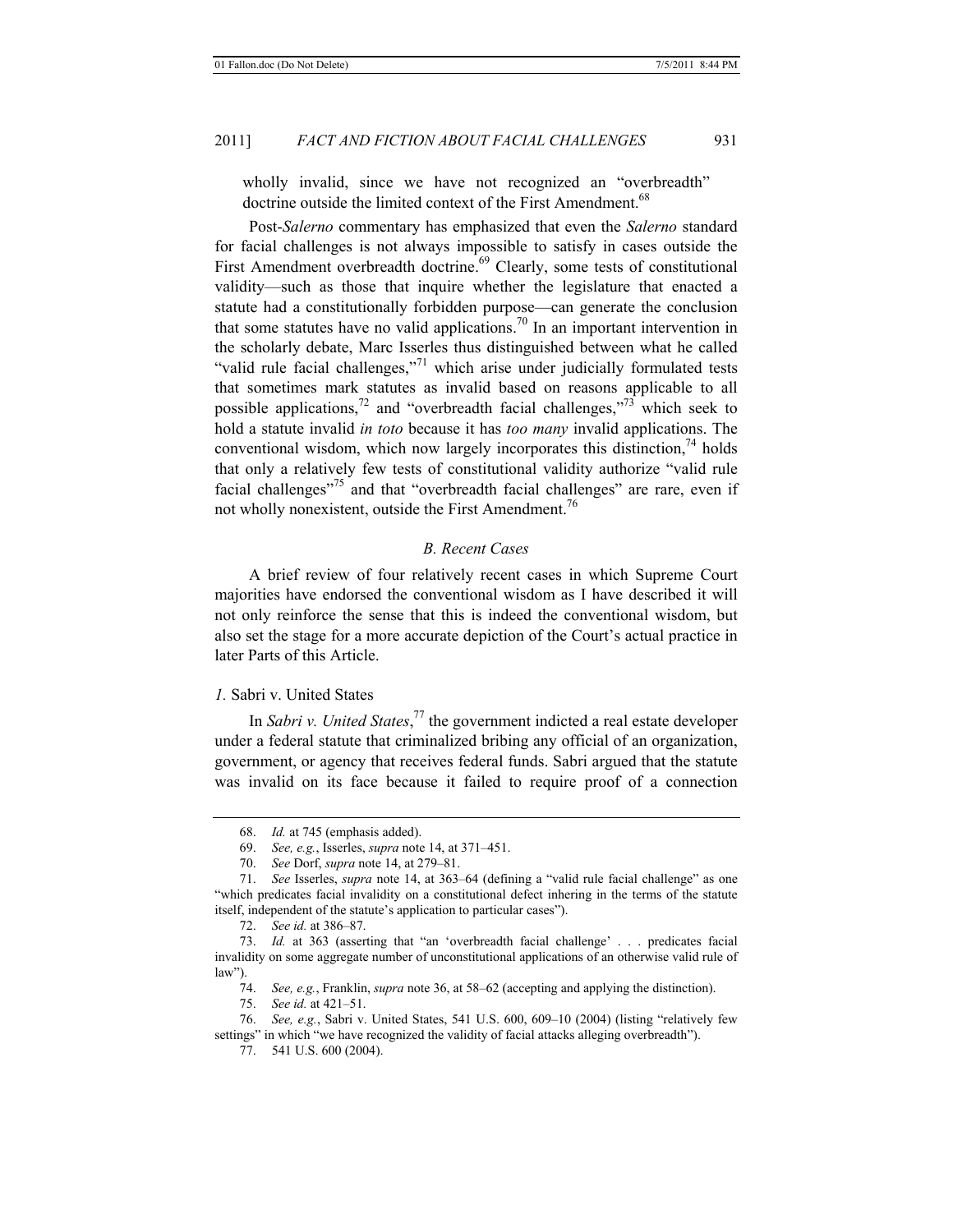wholly invalid, since we have not recognized an "overbreadth" doctrine outside the limited context of the First Amendment.<sup>68</sup>

Post-*Salerno* commentary has emphasized that even the *Salerno* standard for facial challenges is not always impossible to satisfy in cases outside the First Amendment overbreadth doctrine.<sup>69</sup> Clearly, some tests of constitutional validity—such as those that inquire whether the legislature that enacted a statute had a constitutionally forbidden purpose—can generate the conclusion that some statutes have no valid applications.<sup>70</sup> In an important intervention in the scholarly debate, Marc Isserles thus distinguished between what he called "valid rule facial challenges,"<sup>71</sup> which arise under judicially formulated tests that sometimes mark statutes as invalid based on reasons applicable to all possible applications,<sup>72</sup> and "overbreadth facial challenges,"<sup>73</sup> which seek to hold a statute invalid *in toto* because it has *too many* invalid applications. The conventional wisdom, which now largely incorporates this distinction,  $^{74}$  holds that only a relatively few tests of constitutional validity authorize "valid rule facial challenges<sup>"75</sup> and that "overbreadth facial challenges" are rare, even if not wholly nonexistent, outside the First Amendment.<sup>76</sup>

# *B. Recent Cases*

A brief review of four relatively recent cases in which Supreme Court majorities have endorsed the conventional wisdom as I have described it will not only reinforce the sense that this is indeed the conventional wisdom, but also set the stage for a more accurate depiction of the Court's actual practice in later Parts of this Article.

#### *1.* Sabri v. United States

In *Sabri v. United States*, 77 the government indicted a real estate developer under a federal statute that criminalized bribing any official of an organization, government, or agency that receives federal funds. Sabri argued that the statute was invalid on its face because it failed to require proof of a connection

<sup>68.</sup> *Id.* at 745 (emphasis added).

<sup>69.</sup> *See, e.g.*, Isserles, *supra* note 14, at 371–451.

<sup>70.</sup> *See* Dorf, *supra* note 14, at 279–81.

<sup>71.</sup> *See* Isserles, *supra* note 14, at 363–64 (defining a "valid rule facial challenge" as one "which predicates facial invalidity on a constitutional defect inhering in the terms of the statute itself, independent of the statute's application to particular cases").

<sup>72.</sup> *See id.* at 386–87.

<sup>73.</sup> *Id.* at 363 (asserting that "an 'overbreadth facial challenge' . . . predicates facial invalidity on some aggregate number of unconstitutional applications of an otherwise valid rule of law").

<sup>74.</sup> *See, e.g.*, Franklin, *supra* note 36, at 58–62 (accepting and applying the distinction).

<sup>75.</sup> *See id.* at 421–51.

<sup>76.</sup> *See, e.g.*, Sabri v. United States, 541 U.S. 600, 609–10 (2004) (listing "relatively few settings" in which "we have recognized the validity of facial attacks alleging overbreadth").

<sup>77. 541</sup> U.S. 600 (2004).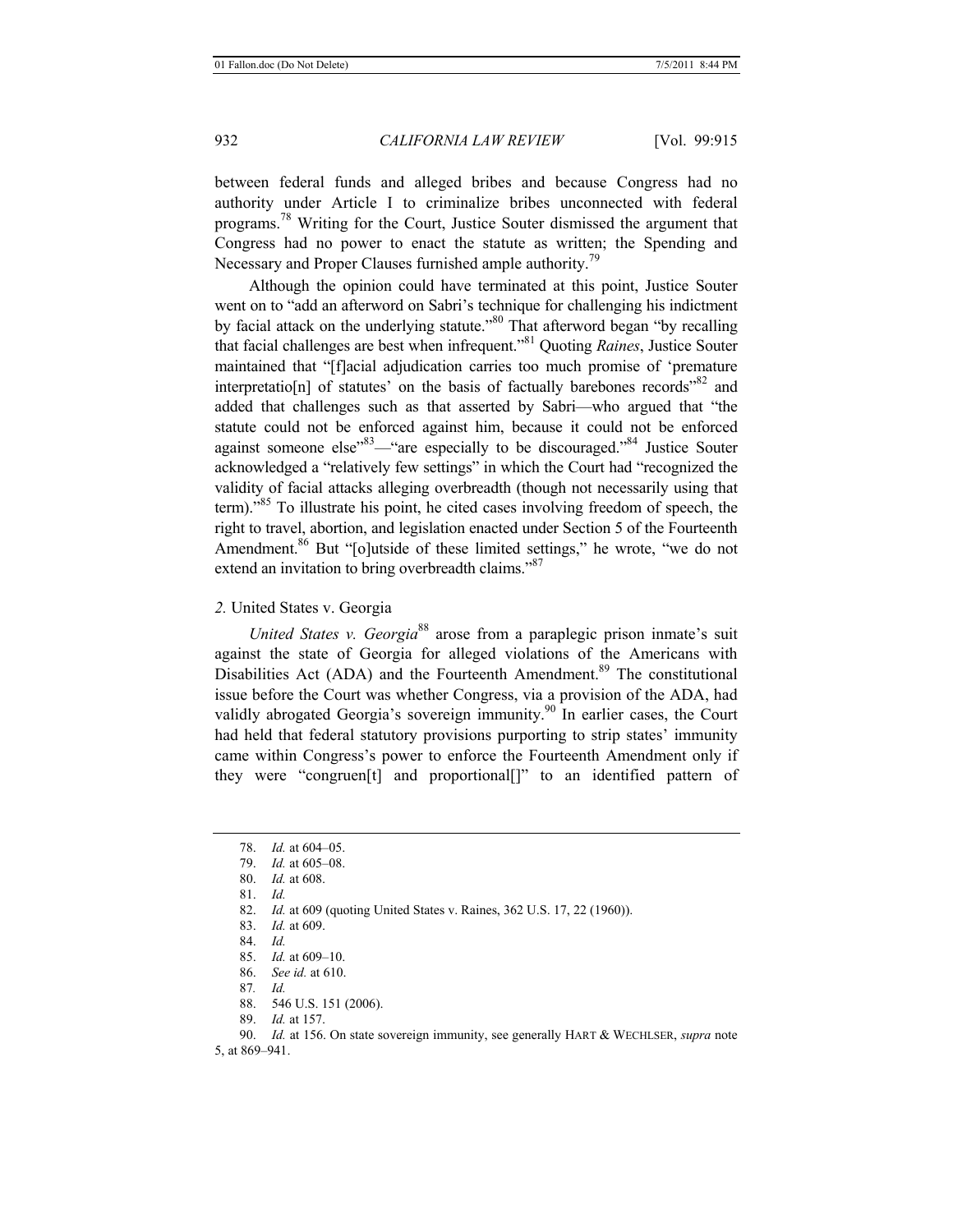between federal funds and alleged bribes and because Congress had no authority under Article I to criminalize bribes unconnected with federal programs.<sup>78</sup> Writing for the Court, Justice Souter dismissed the argument that Congress had no power to enact the statute as written; the Spending and Necessary and Proper Clauses furnished ample authority.<sup>79</sup>

Although the opinion could have terminated at this point, Justice Souter went on to "add an afterword on Sabri's technique for challenging his indictment by facial attack on the underlying statute."<sup>80</sup> That afterword began "by recalling that facial challenges are best when infrequent."81 Quoting *Raines*, Justice Souter maintained that "[f]acial adjudication carries too much promise of 'premature interpretatio[n] of statutes' on the basis of factually barebones records<sup> $32$ </sup> and added that challenges such as that asserted by Sabri—who argued that "the statute could not be enforced against him, because it could not be enforced against someone else"83—"are especially to be discouraged."84 Justice Souter acknowledged a "relatively few settings" in which the Court had "recognized the validity of facial attacks alleging overbreadth (though not necessarily using that term)."85 To illustrate his point, he cited cases involving freedom of speech, the right to travel, abortion, and legislation enacted under Section 5 of the Fourteenth Amendment.<sup>86</sup> But "[o]utside of these limited settings," he wrote, "we do not extend an invitation to bring overbreadth claims."<sup>87</sup>

*2.* United States v. Georgia

*United States v. Georgia*<sup>88</sup> arose from a paraplegic prison inmate's suit against the state of Georgia for alleged violations of the Americans with Disabilities Act (ADA) and the Fourteenth Amendment.<sup>89</sup> The constitutional issue before the Court was whether Congress, via a provision of the ADA, had validly abrogated Georgia's sovereign immunity.<sup>90</sup> In earlier cases, the Court had held that federal statutory provisions purporting to strip states' immunity came within Congress's power to enforce the Fourteenth Amendment only if they were "congruen[t] and proportional[]" to an identified pattern of

81. *Id.*

- 83. *Id.* at 609.
- 84. *Id.*

86. *See id.* at 610.

- 88. 546 U.S. 151 (2006).
- 89. *Id.* at 157.

90. *Id.* at 156. On state sovereign immunity, see generally HART & WECHLSER, *supra* note 5, at 869–941.

<sup>78.</sup> *Id.* at 604–05.

<sup>79.</sup> *Id.* at 605–08.

<sup>80.</sup> *Id.* at 608.

<sup>82.</sup> *Id.* at 609 (quoting United States v. Raines, 362 U.S. 17, 22 (1960)).

<sup>85.</sup> *Id.* at 609–10.

<sup>87</sup>*. Id.*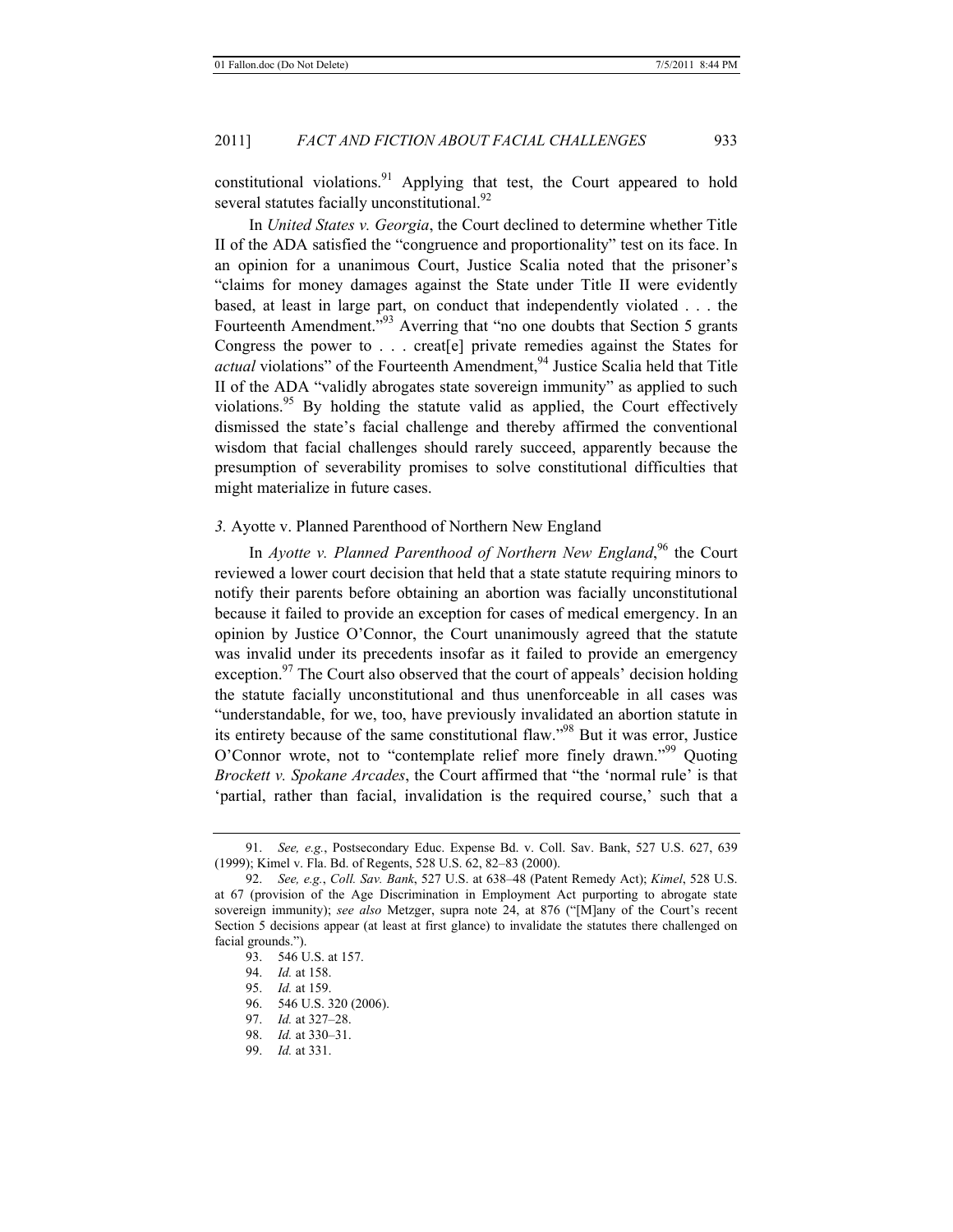constitutional violations.<sup>91</sup> Applying that test, the Court appeared to hold several statutes facially unconstitutional.<sup>92</sup>

In *United States v. Georgia*, the Court declined to determine whether Title II of the ADA satisfied the "congruence and proportionality" test on its face. In an opinion for a unanimous Court, Justice Scalia noted that the prisoner's "claims for money damages against the State under Title II were evidently based, at least in large part, on conduct that independently violated . . . the Fourteenth Amendment.<sup>"93</sup> Averring that "no one doubts that Section 5 grants" Congress the power to . . . creat[e] private remedies against the States for *actual* violations" of the Fourteenth Amendment,<sup>94</sup> Justice Scalia held that Title II of the ADA "validly abrogates state sovereign immunity" as applied to such violations.<sup>95</sup> By holding the statute valid as applied, the Court effectively dismissed the state's facial challenge and thereby affirmed the conventional wisdom that facial challenges should rarely succeed, apparently because the presumption of severability promises to solve constitutional difficulties that might materialize in future cases.

# *3.* Ayotte v. Planned Parenthood of Northern New England

In *Ayotte v. Planned Parenthood of Northern New England*,<sup>96</sup> the Court reviewed a lower court decision that held that a state statute requiring minors to notify their parents before obtaining an abortion was facially unconstitutional because it failed to provide an exception for cases of medical emergency. In an opinion by Justice O'Connor, the Court unanimously agreed that the statute was invalid under its precedents insofar as it failed to provide an emergency exception.<sup>97</sup> The Court also observed that the court of appeals' decision holding the statute facially unconstitutional and thus unenforceable in all cases was "understandable, for we, too, have previously invalidated an abortion statute in its entirety because of the same constitutional flaw."98 But it was error, Justice O'Connor wrote, not to "contemplate relief more finely drawn."99 Quoting *Brockett v. Spokane Arcades*, the Court affirmed that "the 'normal rule' is that 'partial, rather than facial, invalidation is the required course,' such that a

- 96. 546 U.S. 320 (2006).
- 97. *Id.* at 327–28.
- 98. *Id.* at 330–31.
- 99. *Id.* at 331.

<sup>91.</sup> *See, e.g.*, Postsecondary Educ. Expense Bd. v. Coll. Sav. Bank, 527 U.S. 627, 639 (1999); Kimel v. Fla. Bd. of Regents, 528 U.S. 62, 82–83 (2000).

<sup>92.</sup> *See, e.g.*, *Coll. Sav. Bank*, 527 U.S. at 638–48 (Patent Remedy Act); *Kimel*, 528 U.S. at 67 (provision of the Age Discrimination in Employment Act purporting to abrogate state sovereign immunity); *see also* Metzger, supra note 24, at 876 ("[M]any of the Court's recent Section 5 decisions appear (at least at first glance) to invalidate the statutes there challenged on facial grounds.").

 <sup>93. 546</sup> U.S. at 157.

<sup>94.</sup> *Id.* at 158.

<sup>95.</sup> *Id.* at 159.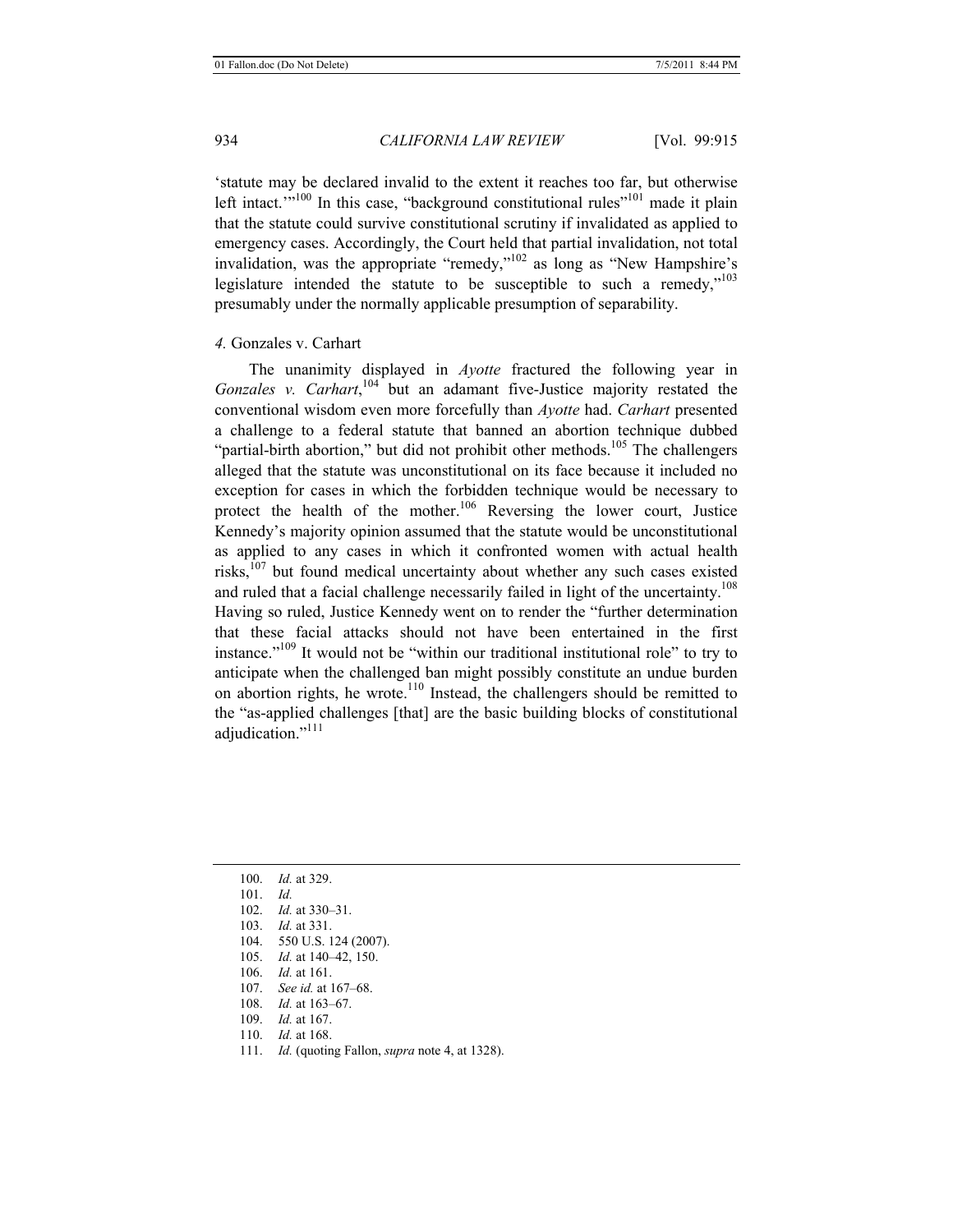'statute may be declared invalid to the extent it reaches too far, but otherwise left intact. $1000$  In this case, "background constitutional rules"<sup>101</sup> made it plain that the statute could survive constitutional scrutiny if invalidated as applied to emergency cases. Accordingly, the Court held that partial invalidation, not total invalidation, was the appropriate "remedy,"102 as long as "New Hampshire's legislature intended the statute to be susceptible to such a remedy,"103 presumably under the normally applicable presumption of separability.

#### *4.* Gonzales v. Carhart

The unanimity displayed in *Ayotte* fractured the following year in Gonzales v. Carhart,<sup>104</sup> but an adamant five-Justice majority restated the conventional wisdom even more forcefully than *Ayotte* had. *Carhart* presented a challenge to a federal statute that banned an abortion technique dubbed "partial-birth abortion," but did not prohibit other methods.<sup>105</sup> The challengers alleged that the statute was unconstitutional on its face because it included no exception for cases in which the forbidden technique would be necessary to protect the health of the mother.<sup>106</sup> Reversing the lower court, Justice Kennedy's majority opinion assumed that the statute would be unconstitutional as applied to any cases in which it confronted women with actual health risks, $107$  but found medical uncertainty about whether any such cases existed and ruled that a facial challenge necessarily failed in light of the uncertainty.<sup>108</sup> Having so ruled, Justice Kennedy went on to render the "further determination that these facial attacks should not have been entertained in the first instance."109 It would not be "within our traditional institutional role" to try to anticipate when the challenged ban might possibly constitute an undue burden on abortion rights, he wrote.<sup>110</sup> Instead, the challengers should be remitted to the "as-applied challenges [that] are the basic building blocks of constitutional adjudication."<sup>111</sup>

- 103. *Id.* at 331.
- 104. 550 U.S. 124 (2007).
- 105. *Id.* at 140–42, 150.
- 106. *Id.* at 161.
- 107. *See id.* at 167–68.
- 108. *Id.* at 163–67.
- 109. *Id.* at 167.
- 110. *Id.* at 168.
- 111. *Id.* (quoting Fallon, *supra* note 4, at 1328).

<sup>100.</sup> *Id.* at 329.

<sup>101.</sup> *Id.*

<sup>102.</sup> *Id.* at 330–31.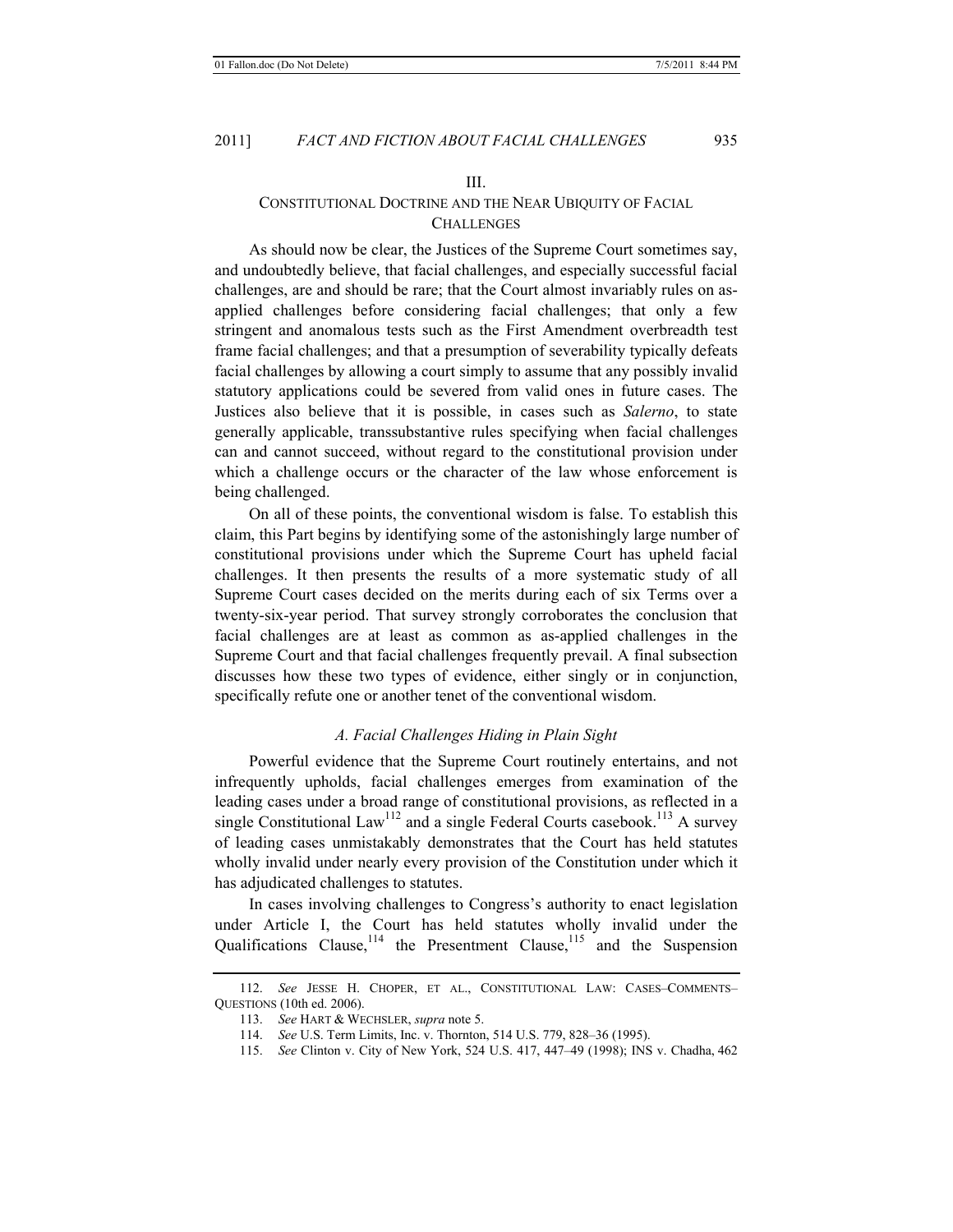#### III.

# CONSTITUTIONAL DOCTRINE AND THE NEAR UBIQUITY OF FACIAL **CHALLENGES**

As should now be clear, the Justices of the Supreme Court sometimes say, and undoubtedly believe, that facial challenges, and especially successful facial challenges, are and should be rare; that the Court almost invariably rules on asapplied challenges before considering facial challenges; that only a few stringent and anomalous tests such as the First Amendment overbreadth test frame facial challenges; and that a presumption of severability typically defeats facial challenges by allowing a court simply to assume that any possibly invalid statutory applications could be severed from valid ones in future cases. The Justices also believe that it is possible, in cases such as *Salerno*, to state generally applicable, transsubstantive rules specifying when facial challenges can and cannot succeed, without regard to the constitutional provision under which a challenge occurs or the character of the law whose enforcement is being challenged.

On all of these points, the conventional wisdom is false. To establish this claim, this Part begins by identifying some of the astonishingly large number of constitutional provisions under which the Supreme Court has upheld facial challenges. It then presents the results of a more systematic study of all Supreme Court cases decided on the merits during each of six Terms over a twenty-six-year period. That survey strongly corroborates the conclusion that facial challenges are at least as common as as-applied challenges in the Supreme Court and that facial challenges frequently prevail. A final subsection discusses how these two types of evidence, either singly or in conjunction, specifically refute one or another tenet of the conventional wisdom.

#### *A. Facial Challenges Hiding in Plain Sight*

Powerful evidence that the Supreme Court routinely entertains, and not infrequently upholds, facial challenges emerges from examination of the leading cases under a broad range of constitutional provisions, as reflected in a single Constitutional  $Law<sup>112</sup>$  and a single Federal Courts casebook.<sup>113</sup> A survey of leading cases unmistakably demonstrates that the Court has held statutes wholly invalid under nearly every provision of the Constitution under which it has adjudicated challenges to statutes.

In cases involving challenges to Congress's authority to enact legislation under Article I, the Court has held statutes wholly invalid under the Qualifications Clause, $114$  the Presentment Clause, $115$  and the Suspension

<sup>112.</sup> *See* JESSE H. CHOPER, ET AL., CONSTITUTIONAL LAW: CASES–COMMENTS– QUESTIONS (10th ed. 2006).

<sup>113.</sup> *See* HART & WECHSLER, *supra* note 5.

<sup>114.</sup> *See* U.S. Term Limits, Inc. v. Thornton, 514 U.S. 779, 828–36 (1995).

<sup>115.</sup> *See* Clinton v. City of New York, 524 U.S. 417, 447–49 (1998); INS v. Chadha, 462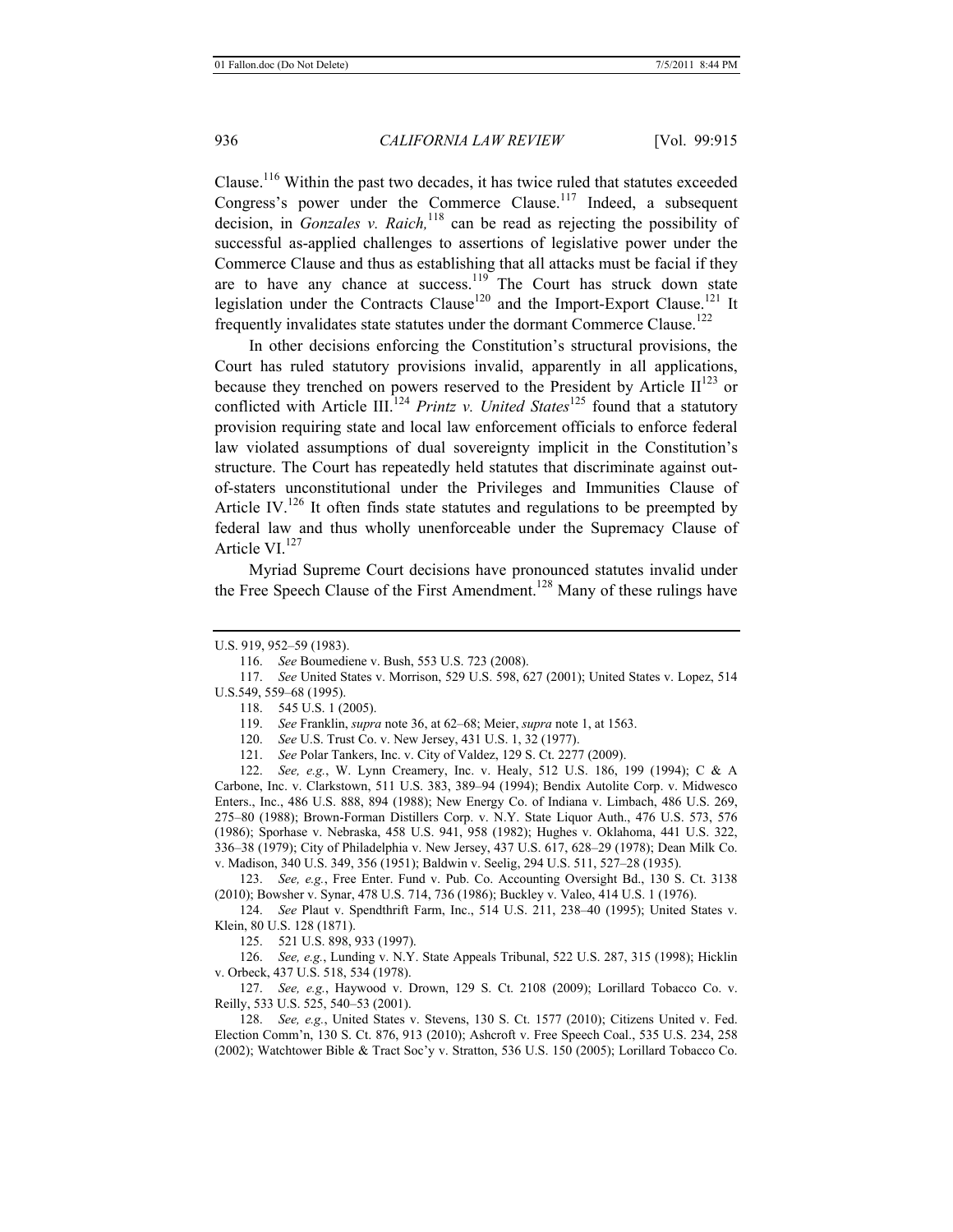Clause.<sup>116</sup> Within the past two decades, it has twice ruled that statutes exceeded Congress's power under the Commerce Clause.<sup>117</sup> Indeed, a subsequent decision, in *Gonzales v. Raich,*118 can be read as rejecting the possibility of successful as-applied challenges to assertions of legislative power under the Commerce Clause and thus as establishing that all attacks must be facial if they are to have any chance at success.<sup>119</sup> The Court has struck down state legislation under the Contracts Clause<sup>120</sup> and the Import-Export Clause.<sup>121</sup> It frequently invalidates state statutes under the dormant Commerce Clause.<sup>122</sup>

In other decisions enforcing the Constitution's structural provisions, the Court has ruled statutory provisions invalid, apparently in all applications, because they trenched on powers reserved to the President by Article  $II^{123}$  or conflicted with Article III.<sup>124</sup> *Printz v. United States*<sup>125</sup> found that a statutory provision requiring state and local law enforcement officials to enforce federal law violated assumptions of dual sovereignty implicit in the Constitution's structure. The Court has repeatedly held statutes that discriminate against outof-staters unconstitutional under the Privileges and Immunities Clause of Article IV.<sup>126</sup> It often finds state statutes and regulations to be preempted by federal law and thus wholly unenforceable under the Supremacy Clause of Article VI.<sup>127</sup>

Myriad Supreme Court decisions have pronounced statutes invalid under the Free Speech Clause of the First Amendment.<sup>128</sup> Many of these rulings have

120. *See* U.S. Trust Co. v. New Jersey, 431 U.S. 1, 32 (1977).

121. *See* Polar Tankers, Inc. v. City of Valdez, 129 S. Ct. 2277 (2009).

122. *See, e.g.*, W. Lynn Creamery, Inc. v. Healy, 512 U.S. 186, 199 (1994); C & A Carbone, Inc. v. Clarkstown, 511 U.S. 383, 389–94 (1994); Bendix Autolite Corp. v. Midwesco Enters., Inc., 486 U.S. 888, 894 (1988); New Energy Co. of Indiana v. Limbach, 486 U.S. 269, 275–80 (1988); Brown-Forman Distillers Corp. v. N.Y. State Liquor Auth., 476 U.S. 573, 576 (1986); Sporhase v. Nebraska, 458 U.S. 941, 958 (1982); Hughes v. Oklahoma, 441 U.S. 322, 336–38 (1979); City of Philadelphia v. New Jersey, 437 U.S. 617, 628–29 (1978); Dean Milk Co. v. Madison, 340 U.S. 349, 356 (1951); Baldwin v. Seelig, 294 U.S. 511, 527–28 (1935).

123. *See, e.g.*, Free Enter. Fund v. Pub. Co. Accounting Oversight Bd., 130 S. Ct. 3138 (2010); Bowsher v. Synar, 478 U.S. 714, 736 (1986); Buckley v. Valeo, 414 U.S. 1 (1976).

124. *See* Plaut v. Spendthrift Farm, Inc., 514 U.S. 211, 238–40 (1995); United States v. Klein, 80 U.S. 128 (1871).

125. 521 U.S. 898, 933 (1997).

126. *See, e.g.*, Lunding v. N.Y. State Appeals Tribunal, 522 U.S. 287, 315 (1998); Hicklin v. Orbeck, 437 U.S. 518, 534 (1978).

127. *See, e.g.*, Haywood v. Drown, 129 S. Ct. 2108 (2009); Lorillard Tobacco Co. v. Reilly, 533 U.S. 525, 540–53 (2001).

128. *See, e.g.*, United States v. Stevens, 130 S. Ct. 1577 (2010); Citizens United v. Fed. Election Comm'n, 130 S. Ct. 876, 913 (2010); Ashcroft v. Free Speech Coal., 535 U.S. 234, 258 (2002); Watchtower Bible & Tract Soc'y v. Stratton, 536 U.S. 150 (2005); Lorillard Tobacco Co.

U.S. 919, 952–59 (1983).

<sup>116.</sup> *See* Boumediene v. Bush, 553 U.S. 723 (2008).

<sup>117.</sup> *See* United States v. Morrison, 529 U.S. 598, 627 (2001); United States v. Lopez, 514 U.S.549, 559–68 (1995).

<sup>118. 545</sup> U.S. 1 (2005).

<sup>119.</sup> *See* Franklin, *supra* note 36, at 62–68; Meier, *supra* note 1, at 1563.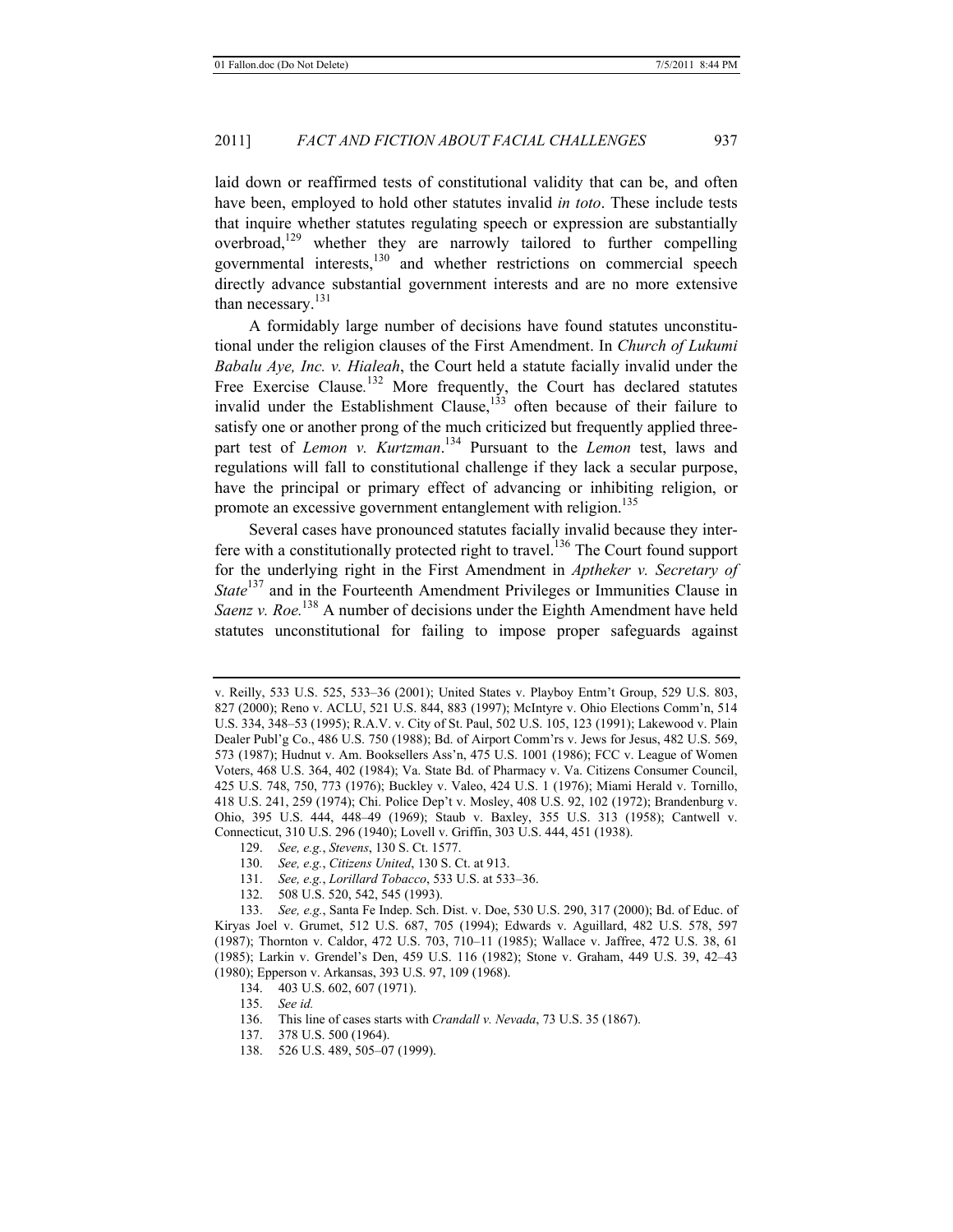laid down or reaffirmed tests of constitutional validity that can be, and often have been, employed to hold other statutes invalid *in toto*. These include tests that inquire whether statutes regulating speech or expression are substantially overbroad,  $129$  whether they are narrowly tailored to further compelling governmental interests,130 and whether restrictions on commercial speech directly advance substantial government interests and are no more extensive than necessary. $^{131}$ 

A formidably large number of decisions have found statutes unconstitutional under the religion clauses of the First Amendment. In *Church of Lukumi Babalu Aye, Inc. v. Hialeah*, the Court held a statute facially invalid under the Free Exercise Clause.<sup>132</sup> More frequently, the Court has declared statutes invalid under the Establishment Clause, $133$  often because of their failure to satisfy one or another prong of the much criticized but frequently applied threepart test of *Lemon v. Kurtzman*. 134 Pursuant to the *Lemon* test, laws and regulations will fall to constitutional challenge if they lack a secular purpose, have the principal or primary effect of advancing or inhibiting religion, or promote an excessive government entanglement with religion.<sup>135</sup>

Several cases have pronounced statutes facially invalid because they interfere with a constitutionally protected right to travel.<sup>136</sup> The Court found support for the underlying right in the First Amendment in *Aptheker v. Secretary of State*<sup>137</sup> and in the Fourteenth Amendment Privileges or Immunities Clause in *Saenz v. Roe.*<sup>138</sup> A number of decisions under the Eighth Amendment have held statutes unconstitutional for failing to impose proper safeguards against

- 129. *See, e.g.*, *Stevens*, 130 S. Ct. 1577.
- 130. *See, e.g.*, *Citizens United*, 130 S. Ct. at 913.
- 131. *See, e.g.*, *Lorillard Tobacco*, 533 U.S. at 533–36.
- 132. 508 U.S. 520, 542, 545 (1993).

133. *See, e.g.*, Santa Fe Indep. Sch. Dist. v. Doe, 530 U.S. 290, 317 (2000); Bd. of Educ. of Kiryas Joel v. Grumet, 512 U.S. 687, 705 (1994); Edwards v. Aguillard, 482 U.S. 578, 597 (1987); Thornton v. Caldor, 472 U.S. 703, 710–11 (1985); Wallace v. Jaffree, 472 U.S. 38, 61 (1985); Larkin v. Grendel's Den, 459 U.S. 116 (1982); Stone v. Graham, 449 U.S. 39, 42–43 (1980); Epperson v. Arkansas, 393 U.S. 97, 109 (1968).

- 134. 403 U.S. 602, 607 (1971).
- 135. *See id.*
- 136. This line of cases starts with *Crandall v. Nevada*, 73 U.S. 35 (1867).
- 137. 378 U.S. 500 (1964).
- 138. 526 U.S. 489, 505–07 (1999).

v. Reilly, 533 U.S. 525, 533–36 (2001); United States v. Playboy Entm't Group, 529 U.S. 803, 827 (2000); Reno v. ACLU, 521 U.S. 844, 883 (1997); McIntyre v. Ohio Elections Comm'n, 514 U.S. 334, 348–53 (1995); R.A.V. v. City of St. Paul, 502 U.S. 105, 123 (1991); Lakewood v. Plain Dealer Publ'g Co., 486 U.S. 750 (1988); Bd. of Airport Comm'rs v. Jews for Jesus, 482 U.S. 569, 573 (1987); Hudnut v. Am. Booksellers Ass'n, 475 U.S. 1001 (1986); FCC v. League of Women Voters, 468 U.S. 364, 402 (1984); Va. State Bd. of Pharmacy v. Va. Citizens Consumer Council, 425 U.S. 748, 750, 773 (1976); Buckley v. Valeo, 424 U.S. 1 (1976); Miami Herald v. Tornillo, 418 U.S. 241, 259 (1974); Chi. Police Dep't v. Mosley, 408 U.S. 92, 102 (1972); Brandenburg v. Ohio, 395 U.S. 444, 448–49 (1969); Staub v. Baxley, 355 U.S. 313 (1958); Cantwell v. Connecticut, 310 U.S. 296 (1940); Lovell v. Griffin, 303 U.S. 444, 451 (1938).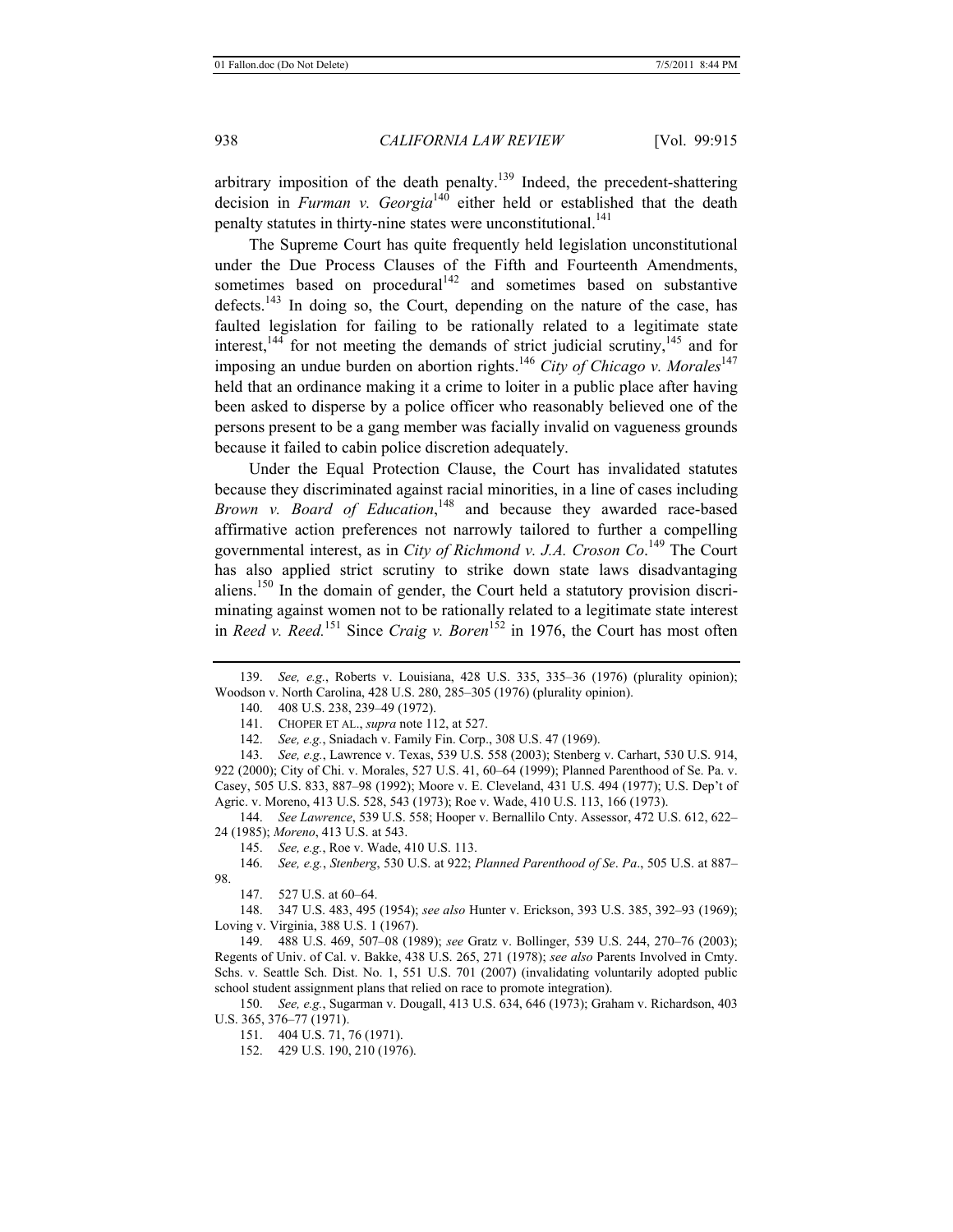arbitrary imposition of the death penalty.139 Indeed, the precedent-shattering decision in *Furman v. Georgia*140 either held or established that the death penalty statutes in thirty-nine states were unconstitutional.<sup>141</sup>

The Supreme Court has quite frequently held legislation unconstitutional under the Due Process Clauses of the Fifth and Fourteenth Amendments, sometimes based on procedural<sup>142</sup> and sometimes based on substantive defects.<sup>143</sup> In doing so, the Court, depending on the nature of the case, has faulted legislation for failing to be rationally related to a legitimate state interest,  $^{144}$  for not meeting the demands of strict judicial scrutiny,  $^{145}$  and for imposing an undue burden on abortion rights.<sup>146</sup> *City of Chicago v. Morales*<sup>147</sup> held that an ordinance making it a crime to loiter in a public place after having been asked to disperse by a police officer who reasonably believed one of the persons present to be a gang member was facially invalid on vagueness grounds because it failed to cabin police discretion adequately.

Under the Equal Protection Clause, the Court has invalidated statutes because they discriminated against racial minorities, in a line of cases including *Brown v. Board of Education*, 148 and because they awarded race-based affirmative action preferences not narrowly tailored to further a compelling governmental interest, as in *City of Richmond v. J.A. Croson Co.*<sup>149</sup> The Court has also applied strict scrutiny to strike down state laws disadvantaging aliens.<sup>150</sup> In the domain of gender, the Court held a statutory provision discriminating against women not to be rationally related to a legitimate state interest in *Reed v. Reed.*<sup>151</sup> Since *Craig v. Boren*<sup>152</sup> in 1976, the Court has most often

140. 408 U.S. 238, 239–49 (1972).

141. CHOPER ET AL., *supra* note 112, at 527.

142. *See, e.g.*, Sniadach v. Family Fin. Corp., 308 U.S. 47 (1969).

143. *See, e.g.*, Lawrence v. Texas, 539 U.S. 558 (2003); Stenberg v. Carhart, 530 U.S. 914, 922 (2000); City of Chi. v. Morales, 527 U.S. 41, 60–64 (1999); Planned Parenthood of Se. Pa. v. Casey, 505 U.S. 833, 887–98 (1992); Moore v. E. Cleveland, 431 U.S. 494 (1977); U.S. Dep't of Agric. v. Moreno, 413 U.S. 528, 543 (1973); Roe v. Wade, 410 U.S. 113, 166 (1973).

144. *See Lawrence*, 539 U.S. 558; Hooper v. Bernallilo Cnty. Assessor, 472 U.S. 612, 622– 24 (1985); *Moreno*, 413 U.S. at 543.

145. *See, e.g.*, Roe v. Wade, 410 U.S. 113.

146. *See, e.g.*, *Stenberg*, 530 U.S. at 922; *Planned Parenthood of Se*. *Pa*., 505 U.S. at 887– 98.

147. 527 U.S. at 60–64.

148. 347 U.S. 483, 495 (1954); *see also* Hunter v. Erickson, 393 U.S. 385, 392–93 (1969); Loving v. Virginia, 388 U.S. 1 (1967).

149. 488 U.S. 469, 507–08 (1989); *see* Gratz v. Bollinger, 539 U.S. 244, 270–76 (2003); Regents of Univ. of Cal. v. Bakke, 438 U.S. 265, 271 (1978); *see also* Parents Involved in Cmty. Schs. v. Seattle Sch. Dist. No. 1, 551 U.S. 701 (2007) (invalidating voluntarily adopted public school student assignment plans that relied on race to promote integration).

150. *See, e.g.*, Sugarman v. Dougall, 413 U.S. 634, 646 (1973); Graham v. Richardson, 403 U.S. 365, 376–77 (1971).

151. 404 U.S. 71, 76 (1971).

152. 429 U.S. 190, 210 (1976).

<sup>139.</sup> *See, e.g.*, Roberts v. Louisiana, 428 U.S. 335, 335–36 (1976) (plurality opinion); Woodson v. North Carolina, 428 U.S. 280, 285–305 (1976) (plurality opinion).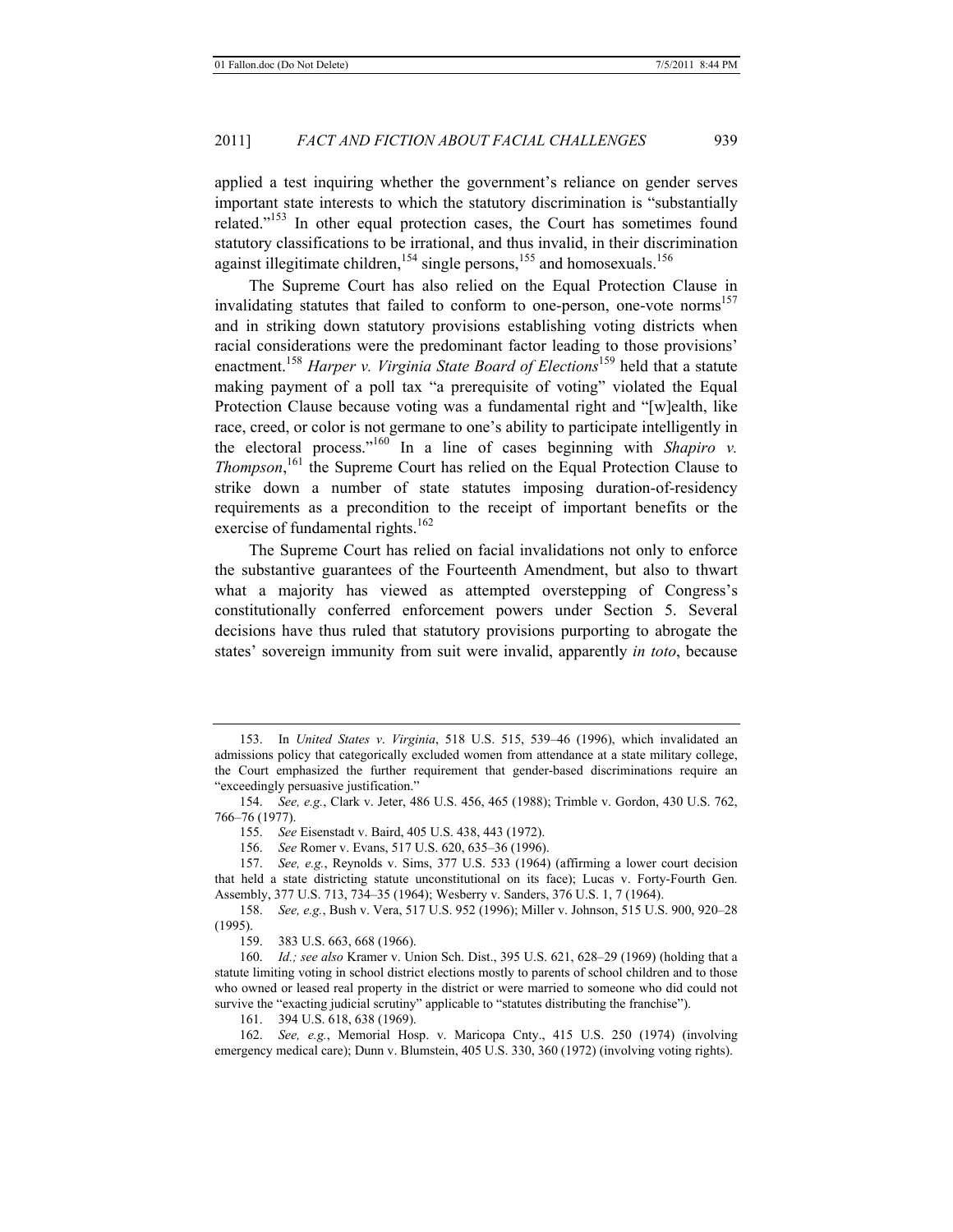applied a test inquiring whether the government's reliance on gender serves important state interests to which the statutory discrimination is "substantially related."153 In other equal protection cases, the Court has sometimes found statutory classifications to be irrational, and thus invalid, in their discrimination against illegitimate children,<sup>154</sup> single persons,<sup>155</sup> and homosexuals.<sup>156</sup>

The Supreme Court has also relied on the Equal Protection Clause in invalidating statutes that failed to conform to one-person, one-vote norms<sup>157</sup> and in striking down statutory provisions establishing voting districts when racial considerations were the predominant factor leading to those provisions' enactment.<sup>158</sup> *Harper v. Virginia State Board of Elections*159 held that a statute making payment of a poll tax "a prerequisite of voting" violated the Equal Protection Clause because voting was a fundamental right and "[w]ealth, like race, creed, or color is not germane to one's ability to participate intelligently in the electoral process."<sup>160</sup> In a line of cases beginning with *Shapiro v. Thompson*, 161 the Supreme Court has relied on the Equal Protection Clause to strike down a number of state statutes imposing duration-of-residency requirements as a precondition to the receipt of important benefits or the exercise of fundamental rights.<sup>162</sup>

The Supreme Court has relied on facial invalidations not only to enforce the substantive guarantees of the Fourteenth Amendment, but also to thwart what a majority has viewed as attempted overstepping of Congress's constitutionally conferred enforcement powers under Section 5. Several decisions have thus ruled that statutory provisions purporting to abrogate the states' sovereign immunity from suit were invalid, apparently *in toto*, because

156. *See* Romer v. Evans, 517 U.S. 620, 635–36 (1996).

161. 394 U.S. 618, 638 (1969).

162. *See, e.g.*, Memorial Hosp. v. Maricopa Cnty., 415 U.S. 250 (1974) (involving emergency medical care); Dunn v. Blumstein, 405 U.S. 330, 360 (1972) (involving voting rights).

<sup>153.</sup> In *United States v*. *Virginia*, 518 U.S. 515, 539–46 (1996), which invalidated an admissions policy that categorically excluded women from attendance at a state military college, the Court emphasized the further requirement that gender-based discriminations require an "exceedingly persuasive justification."

<sup>154.</sup> *See, e.g.*, Clark v. Jeter, 486 U.S. 456, 465 (1988); Trimble v. Gordon, 430 U.S. 762, 766–76 (1977).

<sup>155.</sup> *See* Eisenstadt v. Baird, 405 U.S. 438, 443 (1972).

<sup>157.</sup> *See, e.g.*, Reynolds v. Sims, 377 U.S. 533 (1964) (affirming a lower court decision that held a state districting statute unconstitutional on its face); Lucas v. Forty-Fourth Gen. Assembly, 377 U.S. 713, 734–35 (1964); Wesberry v. Sanders, 376 U.S. 1, 7 (1964).

<sup>158.</sup> *See, e.g.*, Bush v. Vera, 517 U.S. 952 (1996); Miller v. Johnson, 515 U.S. 900, 920–28 (1995).

<sup>159. 383</sup> U.S. 663, 668 (1966).

<sup>160.</sup> *Id.; see also* Kramer v. Union Sch. Dist., 395 U.S. 621, 628–29 (1969) (holding that a statute limiting voting in school district elections mostly to parents of school children and to those who owned or leased real property in the district or were married to someone who did could not survive the "exacting judicial scrutiny" applicable to "statutes distributing the franchise").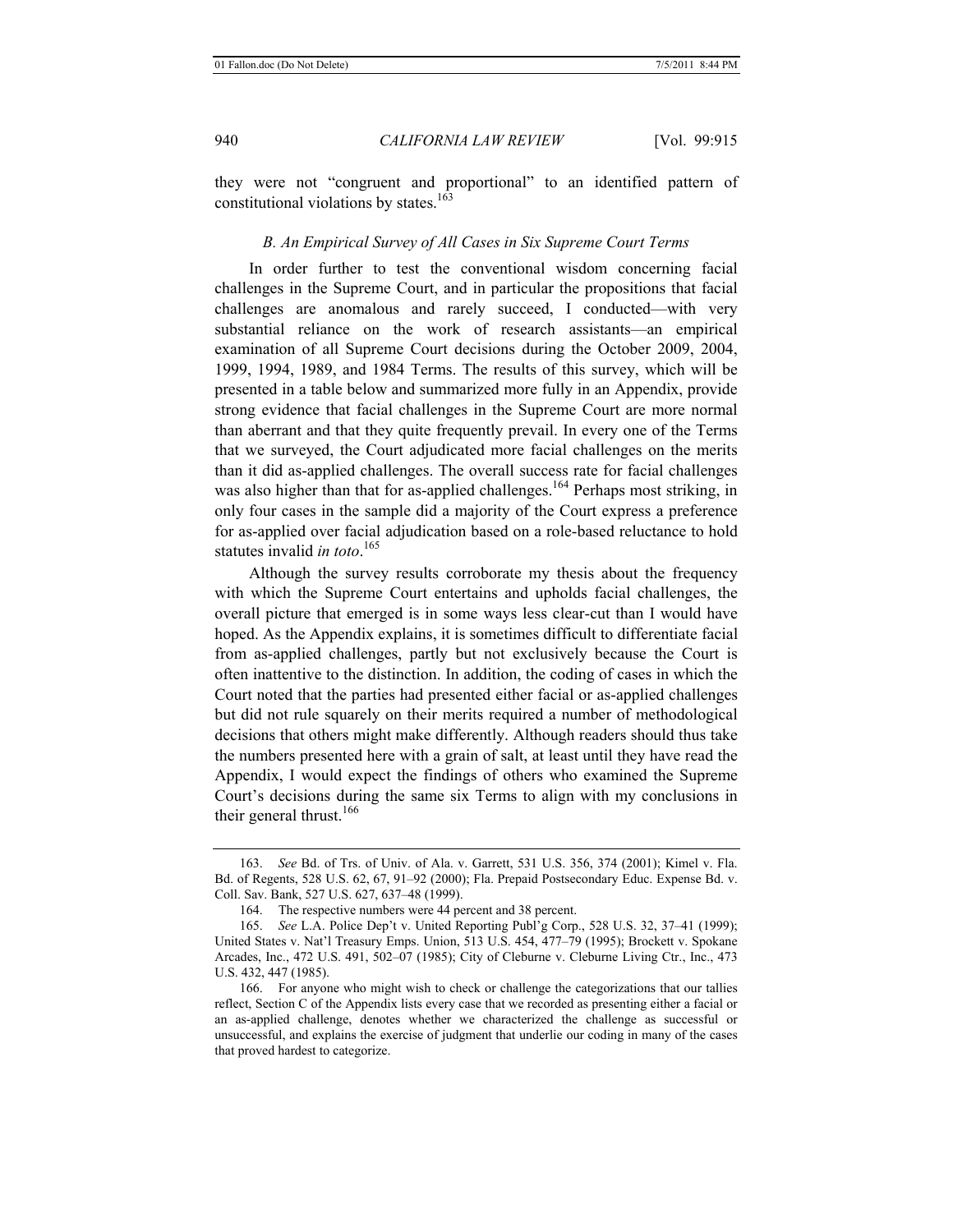they were not "congruent and proportional" to an identified pattern of constitutional violations by states. $163$ 

# *B. An Empirical Survey of All Cases in Six Supreme Court Terms*

In order further to test the conventional wisdom concerning facial challenges in the Supreme Court, and in particular the propositions that facial challenges are anomalous and rarely succeed, I conducted—with very substantial reliance on the work of research assistants—an empirical examination of all Supreme Court decisions during the October 2009, 2004, 1999, 1994, 1989, and 1984 Terms. The results of this survey, which will be presented in a table below and summarized more fully in an Appendix, provide strong evidence that facial challenges in the Supreme Court are more normal than aberrant and that they quite frequently prevail. In every one of the Terms that we surveyed, the Court adjudicated more facial challenges on the merits than it did as-applied challenges. The overall success rate for facial challenges was also higher than that for as-applied challenges.<sup>164</sup> Perhaps most striking, in only four cases in the sample did a majority of the Court express a preference for as-applied over facial adjudication based on a role-based reluctance to hold statutes invalid *in toto*. 165

Although the survey results corroborate my thesis about the frequency with which the Supreme Court entertains and upholds facial challenges, the overall picture that emerged is in some ways less clear-cut than I would have hoped. As the Appendix explains, it is sometimes difficult to differentiate facial from as-applied challenges, partly but not exclusively because the Court is often inattentive to the distinction. In addition, the coding of cases in which the Court noted that the parties had presented either facial or as-applied challenges but did not rule squarely on their merits required a number of methodological decisions that others might make differently. Although readers should thus take the numbers presented here with a grain of salt, at least until they have read the Appendix, I would expect the findings of others who examined the Supreme Court's decisions during the same six Terms to align with my conclusions in their general thrust.<sup>166</sup>

<sup>163.</sup> *See* Bd. of Trs. of Univ. of Ala. v. Garrett, 531 U.S. 356, 374 (2001); Kimel v. Fla. Bd. of Regents, 528 U.S. 62, 67, 91–92 (2000); Fla. Prepaid Postsecondary Educ. Expense Bd. v. Coll. Sav. Bank, 527 U.S. 627, 637–48 (1999).

<sup>164.</sup> The respective numbers were 44 percent and 38 percent.

<sup>165.</sup> *See* L.A. Police Dep't v. United Reporting Publ'g Corp., 528 U.S. 32, 37–41 (1999); United States v. Nat'l Treasury Emps. Union, 513 U.S. 454, 477–79 (1995); Brockett v. Spokane Arcades, Inc., 472 U.S. 491, 502–07 (1985); City of Cleburne v. Cleburne Living Ctr., Inc., 473 U.S. 432, 447 (1985).

<sup>166.</sup> For anyone who might wish to check or challenge the categorizations that our tallies reflect, Section C of the Appendix lists every case that we recorded as presenting either a facial or an as-applied challenge, denotes whether we characterized the challenge as successful or unsuccessful, and explains the exercise of judgment that underlie our coding in many of the cases that proved hardest to categorize.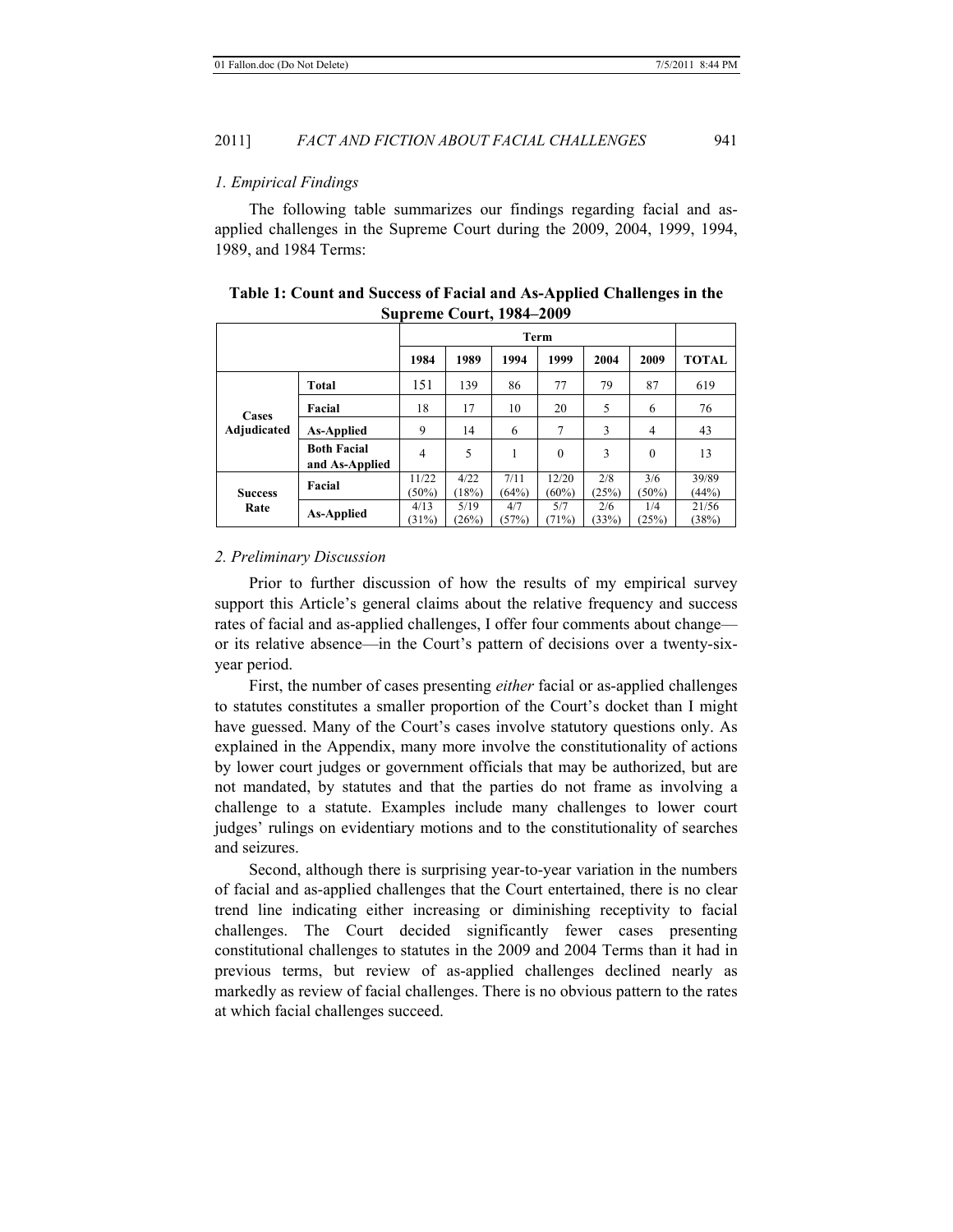#### *1. Empirical Findings*

The following table summarizes our findings regarding facial and asapplied challenges in the Supreme Court during the 2009, 2004, 1999, 1994, 1989, and 1984 Terms:

|                        | Term                                 |                |               |               |                |              |                |                |
|------------------------|--------------------------------------|----------------|---------------|---------------|----------------|--------------|----------------|----------------|
|                        |                                      | 1984           | 1989          | 1994          | 1999           | 2004         | 2009           | <b>TOTAL</b>   |
| Cases<br>Adjudicated   | Total                                | 151            | 139           | 86            | 77             | 79           | 87             | 619            |
|                        | Facial                               | 18             | 17            | 10            | 20             | 5            | 6              | 76             |
|                        | <b>As-Applied</b>                    | 9              | 14            | 6             | 7              | 3            | $\overline{4}$ | 43             |
|                        | <b>Both Facial</b><br>and As-Applied | 4              | 5             |               | $\theta$       | 3            | $\theta$       | 13             |
| <b>Success</b><br>Rate | Facial                               | 11/22<br>(50%) | 4/22<br>18%   | 7/11<br>(64%) | 12/20<br>(60%) | 2/8<br>(25%) | 3/6<br>(50%)   | 39/89<br>(44%) |
|                        | <b>As-Applied</b>                    | 4/13<br>(31%)  | 5/19<br>(26%) | 4/7<br>(57%)  | 5/7<br>(71%)   | 2/6<br>(33%) | 1/4<br>(25%)   | 21/56<br>(38%) |

| Table 1: Count and Success of Facial and As-Applied Challenges in the |  |
|-----------------------------------------------------------------------|--|
| <b>Supreme Court, 1984–2009</b>                                       |  |

#### *2. Preliminary Discussion*

Prior to further discussion of how the results of my empirical survey support this Article's general claims about the relative frequency and success rates of facial and as-applied challenges, I offer four comments about change or its relative absence—in the Court's pattern of decisions over a twenty-sixyear period.

First, the number of cases presenting *either* facial or as-applied challenges to statutes constitutes a smaller proportion of the Court's docket than I might have guessed. Many of the Court's cases involve statutory questions only. As explained in the Appendix, many more involve the constitutionality of actions by lower court judges or government officials that may be authorized, but are not mandated, by statutes and that the parties do not frame as involving a challenge to a statute. Examples include many challenges to lower court judges' rulings on evidentiary motions and to the constitutionality of searches and seizures.

Second, although there is surprising year-to-year variation in the numbers of facial and as-applied challenges that the Court entertained, there is no clear trend line indicating either increasing or diminishing receptivity to facial challenges. The Court decided significantly fewer cases presenting constitutional challenges to statutes in the 2009 and 2004 Terms than it had in previous terms, but review of as-applied challenges declined nearly as markedly as review of facial challenges. There is no obvious pattern to the rates at which facial challenges succeed.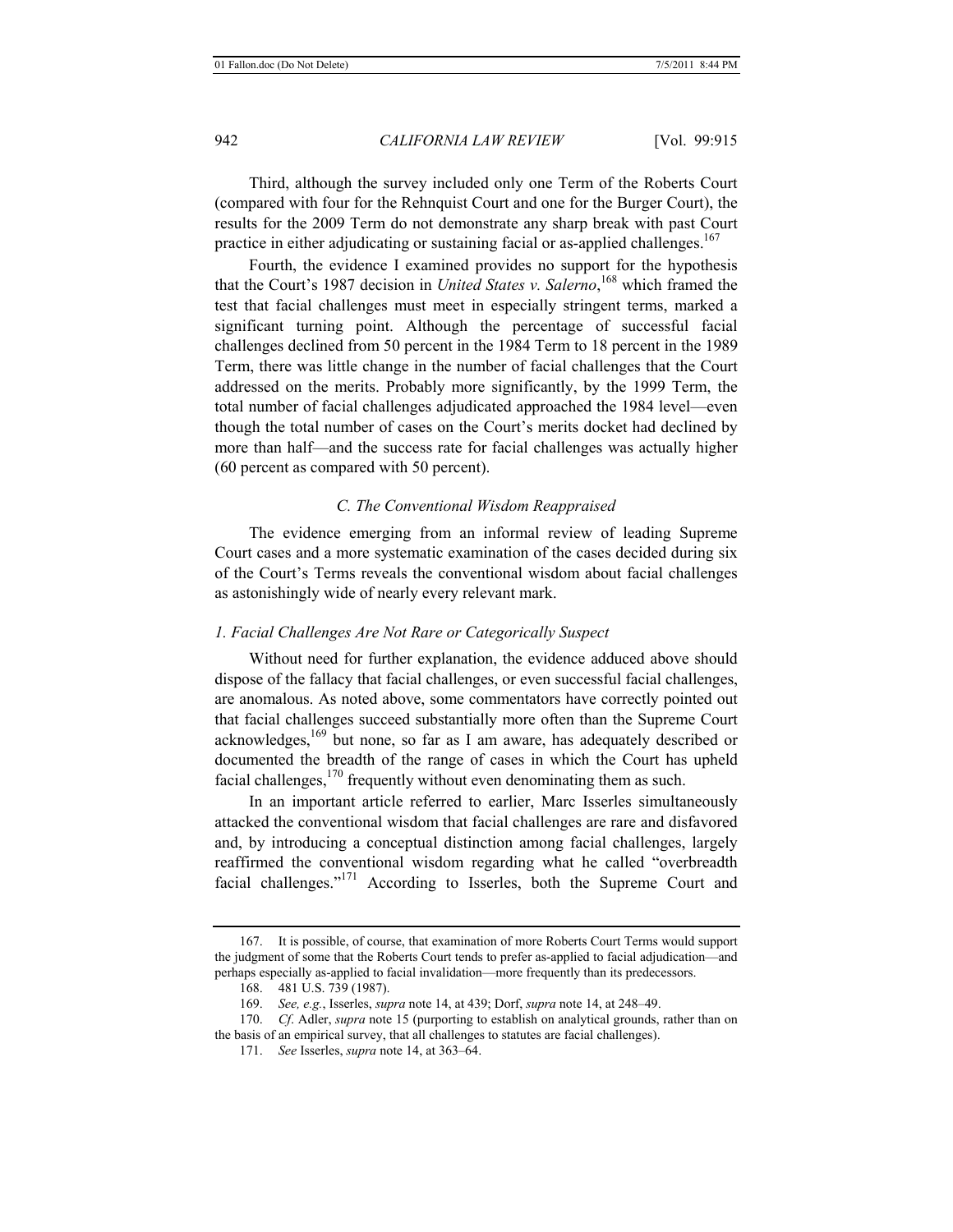Third, although the survey included only one Term of the Roberts Court (compared with four for the Rehnquist Court and one for the Burger Court), the results for the 2009 Term do not demonstrate any sharp break with past Court practice in either adjudicating or sustaining facial or as-applied challenges.<sup>167</sup>

Fourth, the evidence I examined provides no support for the hypothesis that the Court's 1987 decision in *United States v. Salerno*, 168 which framed the test that facial challenges must meet in especially stringent terms, marked a significant turning point. Although the percentage of successful facial challenges declined from 50 percent in the 1984 Term to 18 percent in the 1989 Term, there was little change in the number of facial challenges that the Court addressed on the merits. Probably more significantly, by the 1999 Term, the total number of facial challenges adjudicated approached the 1984 level—even though the total number of cases on the Court's merits docket had declined by more than half—and the success rate for facial challenges was actually higher (60 percent as compared with 50 percent).

#### *C. The Conventional Wisdom Reappraised*

The evidence emerging from an informal review of leading Supreme Court cases and a more systematic examination of the cases decided during six of the Court's Terms reveals the conventional wisdom about facial challenges as astonishingly wide of nearly every relevant mark.

# *1. Facial Challenges Are Not Rare or Categorically Suspect*

Without need for further explanation, the evidence adduced above should dispose of the fallacy that facial challenges, or even successful facial challenges, are anomalous. As noted above, some commentators have correctly pointed out that facial challenges succeed substantially more often than the Supreme Court acknowledges,<sup>169</sup> but none, so far as I am aware, has adequately described or documented the breadth of the range of cases in which the Court has upheld facial challenges, $170$  frequently without even denominating them as such.

In an important article referred to earlier, Marc Isserles simultaneously attacked the conventional wisdom that facial challenges are rare and disfavored and, by introducing a conceptual distinction among facial challenges, largely reaffirmed the conventional wisdom regarding what he called "overbreadth facial challenges."171 According to Isserles, both the Supreme Court and

<sup>167.</sup> It is possible, of course, that examination of more Roberts Court Terms would support the judgment of some that the Roberts Court tends to prefer as-applied to facial adjudication—and perhaps especially as-applied to facial invalidation—more frequently than its predecessors.

<sup>168. 481</sup> U.S. 739 (1987).

<sup>169.</sup> *See, e.g.*, Isserles, *supra* note 14, at 439; Dorf, *supra* note 14, at 248–49.

<sup>170.</sup> *Cf*. Adler, *supra* note 15 (purporting to establish on analytical grounds, rather than on the basis of an empirical survey, that all challenges to statutes are facial challenges).

<sup>171.</sup> *See* Isserles, *supra* note 14, at 363–64.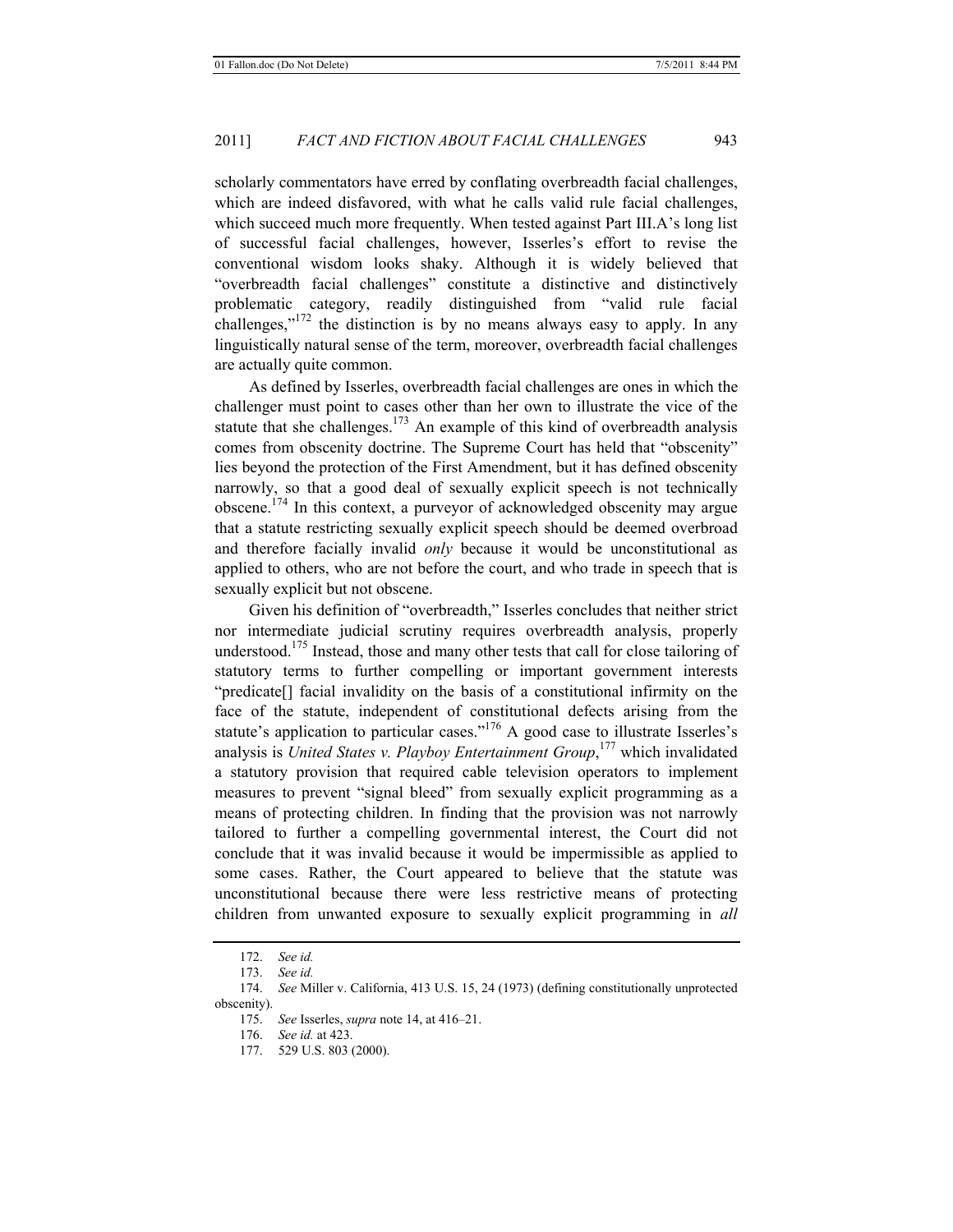scholarly commentators have erred by conflating overbreadth facial challenges, which are indeed disfavored, with what he calls valid rule facial challenges, which succeed much more frequently. When tested against Part III.A's long list of successful facial challenges, however, Isserles's effort to revise the conventional wisdom looks shaky. Although it is widely believed that "overbreadth facial challenges" constitute a distinctive and distinctively problematic category, readily distinguished from "valid rule facial challenges," $172$  the distinction is by no means always easy to apply. In any linguistically natural sense of the term, moreover, overbreadth facial challenges are actually quite common.

As defined by Isserles, overbreadth facial challenges are ones in which the challenger must point to cases other than her own to illustrate the vice of the statute that she challenges.<sup>173</sup> An example of this kind of overbreadth analysis comes from obscenity doctrine. The Supreme Court has held that "obscenity" lies beyond the protection of the First Amendment, but it has defined obscenity narrowly, so that a good deal of sexually explicit speech is not technically obscene.174 In this context, a purveyor of acknowledged obscenity may argue that a statute restricting sexually explicit speech should be deemed overbroad and therefore facially invalid *only* because it would be unconstitutional as applied to others, who are not before the court, and who trade in speech that is sexually explicit but not obscene.

Given his definition of "overbreadth," Isserles concludes that neither strict nor intermediate judicial scrutiny requires overbreadth analysis, properly understood.<sup>175</sup> Instead, those and many other tests that call for close tailoring of statutory terms to further compelling or important government interests "predicate[] facial invalidity on the basis of a constitutional infirmity on the face of the statute, independent of constitutional defects arising from the statute's application to particular cases."<sup>176</sup> A good case to illustrate Isserles's analysis is *United States v. Playboy Entertainment Group*, 177 which invalidated a statutory provision that required cable television operators to implement measures to prevent "signal bleed" from sexually explicit programming as a means of protecting children. In finding that the provision was not narrowly tailored to further a compelling governmental interest, the Court did not conclude that it was invalid because it would be impermissible as applied to some cases. Rather, the Court appeared to believe that the statute was unconstitutional because there were less restrictive means of protecting children from unwanted exposure to sexually explicit programming in *all*

<sup>172.</sup> *See id.*

<sup>173.</sup> *See id.*

<sup>174.</sup> *See* Miller v. California, 413 U.S. 15, 24 (1973) (defining constitutionally unprotected obscenity).

<sup>175.</sup> *See* Isserles, *supra* note 14, at 416–21.

<sup>176.</sup> *See id.* at 423.

<sup>177. 529</sup> U.S. 803 (2000).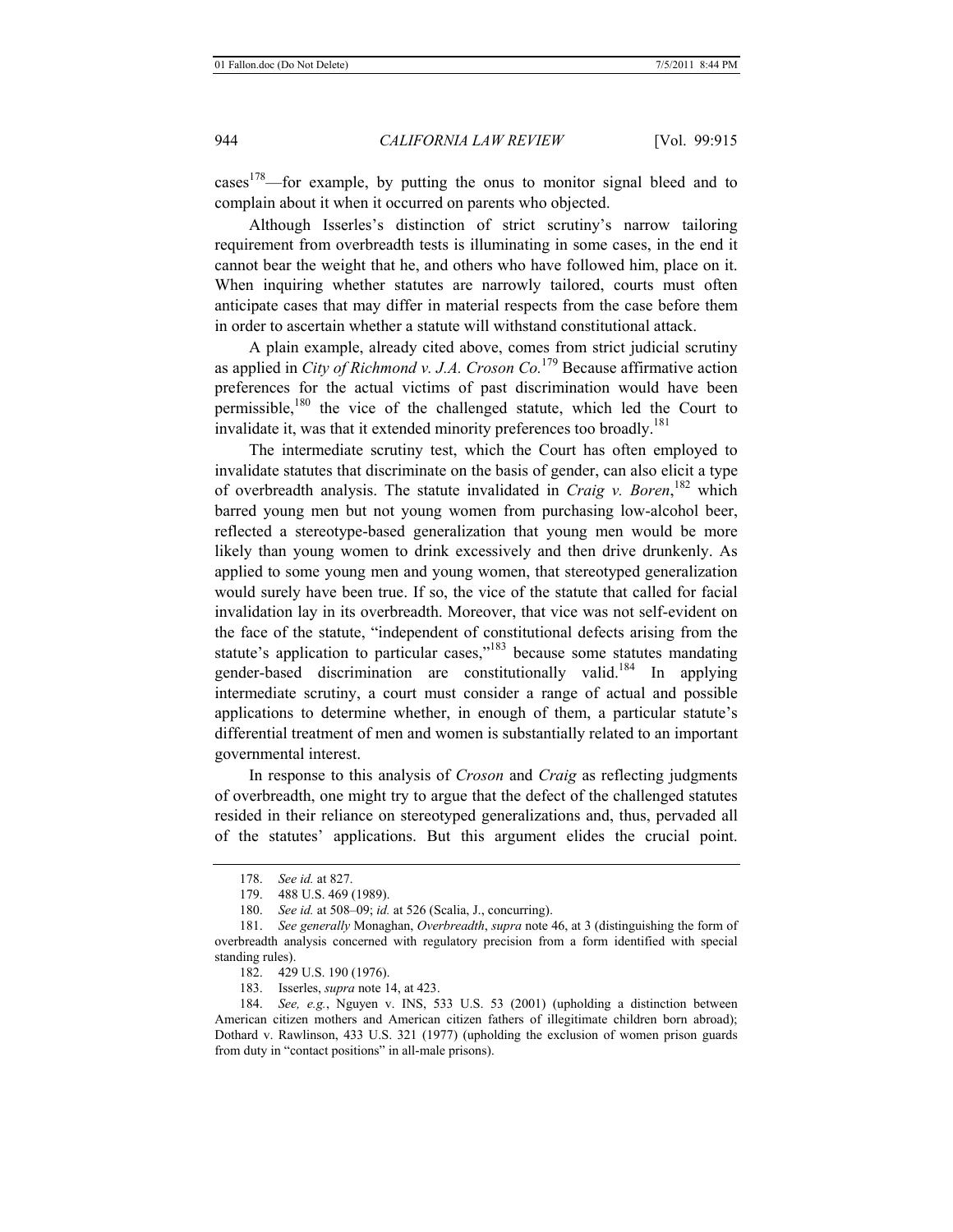cases<sup>178</sup>—for example, by putting the onus to monitor signal bleed and to complain about it when it occurred on parents who objected.

Although Isserles's distinction of strict scrutiny's narrow tailoring requirement from overbreadth tests is illuminating in some cases, in the end it cannot bear the weight that he, and others who have followed him, place on it. When inquiring whether statutes are narrowly tailored, courts must often anticipate cases that may differ in material respects from the case before them in order to ascertain whether a statute will withstand constitutional attack.

A plain example, already cited above, comes from strict judicial scrutiny as applied in *City of Richmond v. J.A. Croson Co.*179 Because affirmative action preferences for the actual victims of past discrimination would have been permissible, $180$  the vice of the challenged statute, which led the Court to invalidate it, was that it extended minority preferences too broadly.<sup>181</sup>

The intermediate scrutiny test, which the Court has often employed to invalidate statutes that discriminate on the basis of gender, can also elicit a type of overbreadth analysis. The statute invalidated in *Craig v. Boren*, 182 which barred young men but not young women from purchasing low-alcohol beer, reflected a stereotype-based generalization that young men would be more likely than young women to drink excessively and then drive drunkenly. As applied to some young men and young women, that stereotyped generalization would surely have been true. If so, the vice of the statute that called for facial invalidation lay in its overbreadth. Moreover, that vice was not self-evident on the face of the statute, "independent of constitutional defects arising from the statute's application to particular cases,"<sup>183</sup> because some statutes mandating gender-based discrimination are constitutionally valid.<sup>184</sup> In applying intermediate scrutiny, a court must consider a range of actual and possible applications to determine whether, in enough of them, a particular statute's differential treatment of men and women is substantially related to an important governmental interest.

In response to this analysis of *Croson* and *Craig* as reflecting judgments of overbreadth, one might try to argue that the defect of the challenged statutes resided in their reliance on stereotyped generalizations and, thus, pervaded all of the statutes' applications. But this argument elides the crucial point.

182. 429 U.S. 190 (1976).

183. Isserles, *supra* note 14, at 423.

184. *See, e.g.*, Nguyen v. INS, 533 U.S. 53 (2001) (upholding a distinction between American citizen mothers and American citizen fathers of illegitimate children born abroad); Dothard v. Rawlinson, 433 U.S. 321 (1977) (upholding the exclusion of women prison guards from duty in "contact positions" in all-male prisons).

<sup>178.</sup> *See id.* at 827.

<sup>179. 488</sup> U.S. 469 (1989).

<sup>180.</sup> *See id.* at 508–09; *id.* at 526 (Scalia, J., concurring).

<sup>181.</sup> *See generally* Monaghan, *Overbreadth*, *supra* note 46, at 3 (distinguishing the form of overbreadth analysis concerned with regulatory precision from a form identified with special standing rules).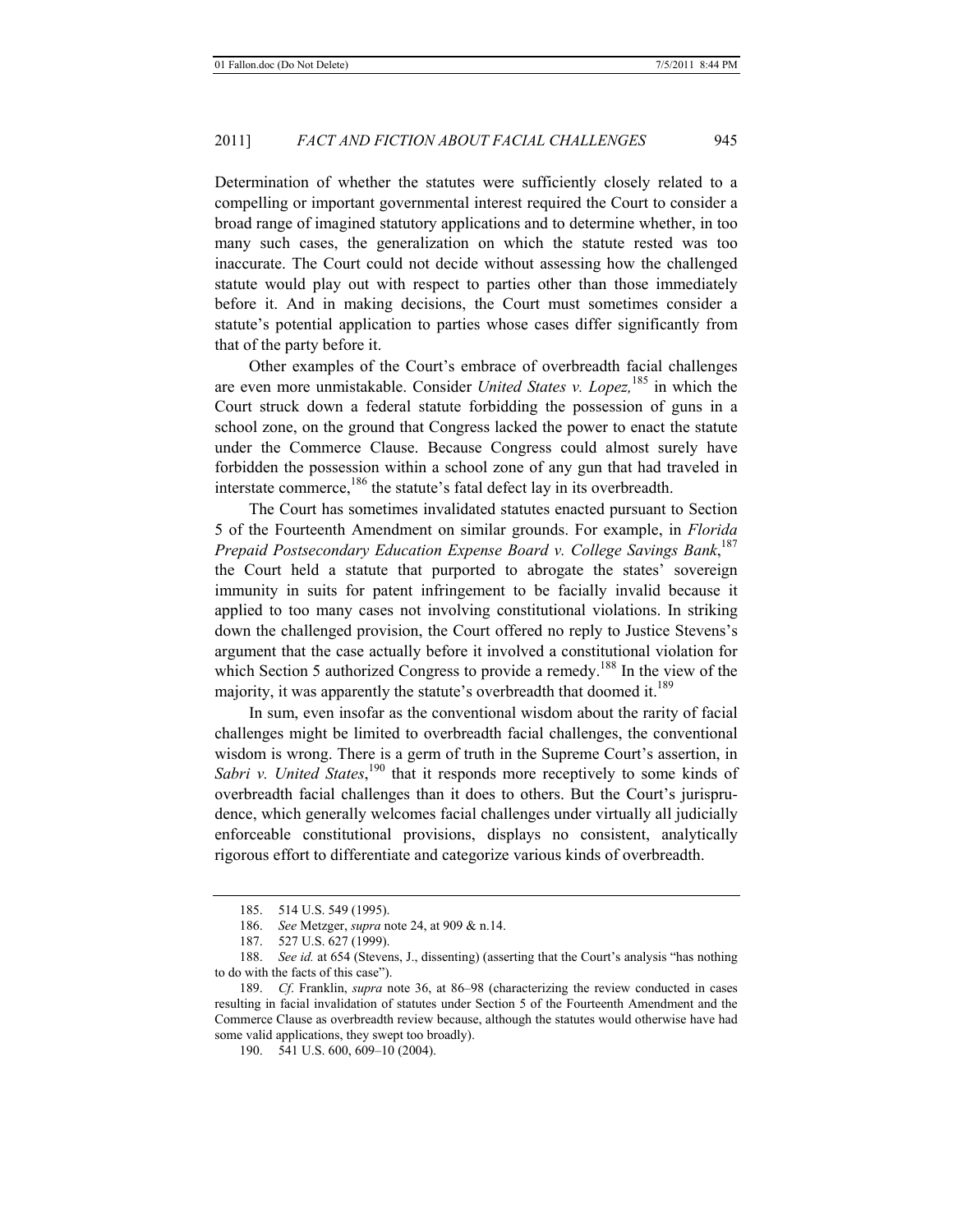Determination of whether the statutes were sufficiently closely related to a compelling or important governmental interest required the Court to consider a broad range of imagined statutory applications and to determine whether, in too many such cases, the generalization on which the statute rested was too inaccurate. The Court could not decide without assessing how the challenged statute would play out with respect to parties other than those immediately before it. And in making decisions, the Court must sometimes consider a statute's potential application to parties whose cases differ significantly from that of the party before it.

Other examples of the Court's embrace of overbreadth facial challenges are even more unmistakable. Consider *United States v. Lopez,*185 in which the Court struck down a federal statute forbidding the possession of guns in a school zone, on the ground that Congress lacked the power to enact the statute under the Commerce Clause. Because Congress could almost surely have forbidden the possession within a school zone of any gun that had traveled in interstate commerce, $186$  the statute's fatal defect lay in its overbreadth.

The Court has sometimes invalidated statutes enacted pursuant to Section 5 of the Fourteenth Amendment on similar grounds. For example, in *Florida Prepaid Postsecondary Education Expense Board v. College Savings Bank*, 187 the Court held a statute that purported to abrogate the states' sovereign immunity in suits for patent infringement to be facially invalid because it applied to too many cases not involving constitutional violations. In striking down the challenged provision, the Court offered no reply to Justice Stevens's argument that the case actually before it involved a constitutional violation for which Section 5 authorized Congress to provide a remedy.<sup>188</sup> In the view of the majority, it was apparently the statute's overbreadth that doomed it.<sup>189</sup>

In sum, even insofar as the conventional wisdom about the rarity of facial challenges might be limited to overbreadth facial challenges, the conventional wisdom is wrong. There is a germ of truth in the Supreme Court's assertion, in Sabri v. United States,<sup>190</sup> that it responds more receptively to some kinds of overbreadth facial challenges than it does to others. But the Court's jurisprudence, which generally welcomes facial challenges under virtually all judicially enforceable constitutional provisions, displays no consistent, analytically rigorous effort to differentiate and categorize various kinds of overbreadth.

<sup>185. 514</sup> U.S. 549 (1995).

<sup>186.</sup> *See* Metzger, *supra* note 24, at 909 & n.14.

<sup>187. 527</sup> U.S. 627 (1999).

<sup>188.</sup> *See id.* at 654 (Stevens, J., dissenting) (asserting that the Court's analysis "has nothing to do with the facts of this case").

<sup>189.</sup> *Cf*. Franklin, *supra* note 36, at 86–98 (characterizing the review conducted in cases resulting in facial invalidation of statutes under Section 5 of the Fourteenth Amendment and the Commerce Clause as overbreadth review because, although the statutes would otherwise have had some valid applications, they swept too broadly).

<sup>190. 541</sup> U.S. 600, 609–10 (2004).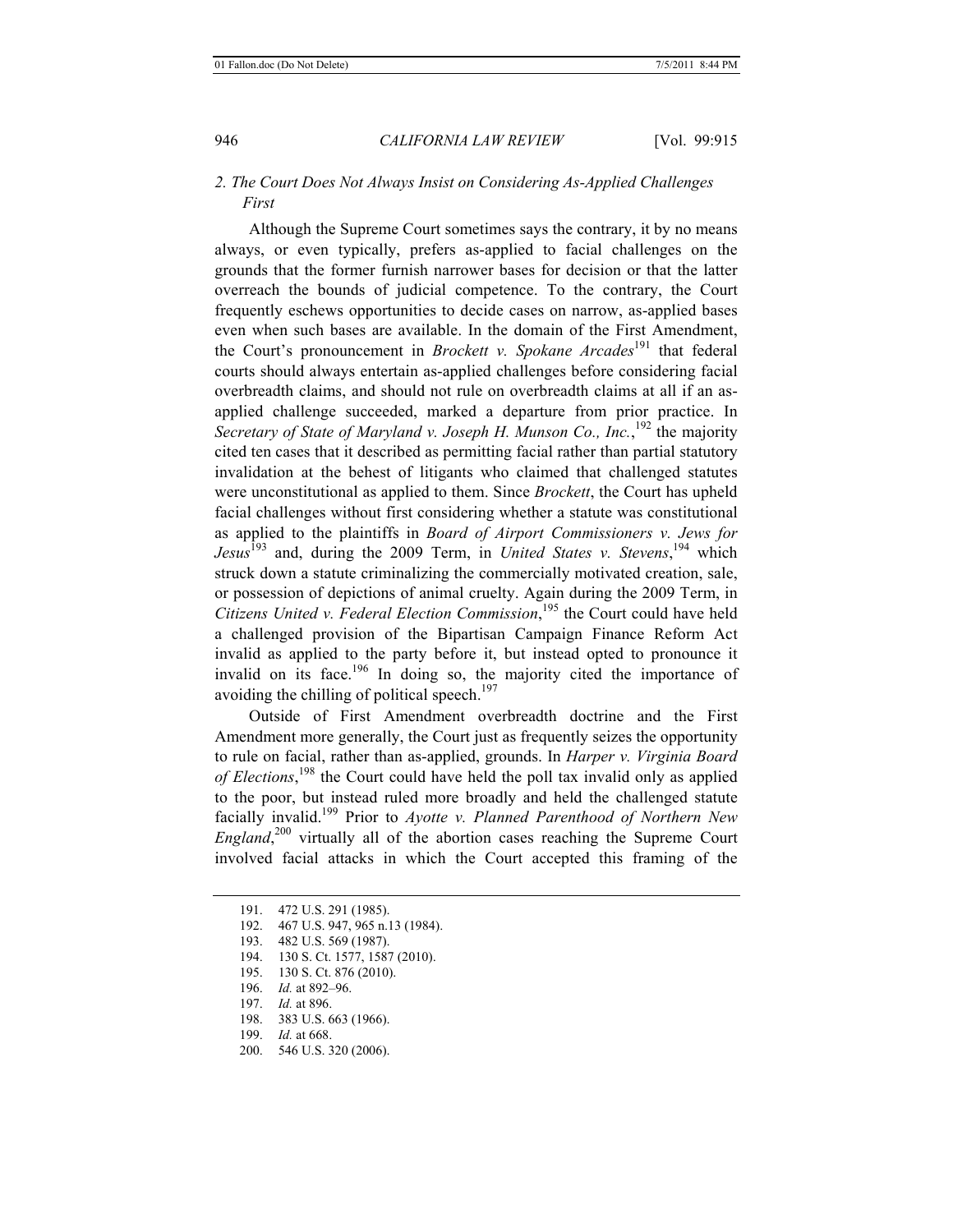# *2. The Court Does Not Always Insist on Considering As-Applied Challenges First*

Although the Supreme Court sometimes says the contrary, it by no means always, or even typically, prefers as-applied to facial challenges on the grounds that the former furnish narrower bases for decision or that the latter overreach the bounds of judicial competence. To the contrary, the Court frequently eschews opportunities to decide cases on narrow, as-applied bases even when such bases are available. In the domain of the First Amendment, the Court's pronouncement in *Brockett v. Spokane Arcades*191 that federal courts should always entertain as-applied challenges before considering facial overbreadth claims, and should not rule on overbreadth claims at all if an asapplied challenge succeeded, marked a departure from prior practice. In Secretary of State of Maryland v. Joseph H. Munson Co., Inc.,<sup>192</sup> the majority cited ten cases that it described as permitting facial rather than partial statutory invalidation at the behest of litigants who claimed that challenged statutes were unconstitutional as applied to them. Since *Brockett*, the Court has upheld facial challenges without first considering whether a statute was constitutional as applied to the plaintiffs in *Board of Airport Commissioners v. Jews for Jesus*193 and, during the 2009 Term, in *United States v. Stevens*, 194 which struck down a statute criminalizing the commercially motivated creation, sale, or possession of depictions of animal cruelty. Again during the 2009 Term, in *Citizens United v. Federal Election Commission*, <sup>195</sup> the Court could have held a challenged provision of the Bipartisan Campaign Finance Reform Act invalid as applied to the party before it, but instead opted to pronounce it invalid on its face.<sup>196</sup> In doing so, the majority cited the importance of avoiding the chilling of political speech.<sup>197</sup>

Outside of First Amendment overbreadth doctrine and the First Amendment more generally, the Court just as frequently seizes the opportunity to rule on facial, rather than as-applied, grounds. In *Harper v. Virginia Board of Elections*, 198 the Court could have held the poll tax invalid only as applied to the poor, but instead ruled more broadly and held the challenged statute facially invalid.199 Prior to *Ayotte v. Planned Parenthood of Northern New England*, 200 virtually all of the abortion cases reaching the Supreme Court involved facial attacks in which the Court accepted this framing of the

197. *Id.* at 896.

199. *Id.* at 668.

<sup>191. 472</sup> U.S. 291 (1985).

<sup>192. 467</sup> U.S. 947, 965 n.13 (1984).

<sup>193. 482</sup> U.S. 569 (1987).

<sup>194. 130</sup> S. Ct. 1577, 1587 (2010).

<sup>195. 130</sup> S. Ct. 876 (2010).

<sup>196.</sup> *Id.* at 892–96.

<sup>198. 383</sup> U.S. 663 (1966).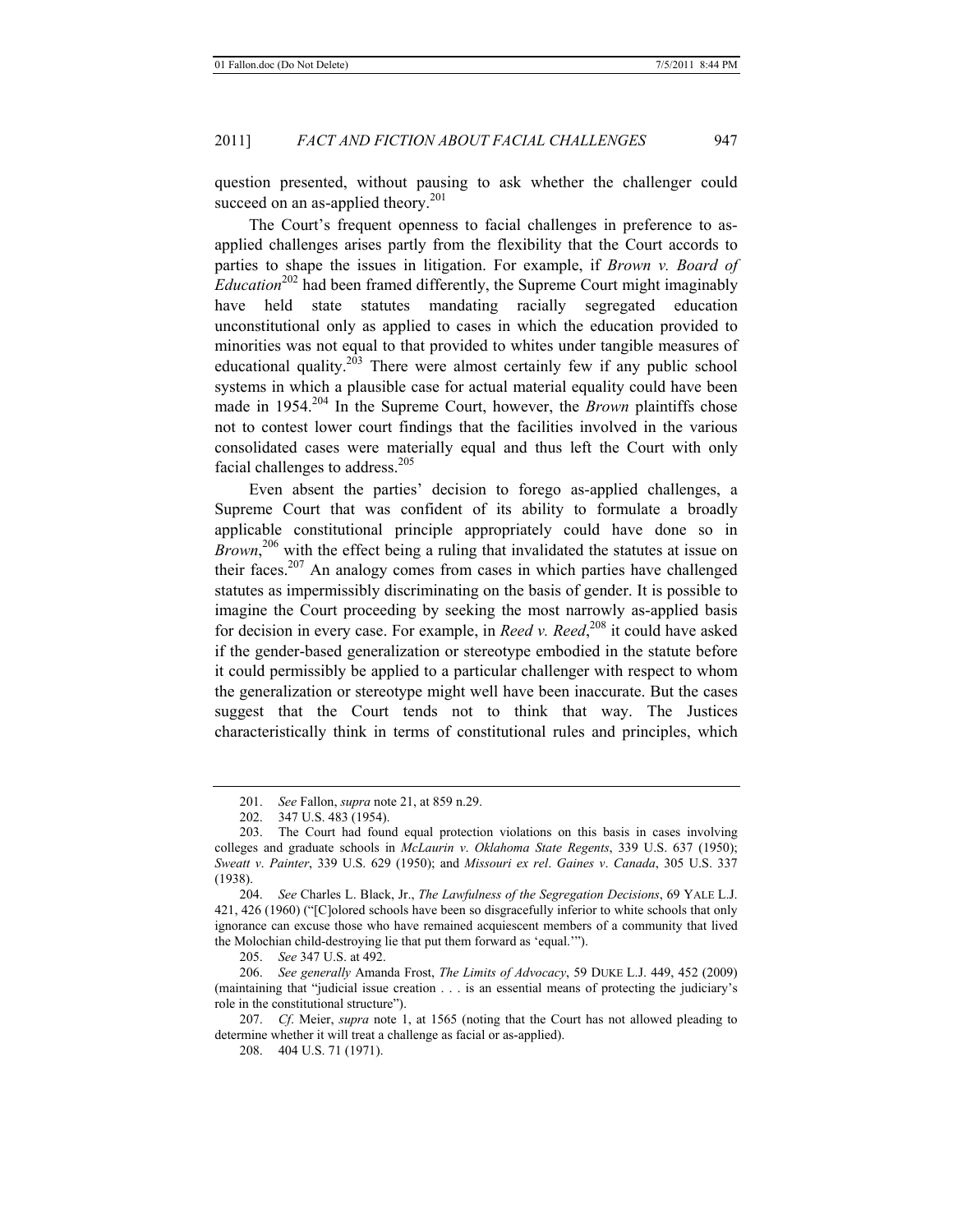question presented, without pausing to ask whether the challenger could succeed on an as-applied theory.<sup>201</sup>

The Court's frequent openness to facial challenges in preference to asapplied challenges arises partly from the flexibility that the Court accords to parties to shape the issues in litigation. For example, if *Brown v. Board of Education*<sup>202</sup> had been framed differently, the Supreme Court might imaginably have held state statutes mandating racially segregated education unconstitutional only as applied to cases in which the education provided to minorities was not equal to that provided to whites under tangible measures of educational quality.<sup>203</sup> There were almost certainly few if any public school systems in which a plausible case for actual material equality could have been made in 1954.<sup>204</sup> In the Supreme Court, however, the *Brown* plaintiffs chose not to contest lower court findings that the facilities involved in the various consolidated cases were materially equal and thus left the Court with only facial challenges to address.<sup>205</sup>

Even absent the parties' decision to forego as-applied challenges, a Supreme Court that was confident of its ability to formulate a broadly applicable constitutional principle appropriately could have done so in *Brown*,<sup>206</sup> with the effect being a ruling that invalidated the statutes at issue on their faces.207 An analogy comes from cases in which parties have challenged statutes as impermissibly discriminating on the basis of gender. It is possible to imagine the Court proceeding by seeking the most narrowly as-applied basis for decision in every case. For example, in *Reed v. Reed*, 208 it could have asked if the gender-based generalization or stereotype embodied in the statute before it could permissibly be applied to a particular challenger with respect to whom the generalization or stereotype might well have been inaccurate. But the cases suggest that the Court tends not to think that way. The Justices characteristically think in terms of constitutional rules and principles, which

<sup>201.</sup> *See* Fallon, *supra* note 21, at 859 n.29.

<sup>202. 347</sup> U.S. 483 (1954).

<sup>203.</sup> The Court had found equal protection violations on this basis in cases involving colleges and graduate schools in *McLaurin v*. *Oklahoma State Regents*, 339 U.S. 637 (1950); *Sweatt v*. *Painter*, 339 U.S. 629 (1950); and *Missouri ex rel*. *Gaines v*. *Canada*, 305 U.S. 337 (1938).

<sup>204.</sup> *See* Charles L. Black, Jr., *The Lawfulness of the Segregation Decisions*, 69 YALE L.J. 421, 426 (1960) ("[C]olored schools have been so disgracefully inferior to white schools that only ignorance can excuse those who have remained acquiescent members of a community that lived the Molochian child-destroying lie that put them forward as 'equal.'").

<sup>205.</sup> *See* 347 U.S. at 492.

<sup>206.</sup> *See generally* Amanda Frost, *The Limits of Advocacy*, 59 DUKE L.J. 449, 452 (2009) (maintaining that "judicial issue creation . . . is an essential means of protecting the judiciary's role in the constitutional structure").

<sup>207.</sup> *Cf*. Meier, *supra* note 1, at 1565 (noting that the Court has not allowed pleading to determine whether it will treat a challenge as facial or as-applied).

<sup>208. 404</sup> U.S. 71 (1971).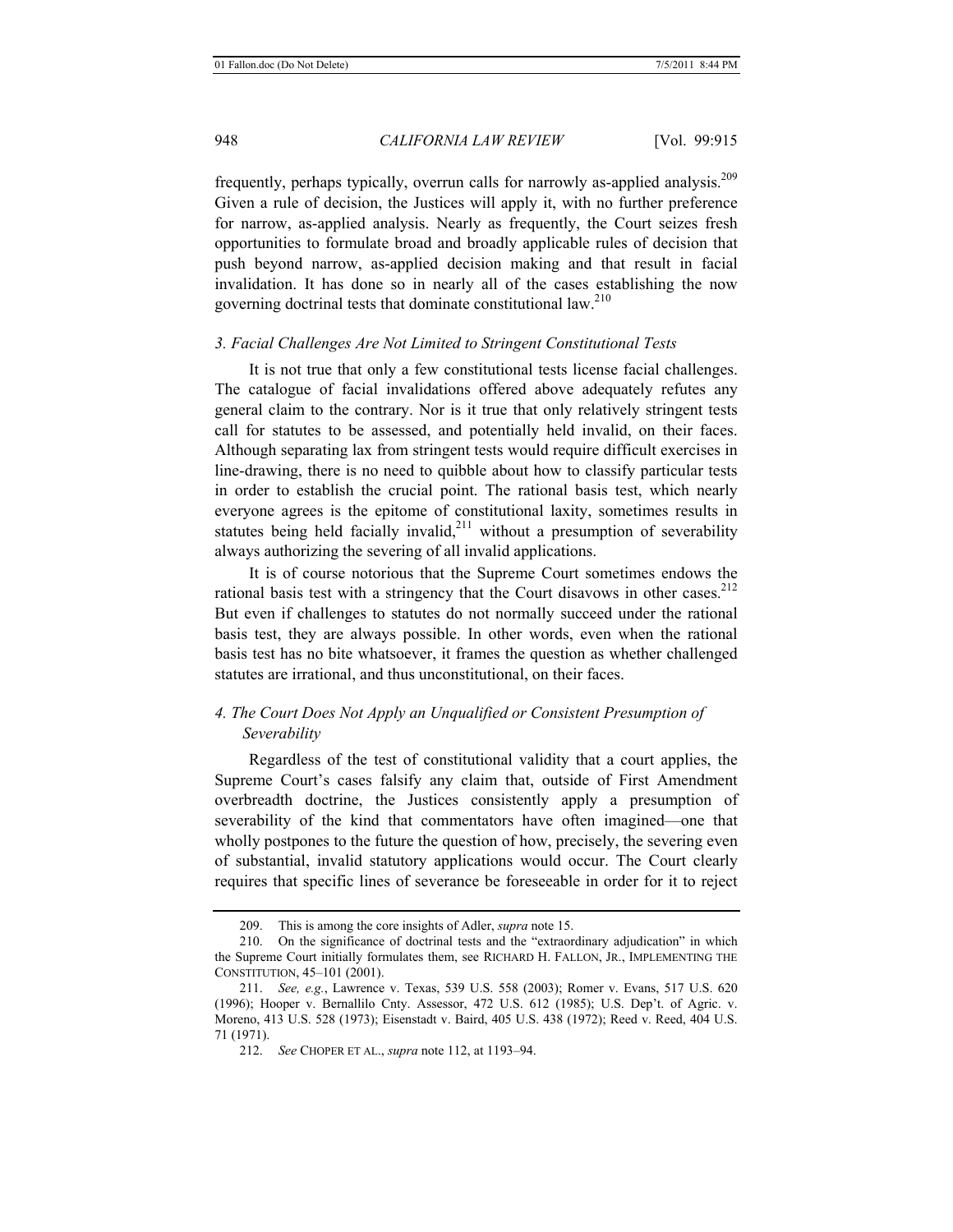frequently, perhaps typically, overrun calls for narrowly as-applied analysis.209 Given a rule of decision, the Justices will apply it, with no further preference for narrow, as-applied analysis. Nearly as frequently, the Court seizes fresh opportunities to formulate broad and broadly applicable rules of decision that push beyond narrow, as-applied decision making and that result in facial invalidation. It has done so in nearly all of the cases establishing the now governing doctrinal tests that dominate constitutional law.<sup>210</sup>

#### *3. Facial Challenges Are Not Limited to Stringent Constitutional Tests*

It is not true that only a few constitutional tests license facial challenges. The catalogue of facial invalidations offered above adequately refutes any general claim to the contrary. Nor is it true that only relatively stringent tests call for statutes to be assessed, and potentially held invalid, on their faces. Although separating lax from stringent tests would require difficult exercises in line-drawing, there is no need to quibble about how to classify particular tests in order to establish the crucial point. The rational basis test, which nearly everyone agrees is the epitome of constitutional laxity, sometimes results in statutes being held facially invalid, $2^{11}$  without a presumption of severability always authorizing the severing of all invalid applications.

It is of course notorious that the Supreme Court sometimes endows the rational basis test with a stringency that the Court disavows in other cases.<sup>212</sup> But even if challenges to statutes do not normally succeed under the rational basis test, they are always possible. In other words, even when the rational basis test has no bite whatsoever, it frames the question as whether challenged statutes are irrational, and thus unconstitutional, on their faces.

# *4. The Court Does Not Apply an Unqualified or Consistent Presumption of Severability*

Regardless of the test of constitutional validity that a court applies, the Supreme Court's cases falsify any claim that, outside of First Amendment overbreadth doctrine, the Justices consistently apply a presumption of severability of the kind that commentators have often imagined—one that wholly postpones to the future the question of how, precisely, the severing even of substantial, invalid statutory applications would occur. The Court clearly requires that specific lines of severance be foreseeable in order for it to reject

<sup>209.</sup> This is among the core insights of Adler, *supra* note 15.

<sup>210.</sup> On the significance of doctrinal tests and the "extraordinary adjudication" in which the Supreme Court initially formulates them, see RICHARD H. FALLON, JR., IMPLEMENTING THE CONSTITUTION, 45–101 (2001).

<sup>211.</sup> *See, e.g.*, Lawrence v. Texas, 539 U.S. 558 (2003); Romer v. Evans, 517 U.S. 620 (1996); Hooper v. Bernallilo Cnty. Assessor, 472 U.S. 612 (1985); U.S. Dep't. of Agric. v. Moreno, 413 U.S. 528 (1973); Eisenstadt v. Baird, 405 U.S. 438 (1972); Reed v. Reed, 404 U.S. 71 (1971).

<sup>212.</sup> *See* CHOPER ET AL., *supra* note 112, at 1193–94.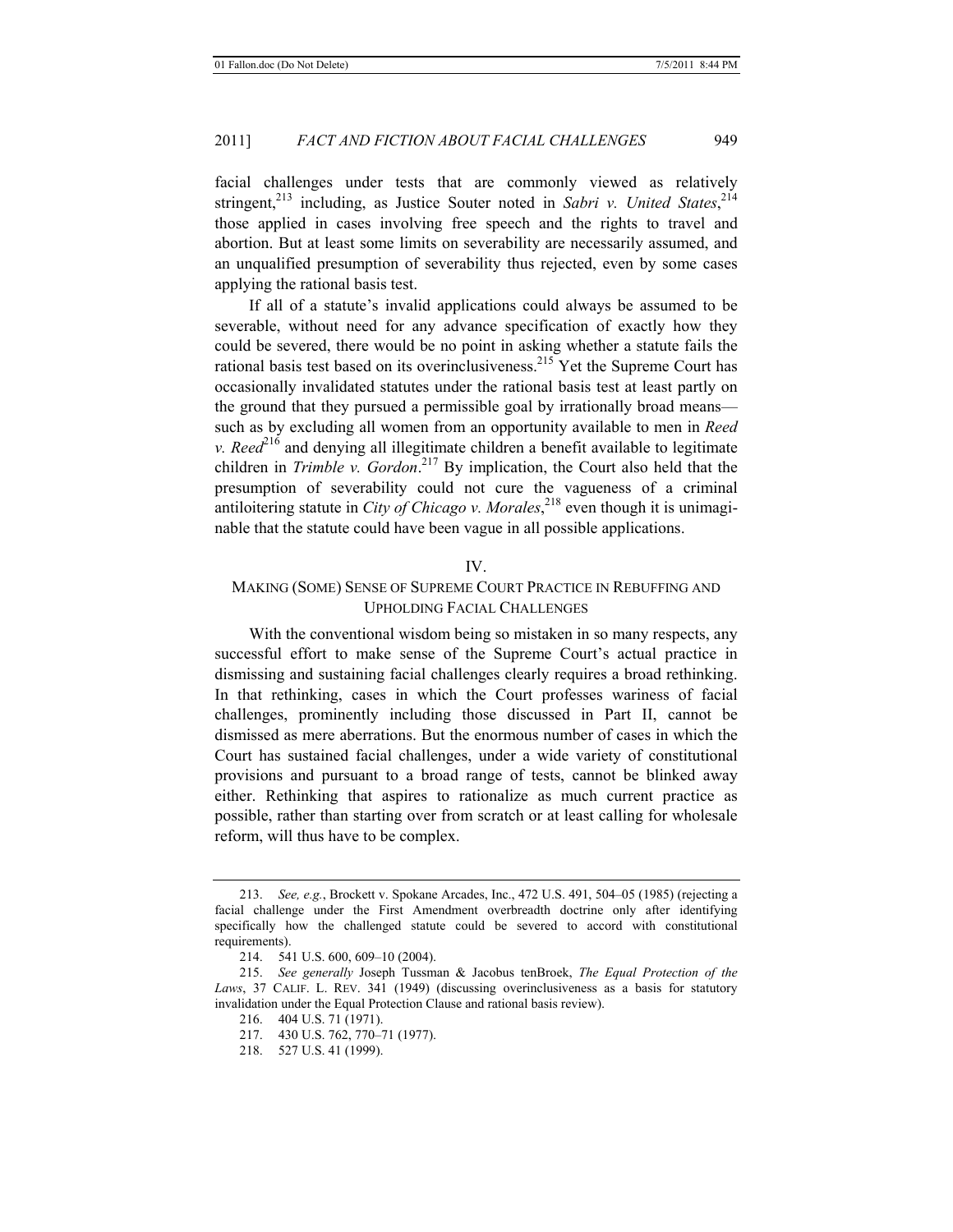facial challenges under tests that are commonly viewed as relatively stringent,<sup>213</sup> including, as Justice Souter noted in *Sabri v. United States*,<sup>214</sup> those applied in cases involving free speech and the rights to travel and abortion. But at least some limits on severability are necessarily assumed, and an unqualified presumption of severability thus rejected, even by some cases applying the rational basis test.

If all of a statute's invalid applications could always be assumed to be severable, without need for any advance specification of exactly how they could be severed, there would be no point in asking whether a statute fails the rational basis test based on its overinclusiveness.<sup>215</sup> Yet the Supreme Court has occasionally invalidated statutes under the rational basis test at least partly on the ground that they pursued a permissible goal by irrationally broad means such as by excluding all women from an opportunity available to men in *Reed v. Reed*<sup>216</sup> and denying all illegitimate children a benefit available to legitimate children in *Trimble v. Gordon*. 217 By implication, the Court also held that the presumption of severability could not cure the vagueness of a criminal antiloitering statute in *City of Chicago v. Morales*, 218 even though it is unimaginable that the statute could have been vague in all possible applications.

#### IV.

# MAKING (SOME) SENSE OF SUPREME COURT PRACTICE IN REBUFFING AND UPHOLDING FACIAL CHALLENGES

With the conventional wisdom being so mistaken in so many respects, any successful effort to make sense of the Supreme Court's actual practice in dismissing and sustaining facial challenges clearly requires a broad rethinking. In that rethinking, cases in which the Court professes wariness of facial challenges, prominently including those discussed in Part II, cannot be dismissed as mere aberrations. But the enormous number of cases in which the Court has sustained facial challenges, under a wide variety of constitutional provisions and pursuant to a broad range of tests, cannot be blinked away either. Rethinking that aspires to rationalize as much current practice as possible, rather than starting over from scratch or at least calling for wholesale reform, will thus have to be complex.

217. 430 U.S. 762, 770–71 (1977).

<sup>213.</sup> *See, e.g.*, Brockett v. Spokane Arcades, Inc., 472 U.S. 491, 504–05 (1985) (rejecting a facial challenge under the First Amendment overbreadth doctrine only after identifying specifically how the challenged statute could be severed to accord with constitutional requirements).

<sup>214. 541</sup> U.S. 600, 609–10 (2004).

<sup>215.</sup> *See generally* Joseph Tussman & Jacobus tenBroek, *The Equal Protection of the Laws*, 37 CALIF. L. REV. 341 (1949) (discussing overinclusiveness as a basis for statutory invalidation under the Equal Protection Clause and rational basis review).

<sup>216. 404</sup> U.S. 71 (1971).

<sup>218. 527</sup> U.S. 41 (1999).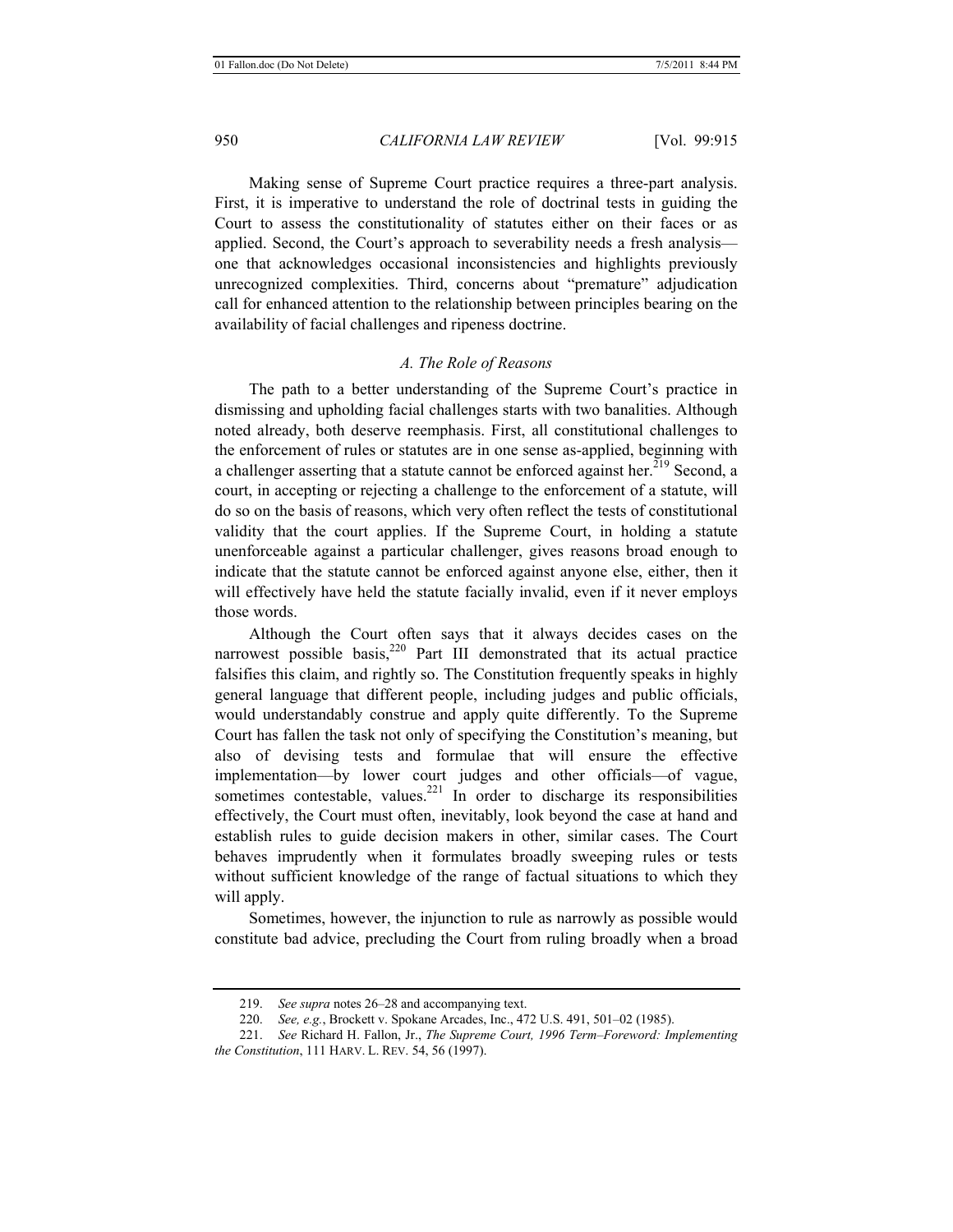Making sense of Supreme Court practice requires a three-part analysis. First, it is imperative to understand the role of doctrinal tests in guiding the Court to assess the constitutionality of statutes either on their faces or as applied. Second, the Court's approach to severability needs a fresh analysis one that acknowledges occasional inconsistencies and highlights previously unrecognized complexities. Third, concerns about "premature" adjudication call for enhanced attention to the relationship between principles bearing on the availability of facial challenges and ripeness doctrine.

#### *A. The Role of Reasons*

The path to a better understanding of the Supreme Court's practice in dismissing and upholding facial challenges starts with two banalities. Although noted already, both deserve reemphasis. First, all constitutional challenges to the enforcement of rules or statutes are in one sense as-applied, beginning with a challenger asserting that a statute cannot be enforced against her.<sup>219</sup> Second, a court, in accepting or rejecting a challenge to the enforcement of a statute, will do so on the basis of reasons, which very often reflect the tests of constitutional validity that the court applies. If the Supreme Court, in holding a statute unenforceable against a particular challenger, gives reasons broad enough to indicate that the statute cannot be enforced against anyone else, either, then it will effectively have held the statute facially invalid, even if it never employs those words.

Although the Court often says that it always decides cases on the narrowest possible basis, $220$  Part III demonstrated that its actual practice falsifies this claim, and rightly so. The Constitution frequently speaks in highly general language that different people, including judges and public officials, would understandably construe and apply quite differently. To the Supreme Court has fallen the task not only of specifying the Constitution's meaning, but also of devising tests and formulae that will ensure the effective implementation—by lower court judges and other officials—of vague, sometimes contestable, values.<sup>221</sup> In order to discharge its responsibilities effectively, the Court must often, inevitably, look beyond the case at hand and establish rules to guide decision makers in other, similar cases. The Court behaves imprudently when it formulates broadly sweeping rules or tests without sufficient knowledge of the range of factual situations to which they will apply.

Sometimes, however, the injunction to rule as narrowly as possible would constitute bad advice, precluding the Court from ruling broadly when a broad

<sup>219.</sup> *See supra* notes 26–28 and accompanying text.

<sup>220.</sup> *See, e.g.*, Brockett v. Spokane Arcades, Inc., 472 U.S. 491, 501–02 (1985).

<sup>221.</sup> *See* Richard H. Fallon, Jr., *The Supreme Court, 1996 Term–Foreword: Implementing the Constitution*, 111 HARV. L. REV. 54, 56 (1997).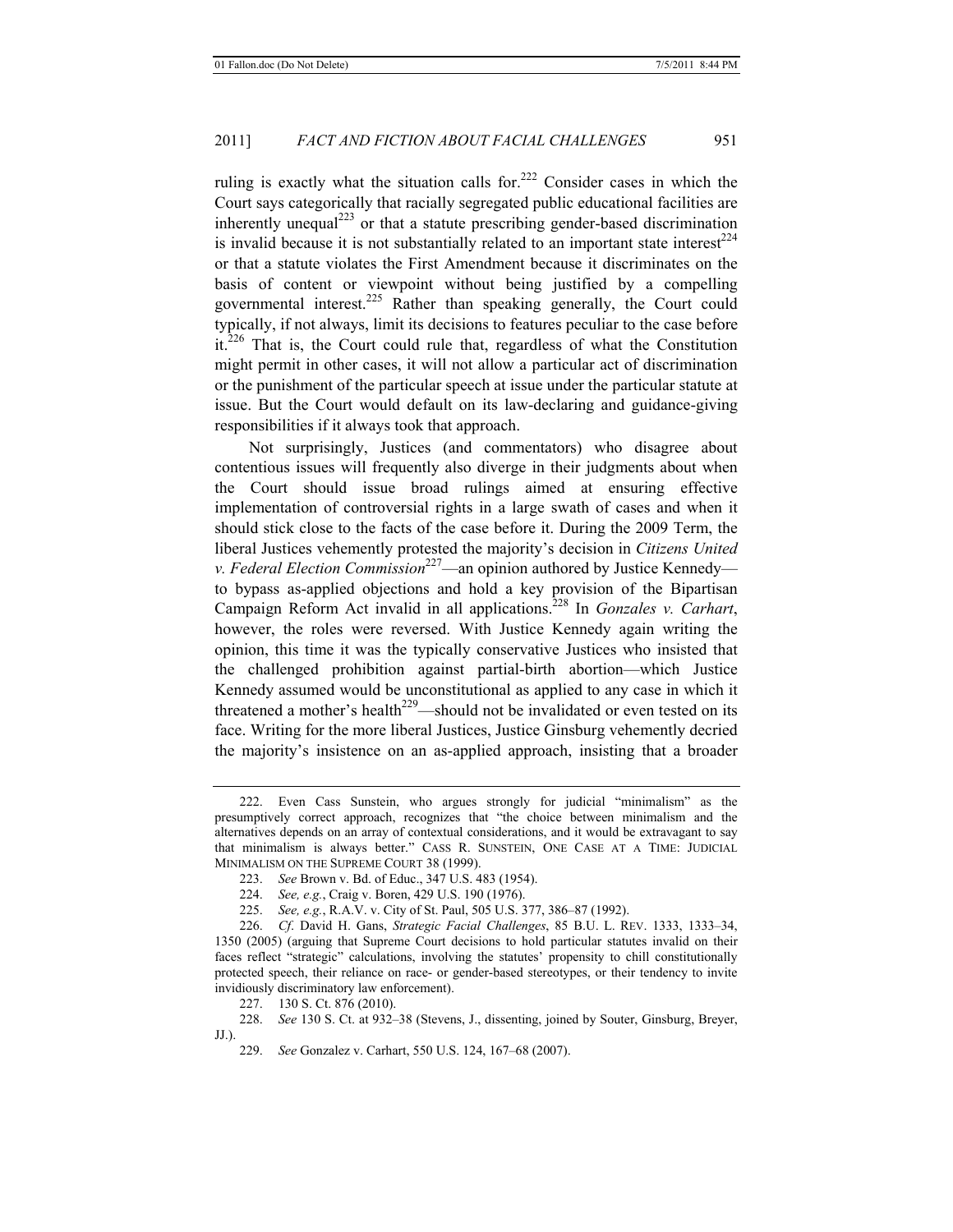ruling is exactly what the situation calls for.<sup>222</sup> Consider cases in which the Court says categorically that racially segregated public educational facilities are inherently unequal<sup>223</sup> or that a statute prescribing gender-based discrimination is invalid because it is not substantially related to an important state interest<sup>224</sup> or that a statute violates the First Amendment because it discriminates on the basis of content or viewpoint without being justified by a compelling governmental interest.225 Rather than speaking generally, the Court could typically, if not always, limit its decisions to features peculiar to the case before it.<sup>226</sup> That is, the Court could rule that, regardless of what the Constitution might permit in other cases, it will not allow a particular act of discrimination or the punishment of the particular speech at issue under the particular statute at issue. But the Court would default on its law-declaring and guidance-giving responsibilities if it always took that approach.

Not surprisingly, Justices (and commentators) who disagree about contentious issues will frequently also diverge in their judgments about when the Court should issue broad rulings aimed at ensuring effective implementation of controversial rights in a large swath of cases and when it should stick close to the facts of the case before it. During the 2009 Term, the liberal Justices vehemently protested the majority's decision in *Citizens United v. Federal Election Commission*227—an opinion authored by Justice Kennedy to bypass as-applied objections and hold a key provision of the Bipartisan Campaign Reform Act invalid in all applications.228 In *Gonzales v. Carhart*, however, the roles were reversed. With Justice Kennedy again writing the opinion, this time it was the typically conservative Justices who insisted that the challenged prohibition against partial-birth abortion—which Justice Kennedy assumed would be unconstitutional as applied to any case in which it threatened a mother's health<sup>229</sup>—should not be invalidated or even tested on its face. Writing for the more liberal Justices, Justice Ginsburg vehemently decried the majority's insistence on an as-applied approach, insisting that a broader

226. *Cf*. David H. Gans, *Strategic Facial Challenges*, 85 B.U. L. REV. 1333, 1333–34, 1350 (2005) (arguing that Supreme Court decisions to hold particular statutes invalid on their faces reflect "strategic" calculations, involving the statutes' propensity to chill constitutionally protected speech, their reliance on race- or gender-based stereotypes, or their tendency to invite invidiously discriminatory law enforcement).

227. 130 S. Ct. 876 (2010).

228. *See* 130 S. Ct. at 932–38 (Stevens, J., dissenting, joined by Souter, Ginsburg, Breyer, JJ.).

<sup>222.</sup> Even Cass Sunstein, who argues strongly for judicial "minimalism" as the presumptively correct approach, recognizes that "the choice between minimalism and the alternatives depends on an array of contextual considerations, and it would be extravagant to say that minimalism is always better." CASS R. SUNSTEIN, ONE CASE AT A TIME: JUDICIAL MINIMALISM ON THE SUPREME COURT 38 (1999).

<sup>223.</sup> *See* Brown v. Bd. of Educ., 347 U.S. 483 (1954).

<sup>224.</sup> *See, e.g.*, Craig v. Boren, 429 U.S. 190 (1976).

<sup>225.</sup> *See, e.g.*, R.A.V. v. City of St. Paul, 505 U.S. 377, 386–87 (1992).

<sup>229.</sup> *See* Gonzalez v. Carhart, 550 U.S. 124, 167–68 (2007).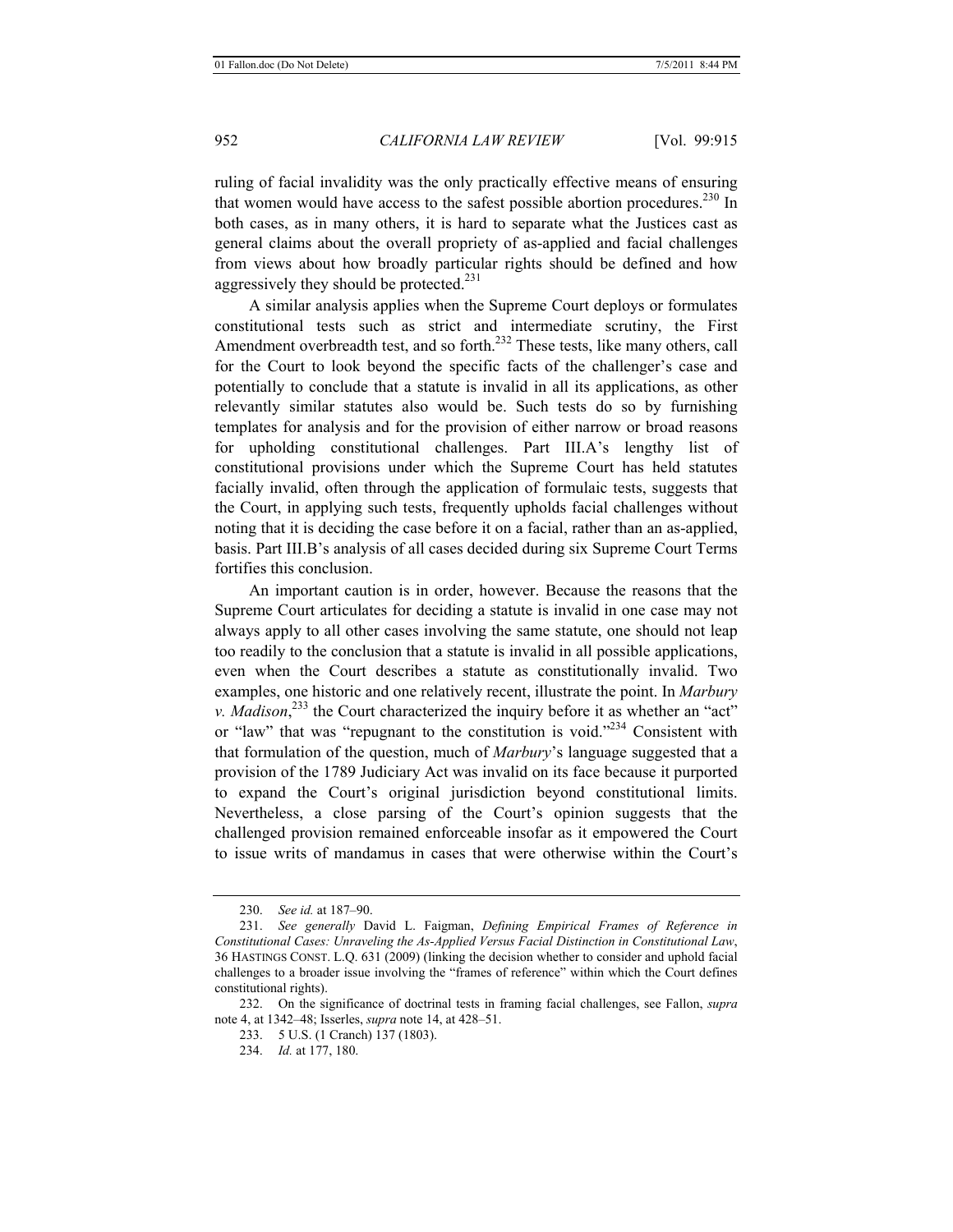ruling of facial invalidity was the only practically effective means of ensuring that women would have access to the safest possible abortion procedures.<sup>230</sup> In both cases, as in many others, it is hard to separate what the Justices cast as general claims about the overall propriety of as-applied and facial challenges from views about how broadly particular rights should be defined and how aggressively they should be protected.<sup>231</sup>

A similar analysis applies when the Supreme Court deploys or formulates constitutional tests such as strict and intermediate scrutiny, the First Amendment overbreadth test, and so forth.<sup>232</sup> These tests, like many others, call for the Court to look beyond the specific facts of the challenger's case and potentially to conclude that a statute is invalid in all its applications, as other relevantly similar statutes also would be. Such tests do so by furnishing templates for analysis and for the provision of either narrow or broad reasons for upholding constitutional challenges. Part III.A's lengthy list of constitutional provisions under which the Supreme Court has held statutes facially invalid, often through the application of formulaic tests, suggests that the Court, in applying such tests, frequently upholds facial challenges without noting that it is deciding the case before it on a facial, rather than an as-applied, basis. Part III.B's analysis of all cases decided during six Supreme Court Terms fortifies this conclusion.

An important caution is in order, however. Because the reasons that the Supreme Court articulates for deciding a statute is invalid in one case may not always apply to all other cases involving the same statute, one should not leap too readily to the conclusion that a statute is invalid in all possible applications, even when the Court describes a statute as constitutionally invalid. Two examples, one historic and one relatively recent, illustrate the point. In *Marbury v. Madison*<sup>233</sup>, the Court characterized the inquiry before it as whether an "act" or "law" that was "repugnant to the constitution is void."234 Consistent with that formulation of the question, much of *Marbury*'s language suggested that a provision of the 1789 Judiciary Act was invalid on its face because it purported to expand the Court's original jurisdiction beyond constitutional limits. Nevertheless, a close parsing of the Court's opinion suggests that the challenged provision remained enforceable insofar as it empowered the Court to issue writs of mandamus in cases that were otherwise within the Court's

- 233. 5 U.S. (1 Cranch) 137 (1803).
- 234. *Id.* at 177, 180.

<sup>230.</sup> *See id.* at 187–90.

<sup>231.</sup> *See generally* David L. Faigman, *Defining Empirical Frames of Reference in Constitutional Cases: Unraveling the As-Applied Versus Facial Distinction in Constitutional Law*, 36 HASTINGS CONST. L.Q. 631 (2009) (linking the decision whether to consider and uphold facial challenges to a broader issue involving the "frames of reference" within which the Court defines constitutional rights).

<sup>232.</sup> On the significance of doctrinal tests in framing facial challenges, see Fallon, *supra* note 4, at 1342–48; Isserles, *supra* note 14, at 428–51.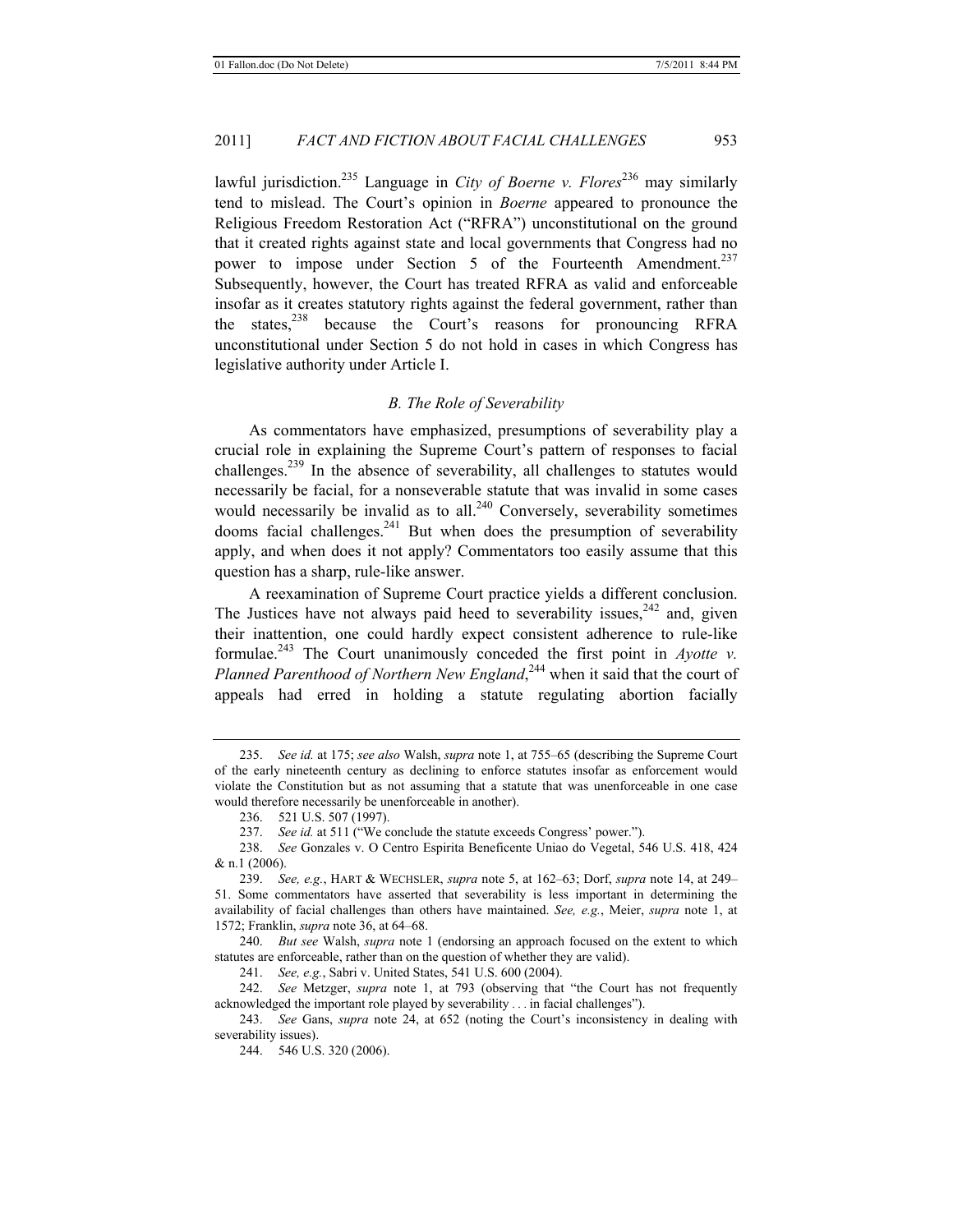lawful jurisdiction.<sup>235</sup> Language in *City of Boerne v. Flores*<sup>236</sup> may similarly tend to mislead. The Court's opinion in *Boerne* appeared to pronounce the Religious Freedom Restoration Act ("RFRA") unconstitutional on the ground that it created rights against state and local governments that Congress had no power to impose under Section 5 of the Fourteenth Amendment.<sup>237</sup> Subsequently, however, the Court has treated RFRA as valid and enforceable insofar as it creates statutory rights against the federal government, rather than the states,<sup>238</sup> because the Court's reasons for pronouncing RFRA unconstitutional under Section 5 do not hold in cases in which Congress has legislative authority under Article I.

#### *B. The Role of Severability*

As commentators have emphasized, presumptions of severability play a crucial role in explaining the Supreme Court's pattern of responses to facial challenges.239 In the absence of severability, all challenges to statutes would necessarily be facial, for a nonseverable statute that was invalid in some cases would necessarily be invalid as to all. $240$  Conversely, severability sometimes dooms facial challenges. $241$  But when does the presumption of severability apply, and when does it not apply? Commentators too easily assume that this question has a sharp, rule-like answer.

A reexamination of Supreme Court practice yields a different conclusion. The Justices have not always paid heed to severability issues,  $242$  and, given their inattention, one could hardly expect consistent adherence to rule-like formulae.<sup>243</sup> The Court unanimously conceded the first point in *Ayotte v.* Planned Parenthood of Northern New England,<sup>244</sup> when it said that the court of appeals had erred in holding a statute regulating abortion facially

240. *But see* Walsh, *supra* note 1 (endorsing an approach focused on the extent to which statutes are enforceable, rather than on the question of whether they are valid).

241. *See, e.g.*, Sabri v. United States, 541 U.S. 600 (2004).

<sup>235.</sup> *See id.* at 175; *see also* Walsh, *supra* note 1, at 755–65 (describing the Supreme Court of the early nineteenth century as declining to enforce statutes insofar as enforcement would violate the Constitution but as not assuming that a statute that was unenforceable in one case would therefore necessarily be unenforceable in another).

<sup>236. 521</sup> U.S. 507 (1997).

<sup>237.</sup> *See id.* at 511 ("We conclude the statute exceeds Congress' power.").

<sup>238.</sup> *See* Gonzales v. O Centro Espirita Beneficente Uniao do Vegetal, 546 U.S. 418, 424 & n.1 (2006).

<sup>239.</sup> *See, e.g.*, HART & WECHSLER, *supra* note 5, at 162–63; Dorf, *supra* note 14, at 249– 51. Some commentators have asserted that severability is less important in determining the availability of facial challenges than others have maintained. *See, e.g.*, Meier, *supra* note 1, at 1572; Franklin, *supra* note 36, at 64–68.

<sup>242.</sup> *See* Metzger, *supra* note 1, at 793 (observing that "the Court has not frequently acknowledged the important role played by severability . . . in facial challenges").

<sup>243.</sup> *See* Gans, *supra* note 24, at 652 (noting the Court's inconsistency in dealing with severability issues).

<sup>244. 546</sup> U.S. 320 (2006).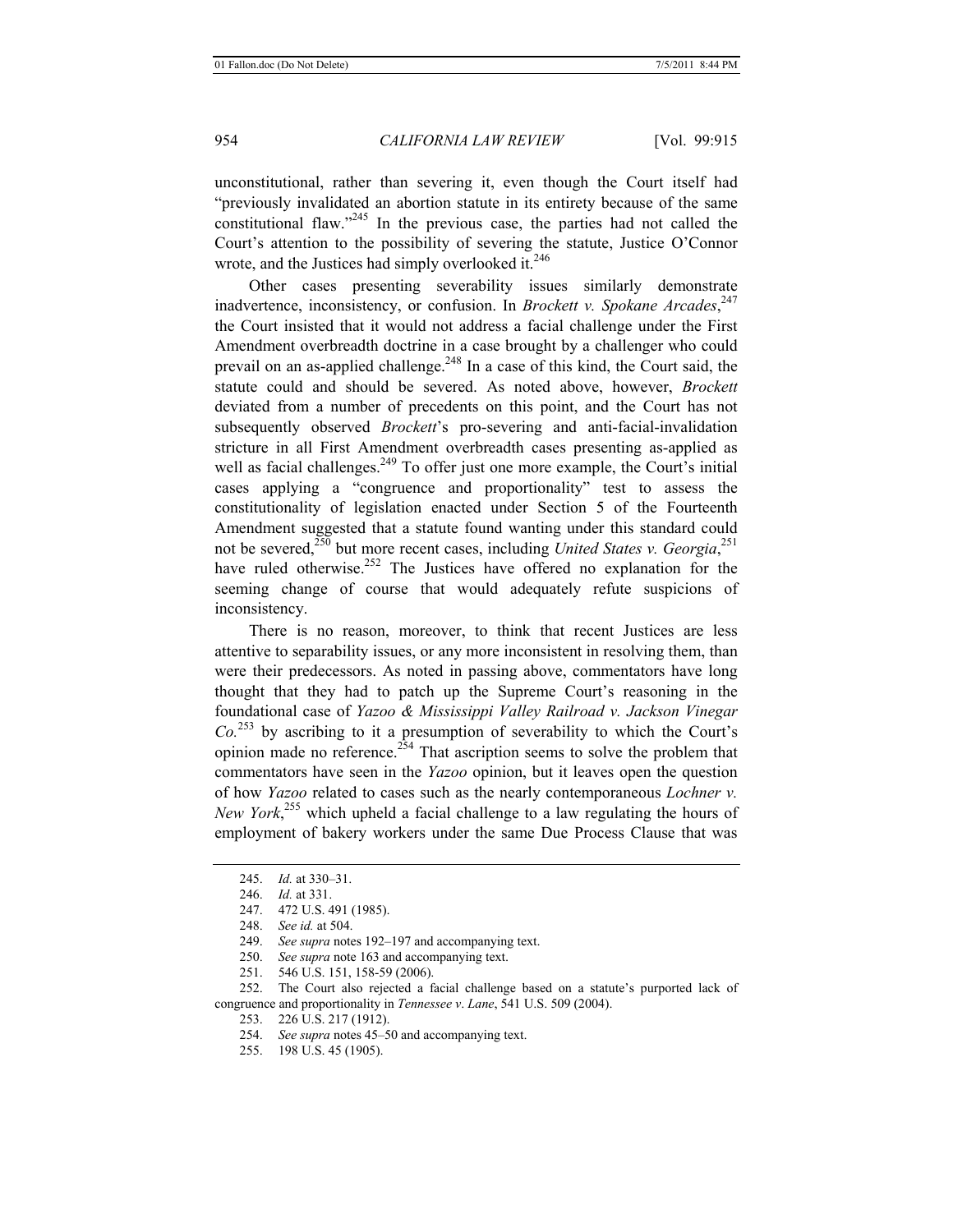unconstitutional, rather than severing it, even though the Court itself had "previously invalidated an abortion statute in its entirety because of the same constitutional flaw."245 In the previous case, the parties had not called the Court's attention to the possibility of severing the statute, Justice O'Connor wrote, and the Justices had simply overlooked it.<sup>246</sup>

Other cases presenting severability issues similarly demonstrate inadvertence, inconsistency, or confusion. In *Brockett v. Spokane Arcades*, 247 the Court insisted that it would not address a facial challenge under the First Amendment overbreadth doctrine in a case brought by a challenger who could prevail on an as-applied challenge.<sup>248</sup> In a case of this kind, the Court said, the statute could and should be severed. As noted above, however, *Brockett* deviated from a number of precedents on this point, and the Court has not subsequently observed *Brockett*'s pro-severing and anti-facial-invalidation stricture in all First Amendment overbreadth cases presenting as-applied as well as facial challenges.<sup>249</sup> To offer just one more example, the Court's initial cases applying a "congruence and proportionality" test to assess the constitutionality of legislation enacted under Section 5 of the Fourteenth Amendment suggested that a statute found wanting under this standard could not be severed,<sup>250</sup> but more recent cases, including *United States v. Georgia*,<sup>251</sup> have ruled otherwise.<sup>252</sup> The Justices have offered no explanation for the seeming change of course that would adequately refute suspicions of inconsistency.

There is no reason, moreover, to think that recent Justices are less attentive to separability issues, or any more inconsistent in resolving them, than were their predecessors. As noted in passing above, commentators have long thought that they had to patch up the Supreme Court's reasoning in the foundational case of *Yazoo & Mississippi Valley Railroad v. Jackson Vinegar Co.*253 by ascribing to it a presumption of severability to which the Court's opinion made no reference.<sup>254</sup> That ascription seems to solve the problem that commentators have seen in the *Yazoo* opinion, but it leaves open the question of how *Yazoo* related to cases such as the nearly contemporaneous *Lochner v. New York*, 255 which upheld a facial challenge to a law regulating the hours of employment of bakery workers under the same Due Process Clause that was

249. *See supra* notes 192–197 and accompanying text.

250. *See supra* note 163 and accompanying text.

251. 546 U.S. 151, 158-59 (2006).

252. The Court also rejected a facial challenge based on a statute's purported lack of congruence and proportionality in *Tennessee v*. *Lane*, 541 U.S. 509 (2004).

253. 226 U.S. 217 (1912).

254. *See supra* notes 45–50 and accompanying text.

255. 198 U.S. 45 (1905).

<sup>245.</sup> *Id.* at 330–31.

<sup>246.</sup> *Id.* at 331.

<sup>247. 472</sup> U.S. 491 (1985).

<sup>248.</sup> *See id.* at 504.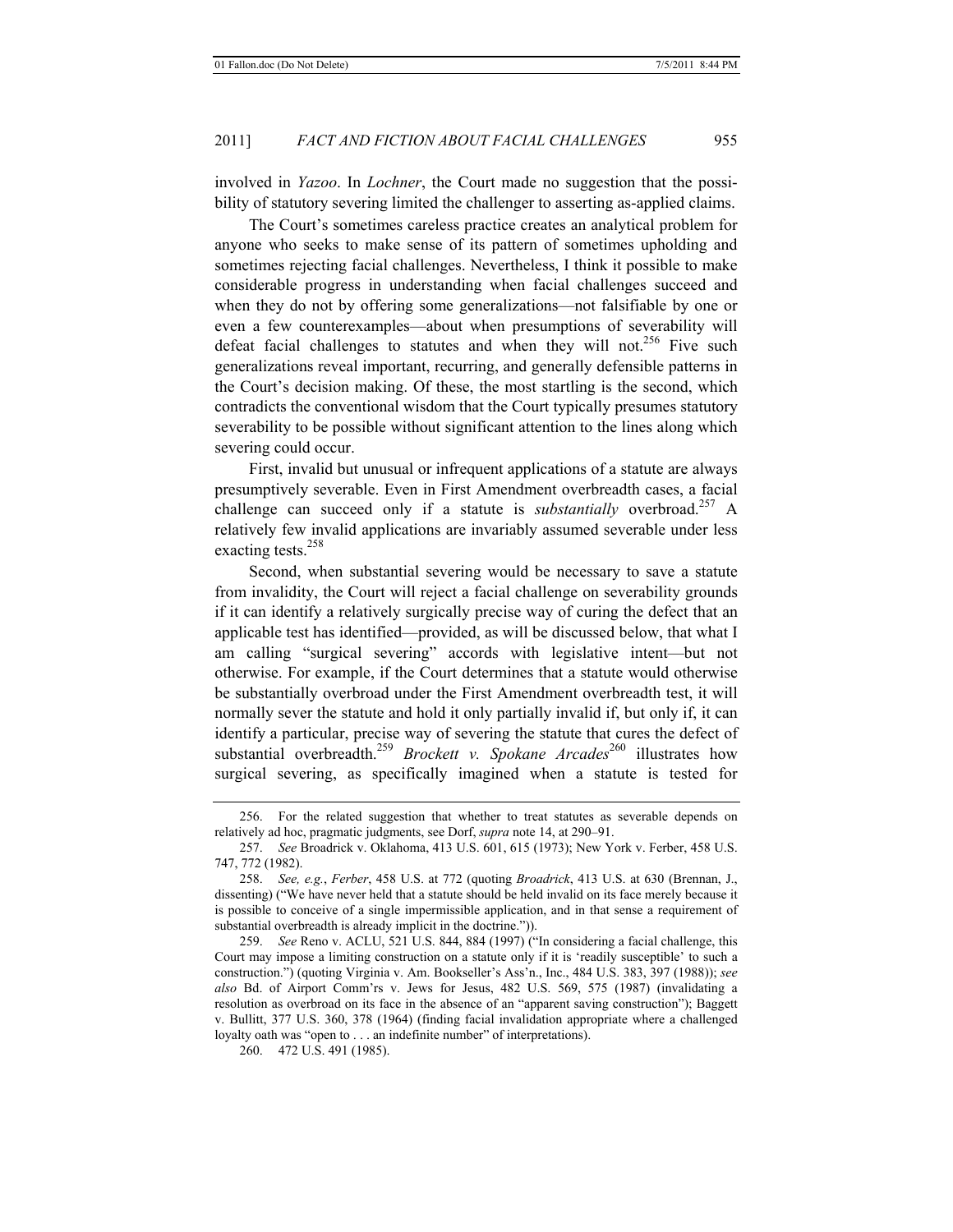involved in *Yazoo*. In *Lochner*, the Court made no suggestion that the possibility of statutory severing limited the challenger to asserting as-applied claims.

The Court's sometimes careless practice creates an analytical problem for anyone who seeks to make sense of its pattern of sometimes upholding and sometimes rejecting facial challenges. Nevertheless, I think it possible to make considerable progress in understanding when facial challenges succeed and when they do not by offering some generalizations—not falsifiable by one or even a few counterexamples—about when presumptions of severability will defeat facial challenges to statutes and when they will not.<sup>256</sup> Five such generalizations reveal important, recurring, and generally defensible patterns in the Court's decision making. Of these, the most startling is the second, which contradicts the conventional wisdom that the Court typically presumes statutory severability to be possible without significant attention to the lines along which severing could occur.

First, invalid but unusual or infrequent applications of a statute are always presumptively severable. Even in First Amendment overbreadth cases, a facial challenge can succeed only if a statute is *substantially* overbroad.<sup>257</sup> A relatively few invalid applications are invariably assumed severable under less exacting tests. $258$ 

Second, when substantial severing would be necessary to save a statute from invalidity, the Court will reject a facial challenge on severability grounds if it can identify a relatively surgically precise way of curing the defect that an applicable test has identified—provided, as will be discussed below, that what I am calling "surgical severing" accords with legislative intent—but not otherwise. For example, if the Court determines that a statute would otherwise be substantially overbroad under the First Amendment overbreadth test, it will normally sever the statute and hold it only partially invalid if, but only if, it can identify a particular, precise way of severing the statute that cures the defect of substantial overbreadth.<sup>259</sup> *Brockett v. Spokane Arcades*<sup>260</sup> illustrates how surgical severing, as specifically imagined when a statute is tested for

<sup>256.</sup> For the related suggestion that whether to treat statutes as severable depends on relatively ad hoc, pragmatic judgments, see Dorf, *supra* note 14, at 290–91.

<sup>257.</sup> *See* Broadrick v. Oklahoma, 413 U.S. 601, 615 (1973); New York v. Ferber, 458 U.S. 747, 772 (1982).

<sup>258.</sup> *See, e.g.*, *Ferber*, 458 U.S. at 772 (quoting *Broadrick*, 413 U.S. at 630 (Brennan, J., dissenting) ("We have never held that a statute should be held invalid on its face merely because it is possible to conceive of a single impermissible application, and in that sense a requirement of substantial overbreadth is already implicit in the doctrine.")).

<sup>259.</sup> *See* Reno v. ACLU, 521 U.S. 844, 884 (1997) ("In considering a facial challenge, this Court may impose a limiting construction on a statute only if it is 'readily susceptible' to such a construction.") (quoting Virginia v. Am. Bookseller's Ass'n., Inc., 484 U.S. 383, 397 (1988)); *see also* Bd. of Airport Comm'rs v. Jews for Jesus, 482 U.S. 569, 575 (1987) (invalidating a resolution as overbroad on its face in the absence of an "apparent saving construction"); Baggett v. Bullitt, 377 U.S. 360, 378 (1964) (finding facial invalidation appropriate where a challenged loyalty oath was "open to . . . an indefinite number" of interpretations).

<sup>260. 472</sup> U.S. 491 (1985).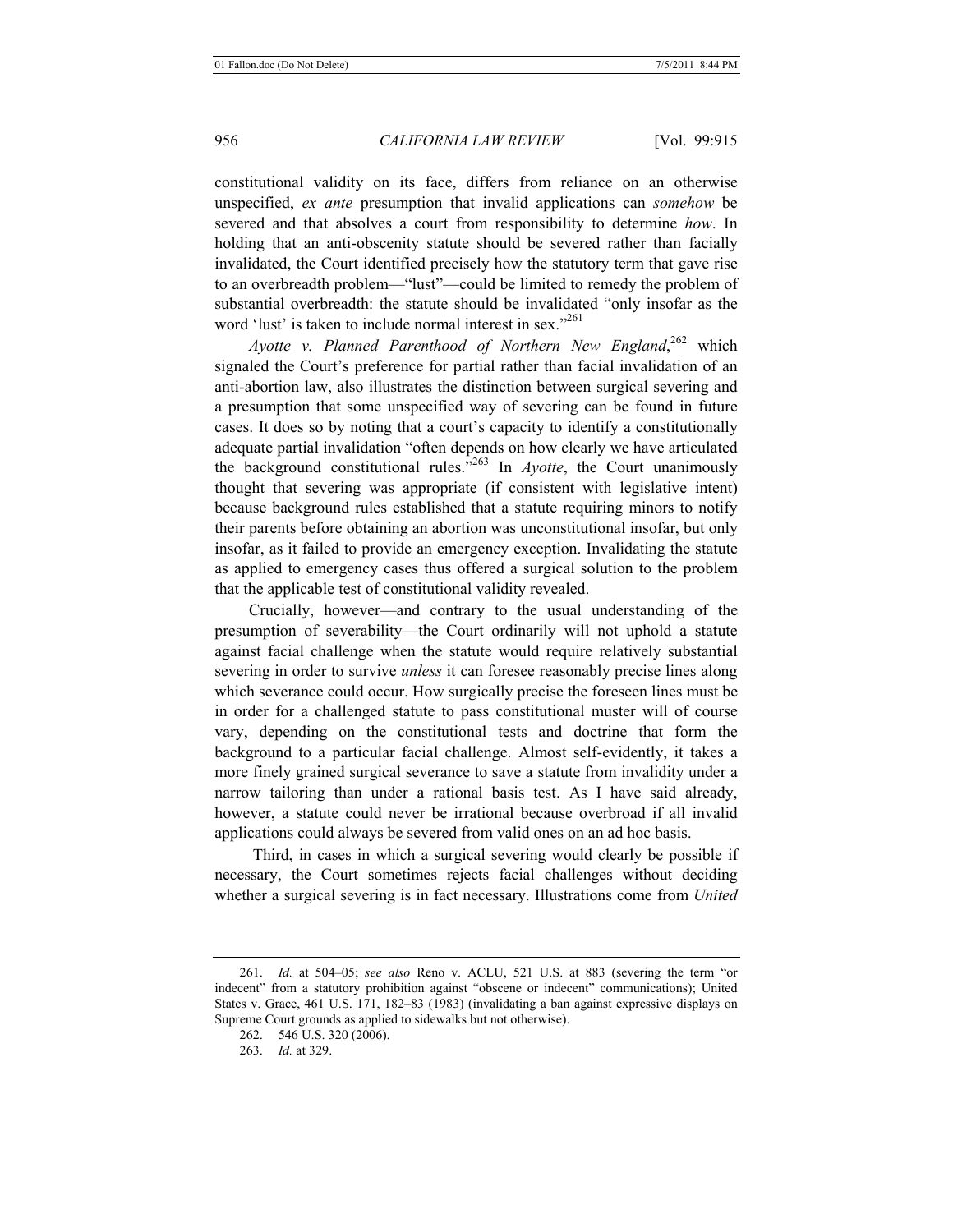constitutional validity on its face, differs from reliance on an otherwise unspecified, *ex ante* presumption that invalid applications can *somehow* be severed and that absolves a court from responsibility to determine *how*. In holding that an anti-obscenity statute should be severed rather than facially invalidated, the Court identified precisely how the statutory term that gave rise to an overbreadth problem—"lust"—could be limited to remedy the problem of substantial overbreadth: the statute should be invalidated "only insofar as the word 'lust' is taken to include normal interest in sex."<sup>261</sup>

Ayotte v. Planned Parenthood of Northern New England,<sup>262</sup> which signaled the Court's preference for partial rather than facial invalidation of an anti-abortion law, also illustrates the distinction between surgical severing and a presumption that some unspecified way of severing can be found in future cases. It does so by noting that a court's capacity to identify a constitutionally adequate partial invalidation "often depends on how clearly we have articulated the background constitutional rules."263 In *Ayotte*, the Court unanimously thought that severing was appropriate (if consistent with legislative intent) because background rules established that a statute requiring minors to notify their parents before obtaining an abortion was unconstitutional insofar, but only insofar, as it failed to provide an emergency exception. Invalidating the statute as applied to emergency cases thus offered a surgical solution to the problem that the applicable test of constitutional validity revealed.

Crucially, however—and contrary to the usual understanding of the presumption of severability—the Court ordinarily will not uphold a statute against facial challenge when the statute would require relatively substantial severing in order to survive *unless* it can foresee reasonably precise lines along which severance could occur. How surgically precise the foreseen lines must be in order for a challenged statute to pass constitutional muster will of course vary, depending on the constitutional tests and doctrine that form the background to a particular facial challenge. Almost self-evidently, it takes a more finely grained surgical severance to save a statute from invalidity under a narrow tailoring than under a rational basis test. As I have said already, however, a statute could never be irrational because overbroad if all invalid applications could always be severed from valid ones on an ad hoc basis.

 Third, in cases in which a surgical severing would clearly be possible if necessary, the Court sometimes rejects facial challenges without deciding whether a surgical severing is in fact necessary. Illustrations come from *United* 

<sup>261.</sup> *Id.* at 504–05; *see also* Reno v. ACLU, 521 U.S. at 883 (severing the term "or indecent" from a statutory prohibition against "obscene or indecent" communications); United States v. Grace, 461 U.S. 171, 182–83 (1983) (invalidating a ban against expressive displays on Supreme Court grounds as applied to sidewalks but not otherwise).

<sup>262. 546</sup> U.S. 320 (2006).

<sup>263.</sup> *Id.* at 329.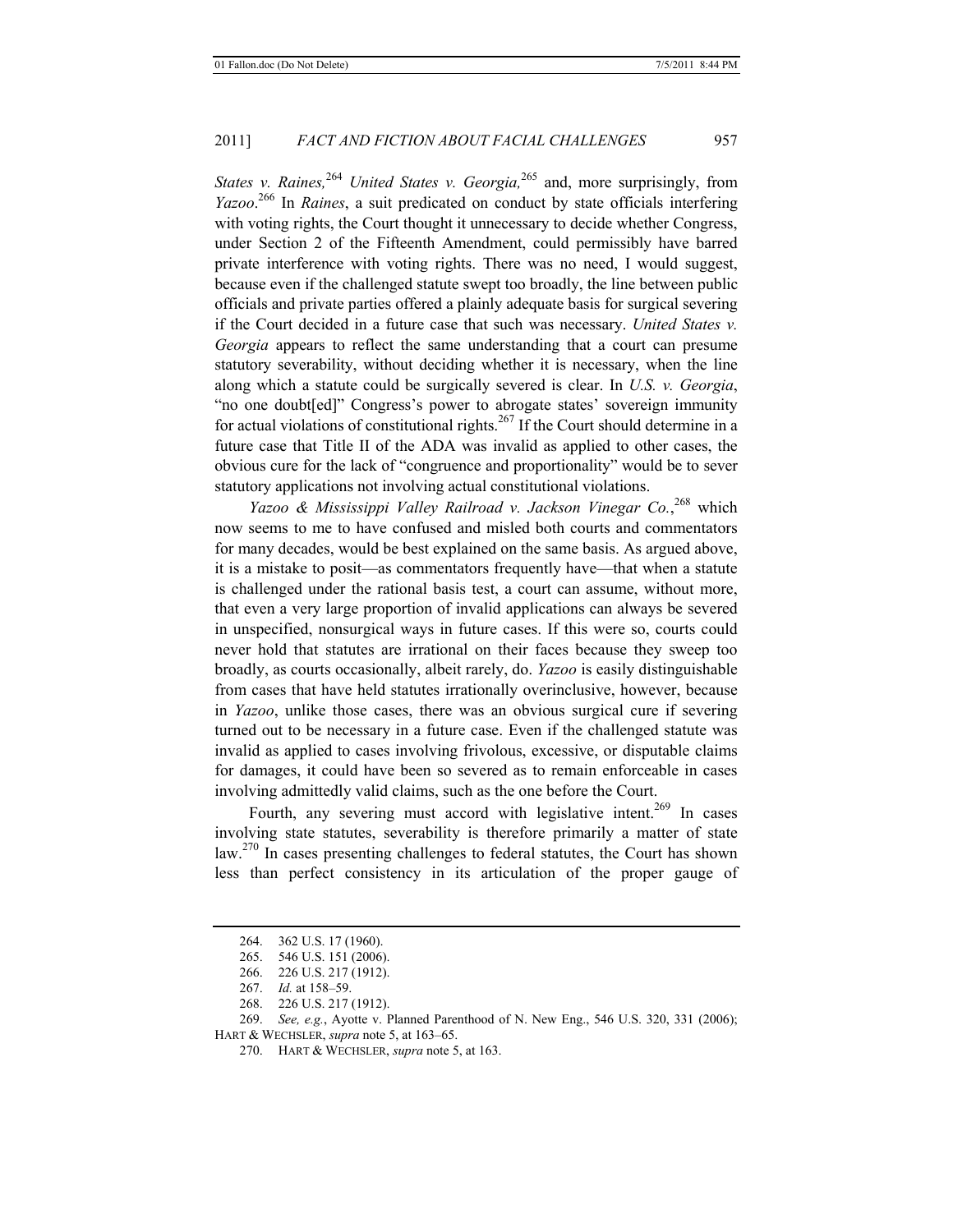*States v. Raines*<sup>264</sup> *United States v. Georgia*<sup>265</sup> and, more surprisingly, from *Yazoo*. 266 In *Raines*, a suit predicated on conduct by state officials interfering with voting rights, the Court thought it unnecessary to decide whether Congress, under Section 2 of the Fifteenth Amendment, could permissibly have barred private interference with voting rights. There was no need, I would suggest, because even if the challenged statute swept too broadly, the line between public officials and private parties offered a plainly adequate basis for surgical severing if the Court decided in a future case that such was necessary. *United States v. Georgia* appears to reflect the same understanding that a court can presume statutory severability, without deciding whether it is necessary, when the line along which a statute could be surgically severed is clear. In *U.S. v. Georgia*, "no one doubt[ed]" Congress's power to abrogate states' sovereign immunity for actual violations of constitutional rights.<sup>267</sup> If the Court should determine in a future case that Title II of the ADA was invalid as applied to other cases, the obvious cure for the lack of "congruence and proportionality" would be to sever statutory applications not involving actual constitutional violations.

*Yazoo & Mississippi Valley Railroad v. Jackson Vinegar Co.*, 268 which now seems to me to have confused and misled both courts and commentators for many decades, would be best explained on the same basis. As argued above, it is a mistake to posit—as commentators frequently have—that when a statute is challenged under the rational basis test, a court can assume, without more, that even a very large proportion of invalid applications can always be severed in unspecified, nonsurgical ways in future cases. If this were so, courts could never hold that statutes are irrational on their faces because they sweep too broadly, as courts occasionally, albeit rarely, do. *Yazoo* is easily distinguishable from cases that have held statutes irrationally overinclusive, however, because in *Yazoo*, unlike those cases, there was an obvious surgical cure if severing turned out to be necessary in a future case. Even if the challenged statute was invalid as applied to cases involving frivolous, excessive, or disputable claims for damages, it could have been so severed as to remain enforceable in cases involving admittedly valid claims, such as the one before the Court.

Fourth, any severing must accord with legislative intent.<sup>269</sup> In cases involving state statutes, severability is therefore primarily a matter of state law.270 In cases presenting challenges to federal statutes, the Court has shown less than perfect consistency in its articulation of the proper gauge of

<sup>264. 362</sup> U.S. 17 (1960).

<sup>265. 546</sup> U.S. 151 (2006).

<sup>266. 226</sup> U.S. 217 (1912).

<sup>267.</sup> *Id.* at 158–59.

<sup>268. 226</sup> U.S. 217 (1912).

<sup>269.</sup> *See, e.g.*, Ayotte v. Planned Parenthood of N. New Eng., 546 U.S. 320, 331 (2006); HART & WECHSLER, *supra* note 5, at 163–65.

<sup>270.</sup> HART & WECHSLER, *supra* note 5, at 163.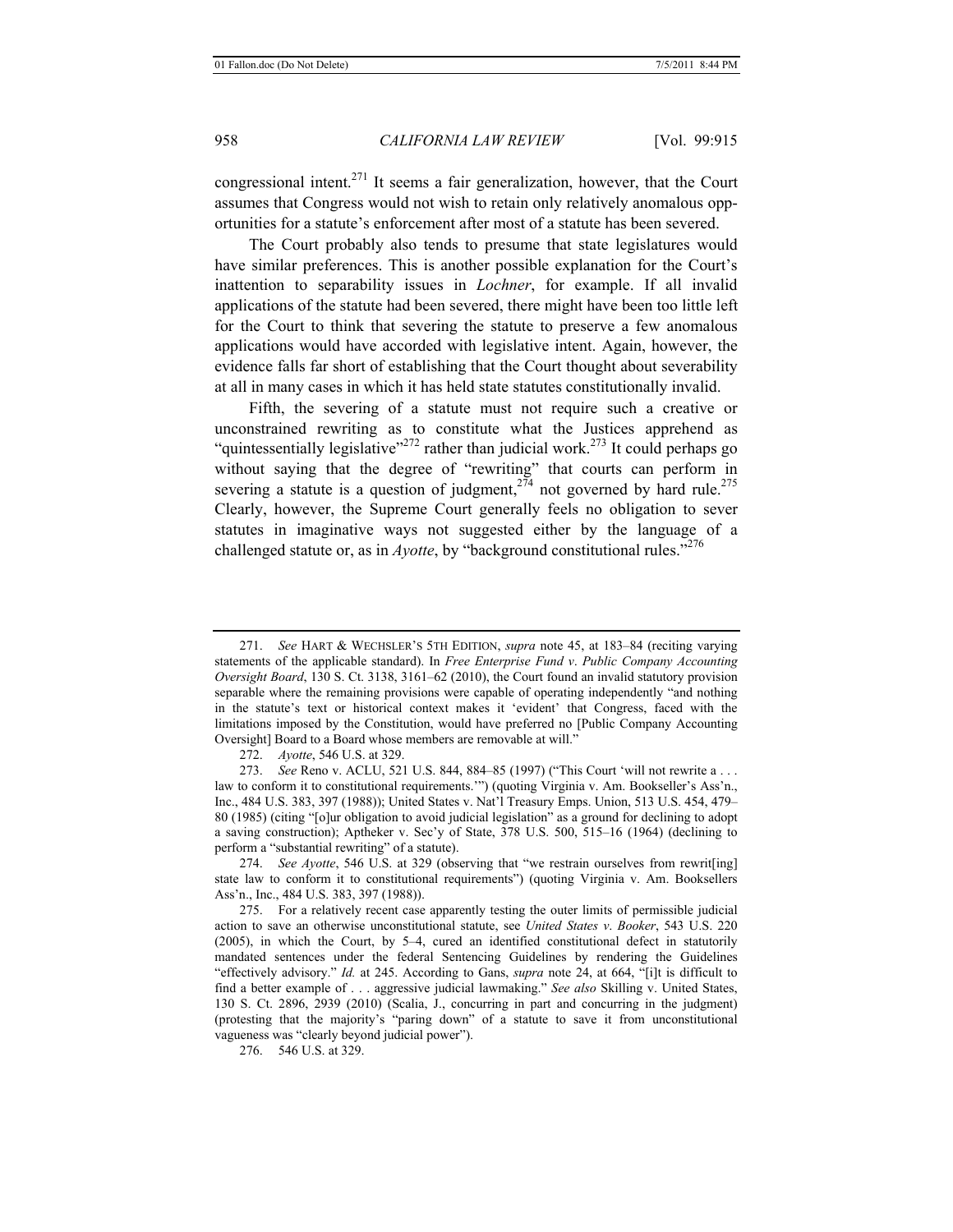congressional intent.<sup>271</sup> It seems a fair generalization, however, that the Court assumes that Congress would not wish to retain only relatively anomalous opportunities for a statute's enforcement after most of a statute has been severed.

The Court probably also tends to presume that state legislatures would have similar preferences. This is another possible explanation for the Court's inattention to separability issues in *Lochner*, for example. If all invalid applications of the statute had been severed, there might have been too little left for the Court to think that severing the statute to preserve a few anomalous applications would have accorded with legislative intent. Again, however, the evidence falls far short of establishing that the Court thought about severability at all in many cases in which it has held state statutes constitutionally invalid.

Fifth, the severing of a statute must not require such a creative or unconstrained rewriting as to constitute what the Justices apprehend as "quintessentially legislative"<sup>272</sup> rather than judicial work.<sup>273</sup> It could perhaps go without saying that the degree of "rewriting" that courts can perform in severing a statute is a question of judgment,  $2^{74}$  not governed by hard rule.<sup>275</sup> Clearly, however, the Supreme Court generally feels no obligation to sever statutes in imaginative ways not suggested either by the language of a challenged statute or, as in *Ayotte*, by "background constitutional rules.<sup>7276</sup>

272. *Ayotte*, 546 U.S. at 329.

274. *See Ayotte*, 546 U.S. at 329 (observing that "we restrain ourselves from rewrit[ing] state law to conform it to constitutional requirements") (quoting Virginia v. Am. Booksellers Ass'n., Inc., 484 U.S. 383, 397 (1988)).

275. For a relatively recent case apparently testing the outer limits of permissible judicial action to save an otherwise unconstitutional statute, see *United States v*. *Booker*, 543 U.S. 220 (2005), in which the Court, by 5–4, cured an identified constitutional defect in statutorily mandated sentences under the federal Sentencing Guidelines by rendering the Guidelines "effectively advisory." *Id.* at 245. According to Gans, *supra* note 24, at 664, "[i]t is difficult to find a better example of . . . aggressive judicial lawmaking." *See also* Skilling v. United States, 130 S. Ct. 2896, 2939 (2010) (Scalia, J., concurring in part and concurring in the judgment) (protesting that the majority's "paring down" of a statute to save it from unconstitutional vagueness was "clearly beyond judicial power").

<sup>271.</sup> *See* HART & WECHSLER'S 5TH EDITION, *supra* note 45, at 183–84 (reciting varying statements of the applicable standard). In *Free Enterprise Fund v*. *Public Company Accounting Oversight Board*, 130 S. Ct. 3138, 3161–62 (2010), the Court found an invalid statutory provision separable where the remaining provisions were capable of operating independently "and nothing in the statute's text or historical context makes it 'evident' that Congress, faced with the limitations imposed by the Constitution, would have preferred no [Public Company Accounting Oversight] Board to a Board whose members are removable at will."

<sup>273.</sup> *See* Reno v. ACLU, 521 U.S. 844, 884–85 (1997) ("This Court 'will not rewrite a . . . law to conform it to constitutional requirements.'") (quoting Virginia v. Am. Bookseller's Ass'n., Inc., 484 U.S. 383, 397 (1988)); United States v. Nat'l Treasury Emps. Union, 513 U.S. 454, 479– 80 (1985) (citing "[o]ur obligation to avoid judicial legislation" as a ground for declining to adopt a saving construction); Aptheker v. Sec'y of State, 378 U.S. 500, 515–16 (1964) (declining to perform a "substantial rewriting" of a statute).

<sup>276. 546</sup> U.S. at 329.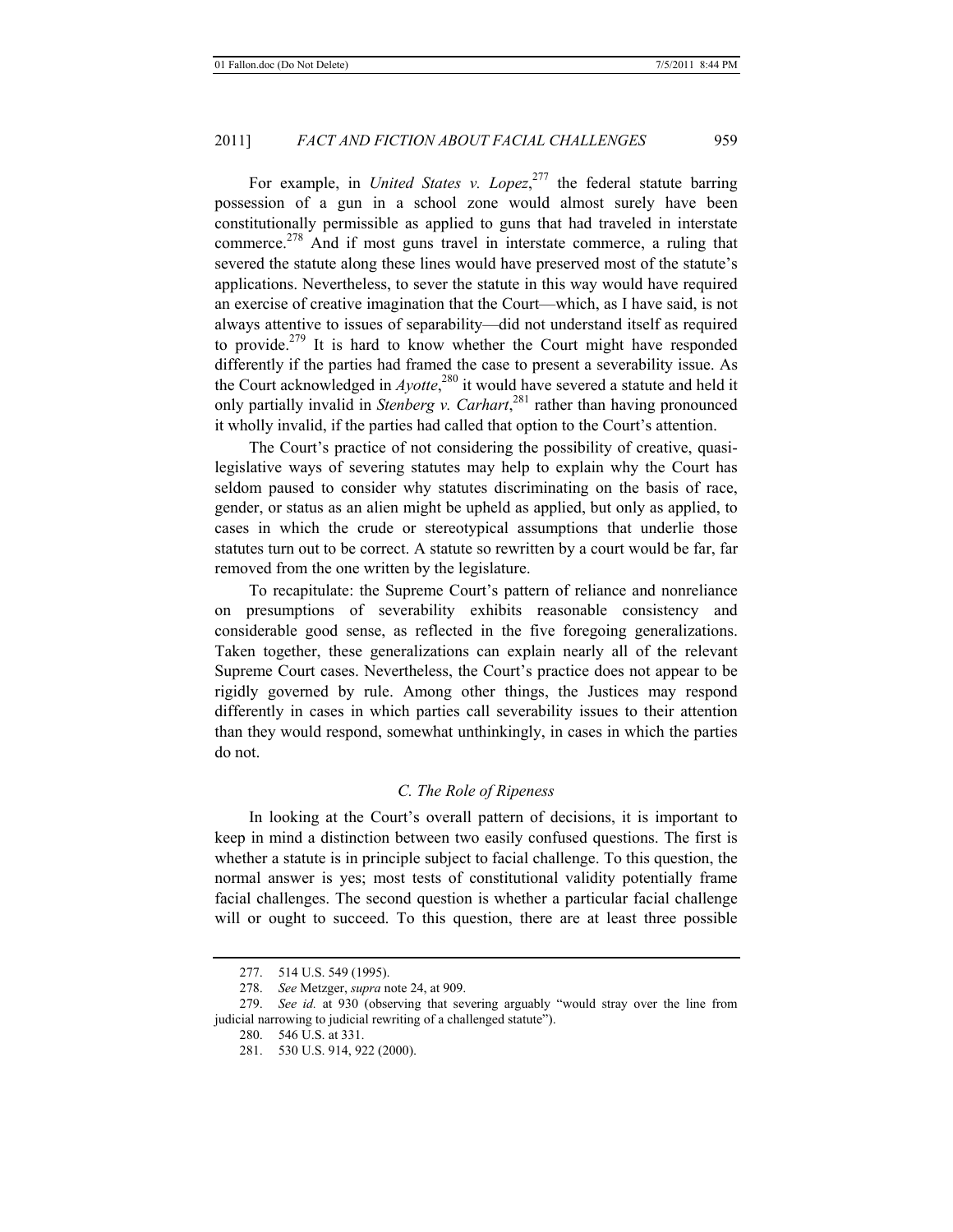For example, in *United States v. Lopez*, 277 the federal statute barring possession of a gun in a school zone would almost surely have been constitutionally permissible as applied to guns that had traveled in interstate commerce.<sup>278</sup> And if most guns travel in interstate commerce, a ruling that severed the statute along these lines would have preserved most of the statute's applications. Nevertheless, to sever the statute in this way would have required an exercise of creative imagination that the Court—which, as I have said, is not always attentive to issues of separability—did not understand itself as required to provide.<sup>279</sup> It is hard to know whether the Court might have responded differently if the parties had framed the case to present a severability issue. As the Court acknowledged in *Ayotte*, 280 it would have severed a statute and held it only partially invalid in *Stenberg v. Carhart*, 281 rather than having pronounced it wholly invalid, if the parties had called that option to the Court's attention.

The Court's practice of not considering the possibility of creative, quasilegislative ways of severing statutes may help to explain why the Court has seldom paused to consider why statutes discriminating on the basis of race, gender, or status as an alien might be upheld as applied, but only as applied, to cases in which the crude or stereotypical assumptions that underlie those statutes turn out to be correct. A statute so rewritten by a court would be far, far removed from the one written by the legislature.

To recapitulate: the Supreme Court's pattern of reliance and nonreliance on presumptions of severability exhibits reasonable consistency and considerable good sense, as reflected in the five foregoing generalizations. Taken together, these generalizations can explain nearly all of the relevant Supreme Court cases. Nevertheless, the Court's practice does not appear to be rigidly governed by rule. Among other things, the Justices may respond differently in cases in which parties call severability issues to their attention than they would respond, somewhat unthinkingly, in cases in which the parties do not.

#### *C. The Role of Ripeness*

In looking at the Court's overall pattern of decisions, it is important to keep in mind a distinction between two easily confused questions. The first is whether a statute is in principle subject to facial challenge. To this question, the normal answer is yes; most tests of constitutional validity potentially frame facial challenges. The second question is whether a particular facial challenge will or ought to succeed. To this question, there are at least three possible

<sup>277. 514</sup> U.S. 549 (1995).

<sup>278.</sup> *See* Metzger, *supra* note 24, at 909.

<sup>279.</sup> *See id.* at 930 (observing that severing arguably "would stray over the line from judicial narrowing to judicial rewriting of a challenged statute").

<sup>280. 546</sup> U.S. at 331.

<sup>281. 530</sup> U.S. 914, 922 (2000).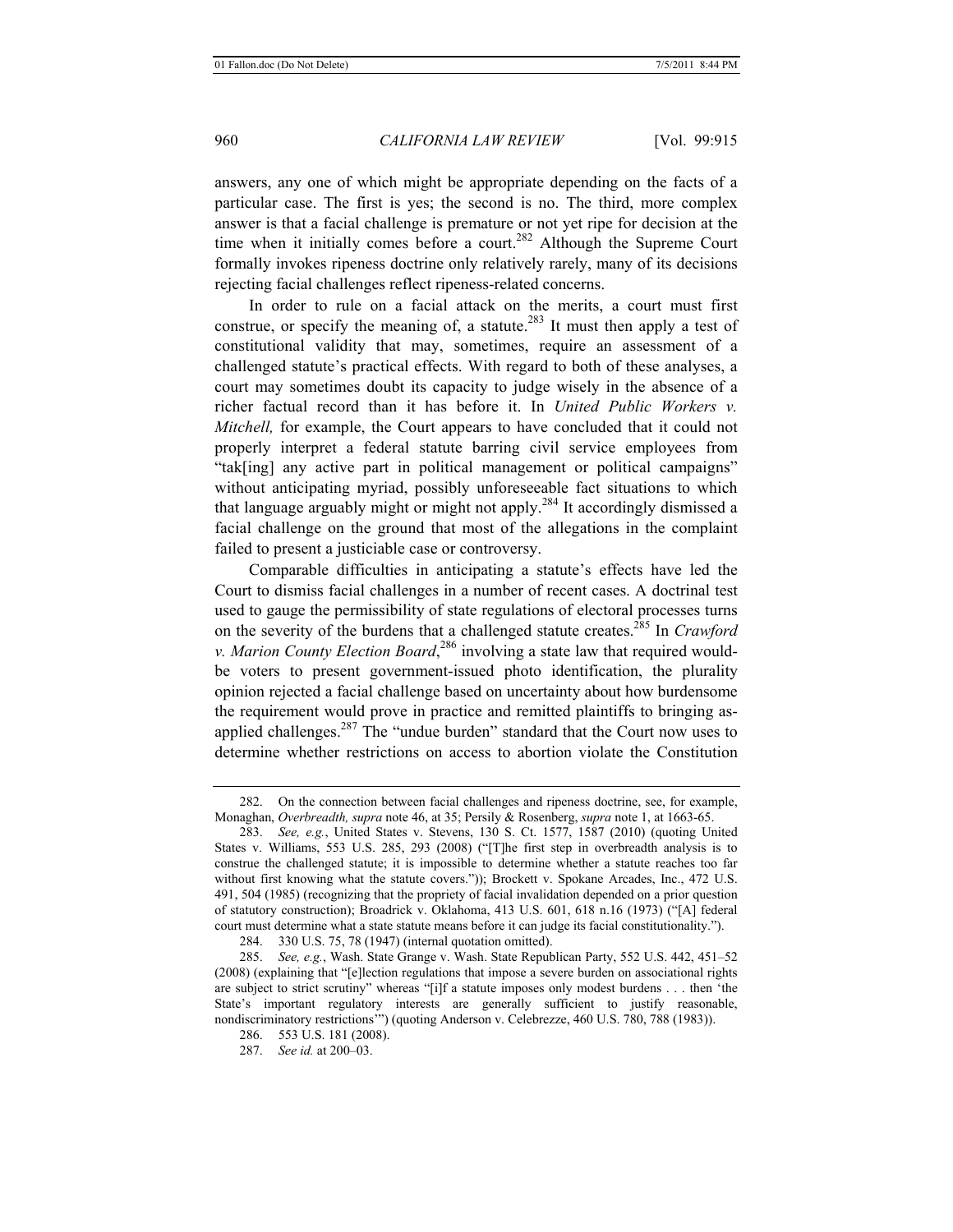answers, any one of which might be appropriate depending on the facts of a particular case. The first is yes; the second is no. The third, more complex answer is that a facial challenge is premature or not yet ripe for decision at the time when it initially comes before a court.<sup>282</sup> Although the Supreme Court formally invokes ripeness doctrine only relatively rarely, many of its decisions rejecting facial challenges reflect ripeness-related concerns.

In order to rule on a facial attack on the merits, a court must first construe, or specify the meaning of, a statute.<sup>283</sup> It must then apply a test of constitutional validity that may, sometimes, require an assessment of a challenged statute's practical effects. With regard to both of these analyses, a court may sometimes doubt its capacity to judge wisely in the absence of a richer factual record than it has before it. In *United Public Workers v. Mitchell,* for example, the Court appears to have concluded that it could not properly interpret a federal statute barring civil service employees from "tak[ing] any active part in political management or political campaigns" without anticipating myriad, possibly unforeseeable fact situations to which that language arguably might or might not apply.284 It accordingly dismissed a facial challenge on the ground that most of the allegations in the complaint failed to present a justiciable case or controversy.

Comparable difficulties in anticipating a statute's effects have led the Court to dismiss facial challenges in a number of recent cases. A doctrinal test used to gauge the permissibility of state regulations of electoral processes turns on the severity of the burdens that a challenged statute creates.<sup>285</sup> In *Crawford v. Marion County Election Board*, 286 involving a state law that required wouldbe voters to present government-issued photo identification, the plurality opinion rejected a facial challenge based on uncertainty about how burdensome the requirement would prove in practice and remitted plaintiffs to bringing asapplied challenges. $287$  The "undue burden" standard that the Court now uses to determine whether restrictions on access to abortion violate the Constitution

284. 330 U.S. 75, 78 (1947) (internal quotation omitted).

<sup>282.</sup> On the connection between facial challenges and ripeness doctrine, see, for example, Monaghan, *Overbreadth, supra* note 46, at 35; Persily & Rosenberg, *supra* note 1, at 1663-65.

<sup>283.</sup> *See, e.g.*, United States v. Stevens, 130 S. Ct. 1577, 1587 (2010) (quoting United States v. Williams, 553 U.S. 285, 293 (2008) ("[T]he first step in overbreadth analysis is to construe the challenged statute; it is impossible to determine whether a statute reaches too far without first knowing what the statute covers.")); Brockett v. Spokane Arcades, Inc., 472 U.S. 491, 504 (1985) (recognizing that the propriety of facial invalidation depended on a prior question of statutory construction); Broadrick v. Oklahoma, 413 U.S. 601, 618 n.16 (1973) ("[A] federal court must determine what a state statute means before it can judge its facial constitutionality.").

<sup>285.</sup> *See, e.g.*, Wash. State Grange v. Wash. State Republican Party, 552 U.S. 442, 451–52 (2008) (explaining that "[e]lection regulations that impose a severe burden on associational rights are subject to strict scrutiny" whereas "[i]f a statute imposes only modest burdens . . . then 'the State's important regulatory interests are generally sufficient to justify reasonable, nondiscriminatory restrictions'") (quoting Anderson v. Celebrezze, 460 U.S. 780, 788 (1983)).

<sup>286. 553</sup> U.S. 181 (2008).

<sup>287.</sup> *See id.* at 200–03.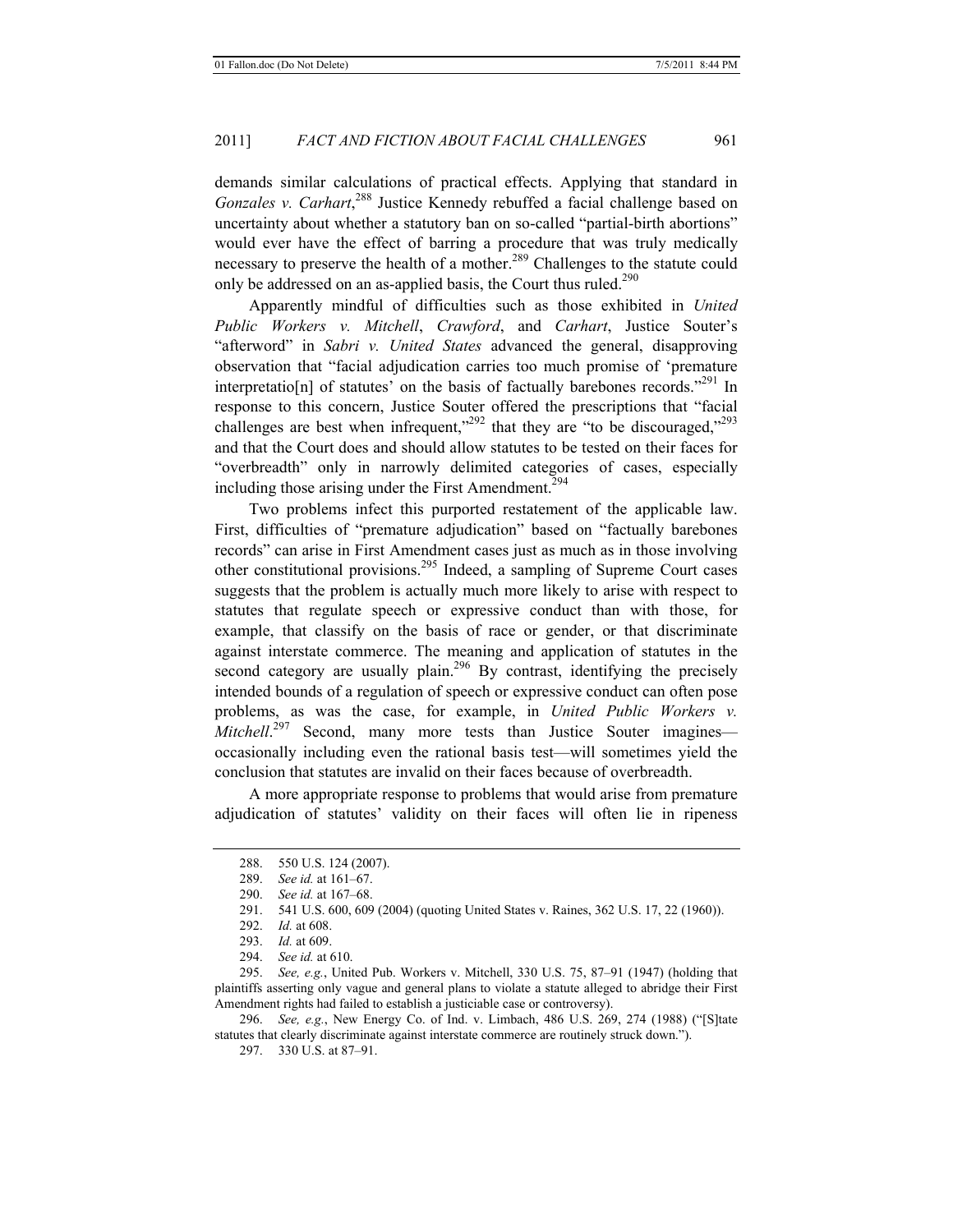demands similar calculations of practical effects. Applying that standard in Gonzales v. Carhart,<sup>288</sup> Justice Kennedy rebuffed a facial challenge based on uncertainty about whether a statutory ban on so-called "partial-birth abortions" would ever have the effect of barring a procedure that was truly medically necessary to preserve the health of a mother.<sup>289</sup> Challenges to the statute could only be addressed on an as-applied basis, the Court thus ruled.<sup>290</sup>

Apparently mindful of difficulties such as those exhibited in *United Public Workers v. Mitchell*, *Crawford*, and *Carhart*, Justice Souter's "afterword" in *Sabri v. United States* advanced the general, disapproving observation that "facial adjudication carries too much promise of 'premature interpretatio[n] of statutes' on the basis of factually barebones records.<sup> $291$ </sup> In response to this concern, Justice Souter offered the prescriptions that "facial challenges are best when infrequent," $^{292}$  that they are "to be discouraged," $^{293}$ and that the Court does and should allow statutes to be tested on their faces for "overbreadth" only in narrowly delimited categories of cases, especially including those arising under the First Amendment.<sup>294</sup>

Two problems infect this purported restatement of the applicable law. First, difficulties of "premature adjudication" based on "factually barebones records" can arise in First Amendment cases just as much as in those involving other constitutional provisions.295 Indeed, a sampling of Supreme Court cases suggests that the problem is actually much more likely to arise with respect to statutes that regulate speech or expressive conduct than with those, for example, that classify on the basis of race or gender, or that discriminate against interstate commerce. The meaning and application of statutes in the second category are usually plain.<sup>296</sup> By contrast, identifying the precisely intended bounds of a regulation of speech or expressive conduct can often pose problems, as was the case, for example, in *United Public Workers v. Mitchell*.<sup>297</sup> Second, many more tests than Justice Souter imagines occasionally including even the rational basis test—will sometimes yield the conclusion that statutes are invalid on their faces because of overbreadth.

A more appropriate response to problems that would arise from premature adjudication of statutes' validity on their faces will often lie in ripeness

295. *See, e.g.*, United Pub. Workers v. Mitchell, 330 U.S. 75, 87–91 (1947) (holding that plaintiffs asserting only vague and general plans to violate a statute alleged to abridge their First Amendment rights had failed to establish a justiciable case or controversy).

<sup>288. 550</sup> U.S. 124 (2007).

<sup>289.</sup> *See id.* at 161–67.

<sup>290.</sup> *See id.* at 167–68.

<sup>291. 541</sup> U.S. 600, 609 (2004) (quoting United States v. Raines, 362 U.S. 17, 22 (1960)).

<sup>292.</sup> *Id.* at 608.

<sup>293.</sup> *Id.* at 609.

<sup>294.</sup> *See id.* at 610.

<sup>296.</sup> *See, e.g.*, New Energy Co. of Ind. v. Limbach, 486 U.S. 269, 274 (1988) ("[S]tate statutes that clearly discriminate against interstate commerce are routinely struck down.").

<sup>297. 330</sup> U.S. at 87–91.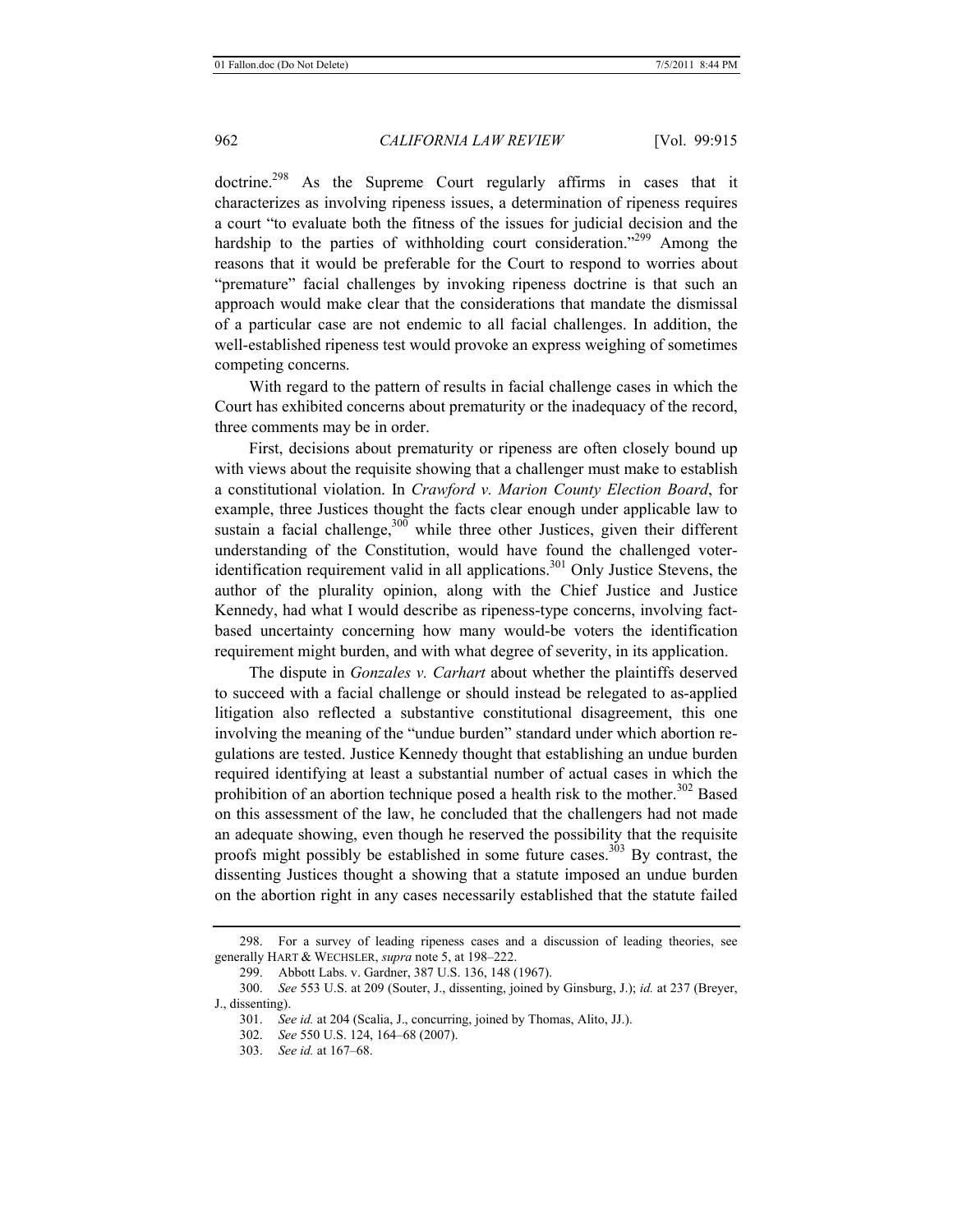doctrine.<sup>298</sup> As the Supreme Court regularly affirms in cases that it characterizes as involving ripeness issues, a determination of ripeness requires a court "to evaluate both the fitness of the issues for judicial decision and the hardship to the parties of withholding court consideration."<sup>299</sup> Among the reasons that it would be preferable for the Court to respond to worries about "premature" facial challenges by invoking ripeness doctrine is that such an approach would make clear that the considerations that mandate the dismissal of a particular case are not endemic to all facial challenges. In addition, the well-established ripeness test would provoke an express weighing of sometimes competing concerns.

With regard to the pattern of results in facial challenge cases in which the Court has exhibited concerns about prematurity or the inadequacy of the record, three comments may be in order.

First, decisions about prematurity or ripeness are often closely bound up with views about the requisite showing that a challenger must make to establish a constitutional violation. In *Crawford v. Marion County Election Board*, for example, three Justices thought the facts clear enough under applicable law to sustain a facial challenge, $300$  while three other Justices, given their different understanding of the Constitution, would have found the challenged voteridentification requirement valid in all applications.<sup>301</sup> Only Justice Stevens, the author of the plurality opinion, along with the Chief Justice and Justice Kennedy, had what I would describe as ripeness-type concerns, involving factbased uncertainty concerning how many would-be voters the identification requirement might burden, and with what degree of severity, in its application.

The dispute in *Gonzales v. Carhart* about whether the plaintiffs deserved to succeed with a facial challenge or should instead be relegated to as-applied litigation also reflected a substantive constitutional disagreement, this one involving the meaning of the "undue burden" standard under which abortion regulations are tested. Justice Kennedy thought that establishing an undue burden required identifying at least a substantial number of actual cases in which the prohibition of an abortion technique posed a health risk to the mother.<sup>302</sup> Based on this assessment of the law, he concluded that the challengers had not made an adequate showing, even though he reserved the possibility that the requisite proofs might possibly be established in some future cases.<sup>303</sup> By contrast, the dissenting Justices thought a showing that a statute imposed an undue burden on the abortion right in any cases necessarily established that the statute failed

<sup>298.</sup> For a survey of leading ripeness cases and a discussion of leading theories, see generally HART & WECHSLER, *supra* note 5, at 198–222.

<sup>299.</sup> Abbott Labs. v. Gardner, 387 U.S. 136, 148 (1967).

<sup>300.</sup> *See* 553 U.S. at 209 (Souter, J., dissenting, joined by Ginsburg, J.); *id.* at 237 (Breyer, J., dissenting).

<sup>301.</sup> *See id.* at 204 (Scalia, J., concurring, joined by Thomas, Alito, JJ.).

<sup>302.</sup> *See* 550 U.S. 124, 164–68 (2007).

<sup>303.</sup> *See id.* at 167–68.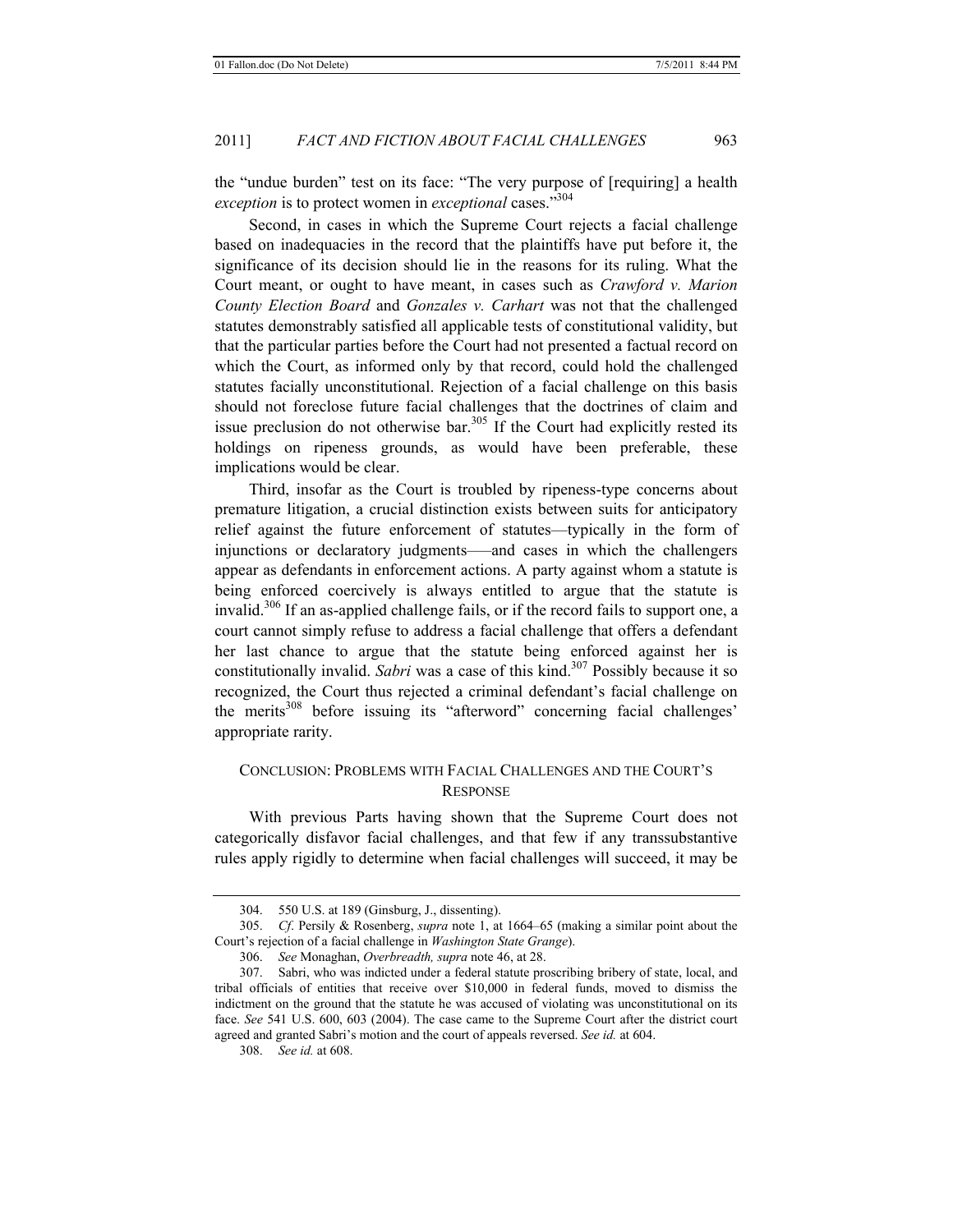the "undue burden" test on its face: "The very purpose of [requiring] a health *exception* is to protect women in *exceptional* cases."304

Second, in cases in which the Supreme Court rejects a facial challenge based on inadequacies in the record that the plaintiffs have put before it, the significance of its decision should lie in the reasons for its ruling. What the Court meant, or ought to have meant, in cases such as *Crawford v. Marion County Election Board* and *Gonzales v. Carhart* was not that the challenged statutes demonstrably satisfied all applicable tests of constitutional validity, but that the particular parties before the Court had not presented a factual record on which the Court, as informed only by that record, could hold the challenged statutes facially unconstitutional. Rejection of a facial challenge on this basis should not foreclose future facial challenges that the doctrines of claim and issue preclusion do not otherwise bar.<sup>305</sup> If the Court had explicitly rested its holdings on ripeness grounds, as would have been preferable, these implications would be clear.

Third, insofar as the Court is troubled by ripeness-type concerns about premature litigation, a crucial distinction exists between suits for anticipatory relief against the future enforcement of statutes—typically in the form of injunctions or declaratory judgments–—and cases in which the challengers appear as defendants in enforcement actions. A party against whom a statute is being enforced coercively is always entitled to argue that the statute is invalid.<sup>306</sup> If an as-applied challenge fails, or if the record fails to support one, a court cannot simply refuse to address a facial challenge that offers a defendant her last chance to argue that the statute being enforced against her is constitutionally invalid. *Sabri* was a case of this kind.<sup>307</sup> Possibly because it so recognized, the Court thus rejected a criminal defendant's facial challenge on the merits<sup>308</sup> before issuing its "afterword" concerning facial challenges' appropriate rarity.

# CONCLUSION: PROBLEMS WITH FACIAL CHALLENGES AND THE COURT'S **RESPONSE**

With previous Parts having shown that the Supreme Court does not categorically disfavor facial challenges, and that few if any transsubstantive rules apply rigidly to determine when facial challenges will succeed, it may be

<sup>304. 550</sup> U.S. at 189 (Ginsburg, J., dissenting).

<sup>305.</sup> *Cf*. Persily & Rosenberg, *supra* note 1, at 1664–65 (making a similar point about the Court's rejection of a facial challenge in *Washington State Grange*).

<sup>306.</sup> *See* Monaghan, *Overbreadth, supra* note 46, at 28.

<sup>307.</sup> Sabri, who was indicted under a federal statute proscribing bribery of state, local, and tribal officials of entities that receive over \$10,000 in federal funds, moved to dismiss the indictment on the ground that the statute he was accused of violating was unconstitutional on its face. *See* 541 U.S. 600, 603 (2004). The case came to the Supreme Court after the district court agreed and granted Sabri's motion and the court of appeals reversed. *See id.* at 604.

<sup>308.</sup> *See id.* at 608.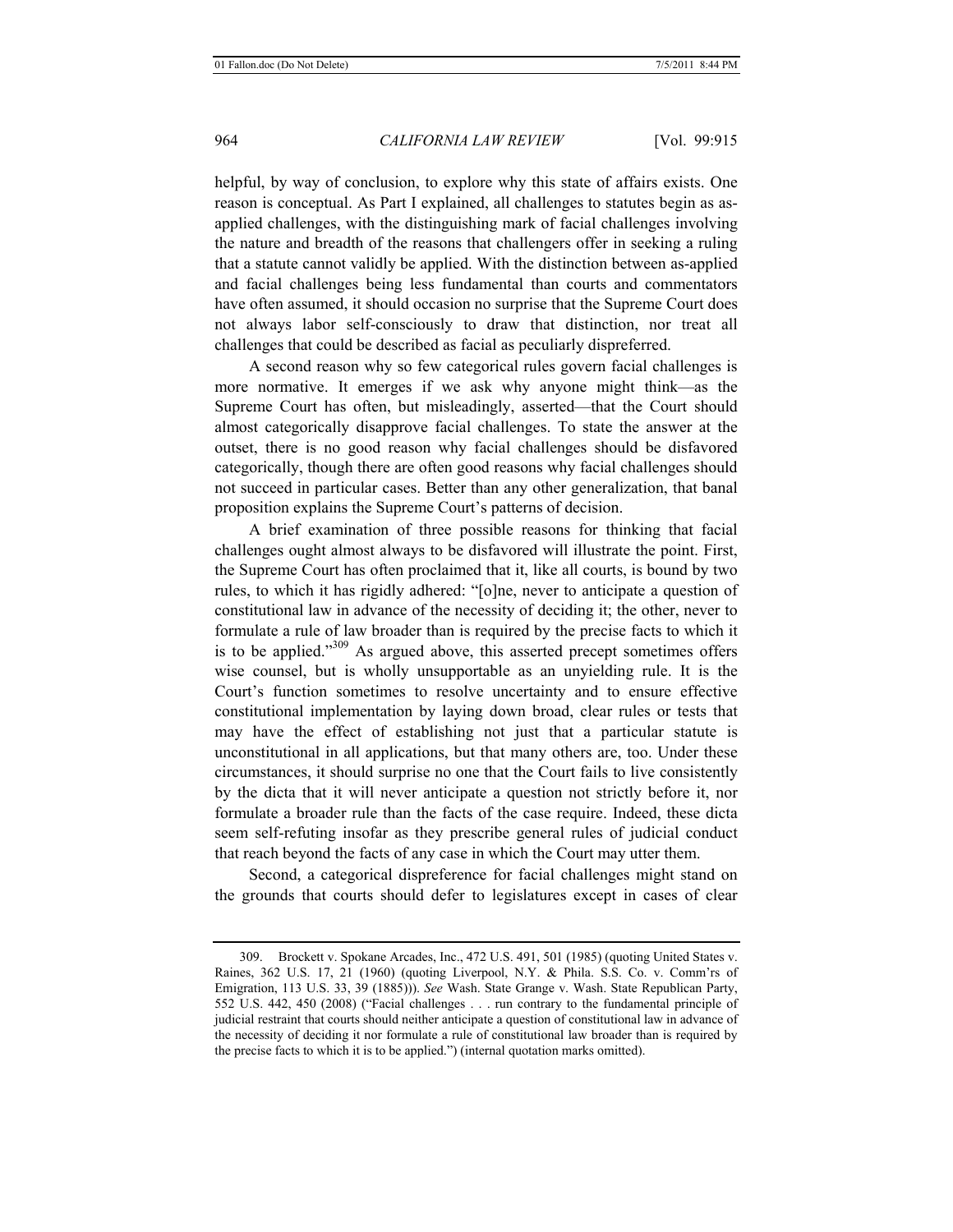helpful, by way of conclusion, to explore why this state of affairs exists. One reason is conceptual. As Part I explained, all challenges to statutes begin as asapplied challenges, with the distinguishing mark of facial challenges involving the nature and breadth of the reasons that challengers offer in seeking a ruling that a statute cannot validly be applied. With the distinction between as-applied and facial challenges being less fundamental than courts and commentators have often assumed, it should occasion no surprise that the Supreme Court does not always labor self-consciously to draw that distinction, nor treat all challenges that could be described as facial as peculiarly dispreferred.

A second reason why so few categorical rules govern facial challenges is more normative. It emerges if we ask why anyone might think—as the Supreme Court has often, but misleadingly, asserted—that the Court should almost categorically disapprove facial challenges. To state the answer at the outset, there is no good reason why facial challenges should be disfavored categorically, though there are often good reasons why facial challenges should not succeed in particular cases. Better than any other generalization, that banal proposition explains the Supreme Court's patterns of decision.

A brief examination of three possible reasons for thinking that facial challenges ought almost always to be disfavored will illustrate the point. First, the Supreme Court has often proclaimed that it, like all courts, is bound by two rules, to which it has rigidly adhered: "[o]ne, never to anticipate a question of constitutional law in advance of the necessity of deciding it; the other, never to formulate a rule of law broader than is required by the precise facts to which it is to be applied."<sup>309</sup> As argued above, this asserted precept sometimes offers wise counsel, but is wholly unsupportable as an unyielding rule. It is the Court's function sometimes to resolve uncertainty and to ensure effective constitutional implementation by laying down broad, clear rules or tests that may have the effect of establishing not just that a particular statute is unconstitutional in all applications, but that many others are, too. Under these circumstances, it should surprise no one that the Court fails to live consistently by the dicta that it will never anticipate a question not strictly before it, nor formulate a broader rule than the facts of the case require. Indeed, these dicta seem self-refuting insofar as they prescribe general rules of judicial conduct that reach beyond the facts of any case in which the Court may utter them.

Second, a categorical dispreference for facial challenges might stand on the grounds that courts should defer to legislatures except in cases of clear

<sup>309.</sup> Brockett v. Spokane Arcades, Inc., 472 U.S. 491, 501 (1985) (quoting United States v. Raines, 362 U.S. 17, 21 (1960) (quoting Liverpool, N.Y. & Phila. S.S. Co. v. Comm'rs of Emigration, 113 U.S. 33, 39 (1885))). *See* Wash. State Grange v. Wash. State Republican Party, 552 U.S. 442, 450 (2008) ("Facial challenges . . . run contrary to the fundamental principle of judicial restraint that courts should neither anticipate a question of constitutional law in advance of the necessity of deciding it nor formulate a rule of constitutional law broader than is required by the precise facts to which it is to be applied.") (internal quotation marks omitted).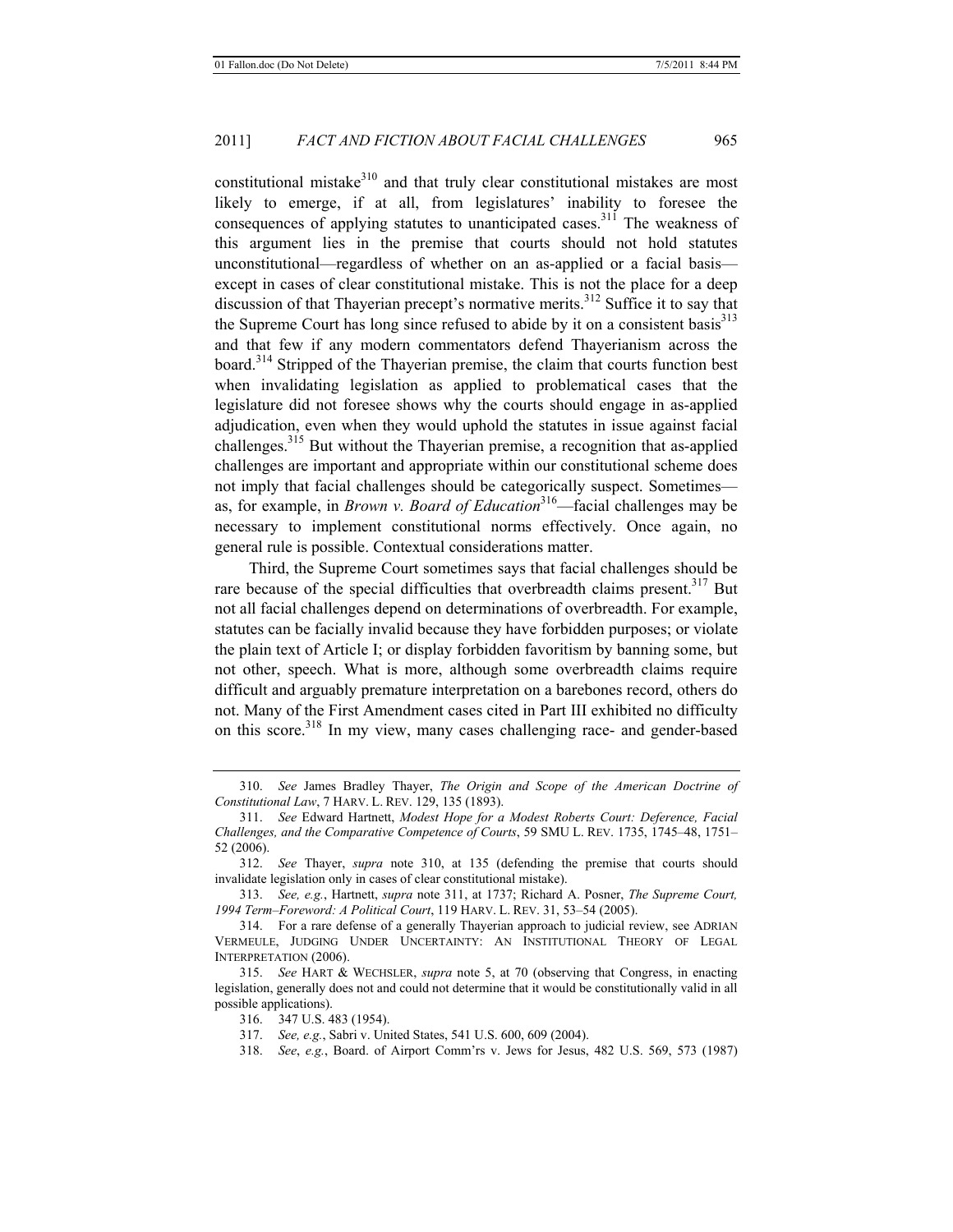constitutional mistake<sup>310</sup> and that truly clear constitutional mistakes are most likely to emerge, if at all, from legislatures' inability to foresee the consequences of applying statutes to unanticipated cases.<sup>311</sup> The weakness of this argument lies in the premise that courts should not hold statutes unconstitutional—regardless of whether on an as-applied or a facial basis except in cases of clear constitutional mistake. This is not the place for a deep discussion of that Thayerian precept's normative merits.<sup>312</sup> Suffice it to say that the Supreme Court has long since refused to abide by it on a consistent basis<sup>313</sup> and that few if any modern commentators defend Thayerianism across the board.<sup>314</sup> Stripped of the Thayerian premise, the claim that courts function best when invalidating legislation as applied to problematical cases that the legislature did not foresee shows why the courts should engage in as-applied adjudication, even when they would uphold the statutes in issue against facial challenges.315 But without the Thayerian premise, a recognition that as-applied challenges are important and appropriate within our constitutional scheme does not imply that facial challenges should be categorically suspect. Sometimes as, for example, in *Brown v. Board of Education*<sup>316</sup>—facial challenges may be necessary to implement constitutional norms effectively. Once again, no general rule is possible. Contextual considerations matter.

Third, the Supreme Court sometimes says that facial challenges should be rare because of the special difficulties that overbreadth claims present.<sup>317</sup> But not all facial challenges depend on determinations of overbreadth. For example, statutes can be facially invalid because they have forbidden purposes; or violate the plain text of Article I; or display forbidden favoritism by banning some, but not other, speech. What is more, although some overbreadth claims require difficult and arguably premature interpretation on a barebones record, others do not. Many of the First Amendment cases cited in Part III exhibited no difficulty on this score.318 In my view, many cases challenging race- and gender-based

<sup>310.</sup> *See* James Bradley Thayer, *The Origin and Scope of the American Doctrine of Constitutional Law*, 7 HARV. L. REV. 129, 135 (1893).

<sup>311.</sup> *See* Edward Hartnett, *Modest Hope for a Modest Roberts Court: Deference, Facial Challenges, and the Comparative Competence of Courts*, 59 SMU L. REV. 1735, 1745–48, 1751– 52 (2006).

<sup>312.</sup> *See* Thayer, *supra* note 310, at 135 (defending the premise that courts should invalidate legislation only in cases of clear constitutional mistake).

<sup>313.</sup> *See, e.g.*, Hartnett, *supra* note 311, at 1737; Richard A. Posner, *The Supreme Court, 1994 Term–Foreword: A Political Court*, 119 HARV. L. REV. 31, 53–54 (2005).

<sup>314.</sup> For a rare defense of a generally Thayerian approach to judicial review, see ADRIAN VERMEULE, JUDGING UNDER UNCERTAINTY: AN INSTITUTIONAL THEORY OF LEGAL INTERPRETATION (2006).

<sup>315.</sup> *See* HART & WECHSLER, *supra* note 5, at 70 (observing that Congress, in enacting legislation, generally does not and could not determine that it would be constitutionally valid in all possible applications).

<sup>316. 347</sup> U.S. 483 (1954).

<sup>317.</sup> *See, e.g.*, Sabri v. United States, 541 U.S. 600, 609 (2004).

<sup>318.</sup> *See*, *e.g.*, Board. of Airport Comm'rs v. Jews for Jesus, 482 U.S. 569, 573 (1987)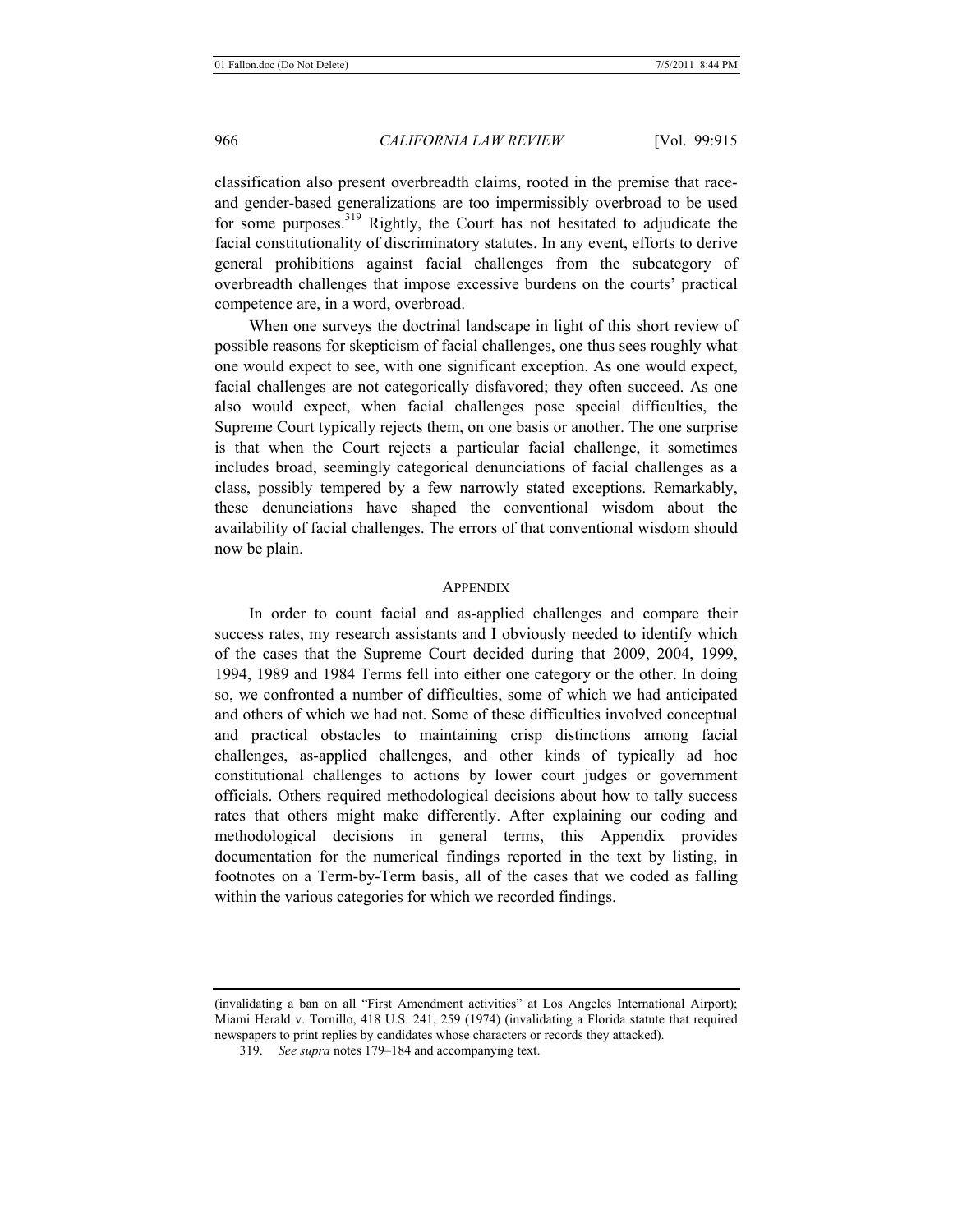classification also present overbreadth claims, rooted in the premise that raceand gender-based generalizations are too impermissibly overbroad to be used for some purposes.<sup>319</sup> Rightly, the Court has not hesitated to adjudicate the facial constitutionality of discriminatory statutes. In any event, efforts to derive general prohibitions against facial challenges from the subcategory of overbreadth challenges that impose excessive burdens on the courts' practical competence are, in a word, overbroad.

When one surveys the doctrinal landscape in light of this short review of possible reasons for skepticism of facial challenges, one thus sees roughly what one would expect to see, with one significant exception. As one would expect, facial challenges are not categorically disfavored; they often succeed. As one also would expect, when facial challenges pose special difficulties, the Supreme Court typically rejects them, on one basis or another. The one surprise is that when the Court rejects a particular facial challenge, it sometimes includes broad, seemingly categorical denunciations of facial challenges as a class, possibly tempered by a few narrowly stated exceptions. Remarkably, these denunciations have shaped the conventional wisdom about the availability of facial challenges. The errors of that conventional wisdom should now be plain.

#### **APPENDIX**

In order to count facial and as-applied challenges and compare their success rates, my research assistants and I obviously needed to identify which of the cases that the Supreme Court decided during that 2009, 2004, 1999, 1994, 1989 and 1984 Terms fell into either one category or the other. In doing so, we confronted a number of difficulties, some of which we had anticipated and others of which we had not. Some of these difficulties involved conceptual and practical obstacles to maintaining crisp distinctions among facial challenges, as-applied challenges, and other kinds of typically ad hoc constitutional challenges to actions by lower court judges or government officials. Others required methodological decisions about how to tally success rates that others might make differently. After explaining our coding and methodological decisions in general terms, this Appendix provides documentation for the numerical findings reported in the text by listing, in footnotes on a Term-by-Term basis, all of the cases that we coded as falling within the various categories for which we recorded findings.

<sup>(</sup>invalidating a ban on all "First Amendment activities" at Los Angeles International Airport); Miami Herald v. Tornillo, 418 U.S. 241, 259 (1974) (invalidating a Florida statute that required newspapers to print replies by candidates whose characters or records they attacked).

<sup>319.</sup> *See supra* notes 179–184 and accompanying text.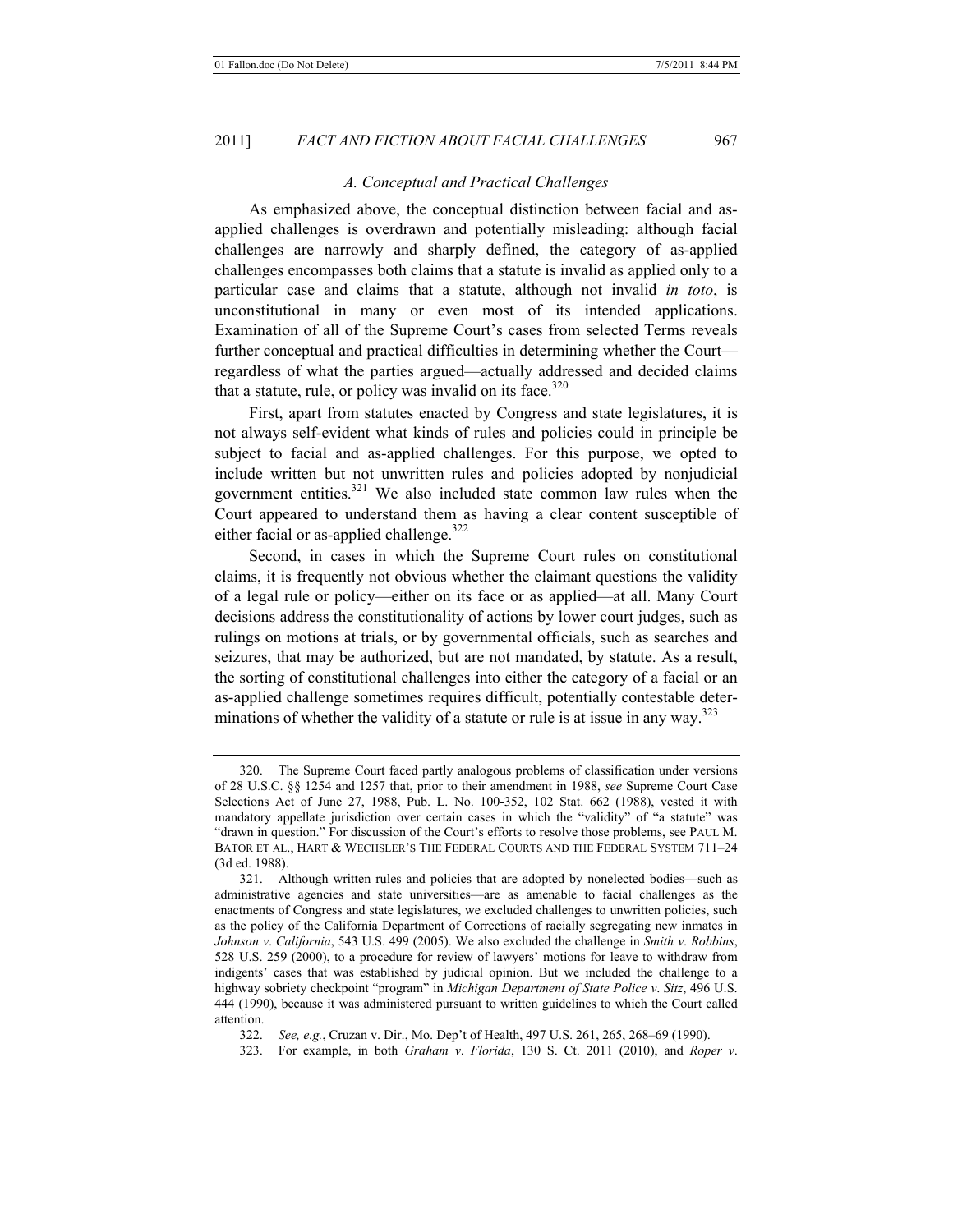#### *A. Conceptual and Practical Challenges*

As emphasized above, the conceptual distinction between facial and asapplied challenges is overdrawn and potentially misleading: although facial challenges are narrowly and sharply defined, the category of as-applied challenges encompasses both claims that a statute is invalid as applied only to a particular case and claims that a statute, although not invalid *in toto*, is unconstitutional in many or even most of its intended applications. Examination of all of the Supreme Court's cases from selected Terms reveals further conceptual and practical difficulties in determining whether the Court regardless of what the parties argued—actually addressed and decided claims that a statute, rule, or policy was invalid on its face. $320$ 

First, apart from statutes enacted by Congress and state legislatures, it is not always self-evident what kinds of rules and policies could in principle be subject to facial and as-applied challenges. For this purpose, we opted to include written but not unwritten rules and policies adopted by nonjudicial government entities.321 We also included state common law rules when the Court appeared to understand them as having a clear content susceptible of either facial or as-applied challenge. $322$ 

Second, in cases in which the Supreme Court rules on constitutional claims, it is frequently not obvious whether the claimant questions the validity of a legal rule or policy—either on its face or as applied—at all. Many Court decisions address the constitutionality of actions by lower court judges, such as rulings on motions at trials, or by governmental officials, such as searches and seizures, that may be authorized, but are not mandated, by statute. As a result, the sorting of constitutional challenges into either the category of a facial or an as-applied challenge sometimes requires difficult, potentially contestable determinations of whether the validity of a statute or rule is at issue in any way.<sup>323</sup>

322. *See, e.g.*, Cruzan v. Dir., Mo. Dep't of Health, 497 U.S. 261, 265, 268–69 (1990).

<sup>320.</sup> The Supreme Court faced partly analogous problems of classification under versions of 28 U.S.C. §§ 1254 and 1257 that, prior to their amendment in 1988, *see* Supreme Court Case Selections Act of June 27, 1988, Pub. L. No. 100-352, 102 Stat. 662 (1988), vested it with mandatory appellate jurisdiction over certain cases in which the "validity" of "a statute" was "drawn in question." For discussion of the Court's efforts to resolve those problems, see PAUL M. BATOR ET AL., HART & WECHSLER'S THE FEDERAL COURTS AND THE FEDERAL SYSTEM 711–24 (3d ed. 1988).

<sup>321.</sup> Although written rules and policies that are adopted by nonelected bodies—such as administrative agencies and state universities—are as amenable to facial challenges as the enactments of Congress and state legislatures, we excluded challenges to unwritten policies, such as the policy of the California Department of Corrections of racially segregating new inmates in *Johnson v*. *California*, 543 U.S. 499 (2005). We also excluded the challenge in *Smith v*. *Robbins*, 528 U.S. 259 (2000), to a procedure for review of lawyers' motions for leave to withdraw from indigents' cases that was established by judicial opinion. But we included the challenge to a highway sobriety checkpoint "program" in *Michigan Department of State Police v*. *Sitz*, 496 U.S. 444 (1990), because it was administered pursuant to written guidelines to which the Court called attention.

<sup>323.</sup> For example, in both *Graham v*. *Florida*, 130 S. Ct. 2011 (2010), and *Roper v*.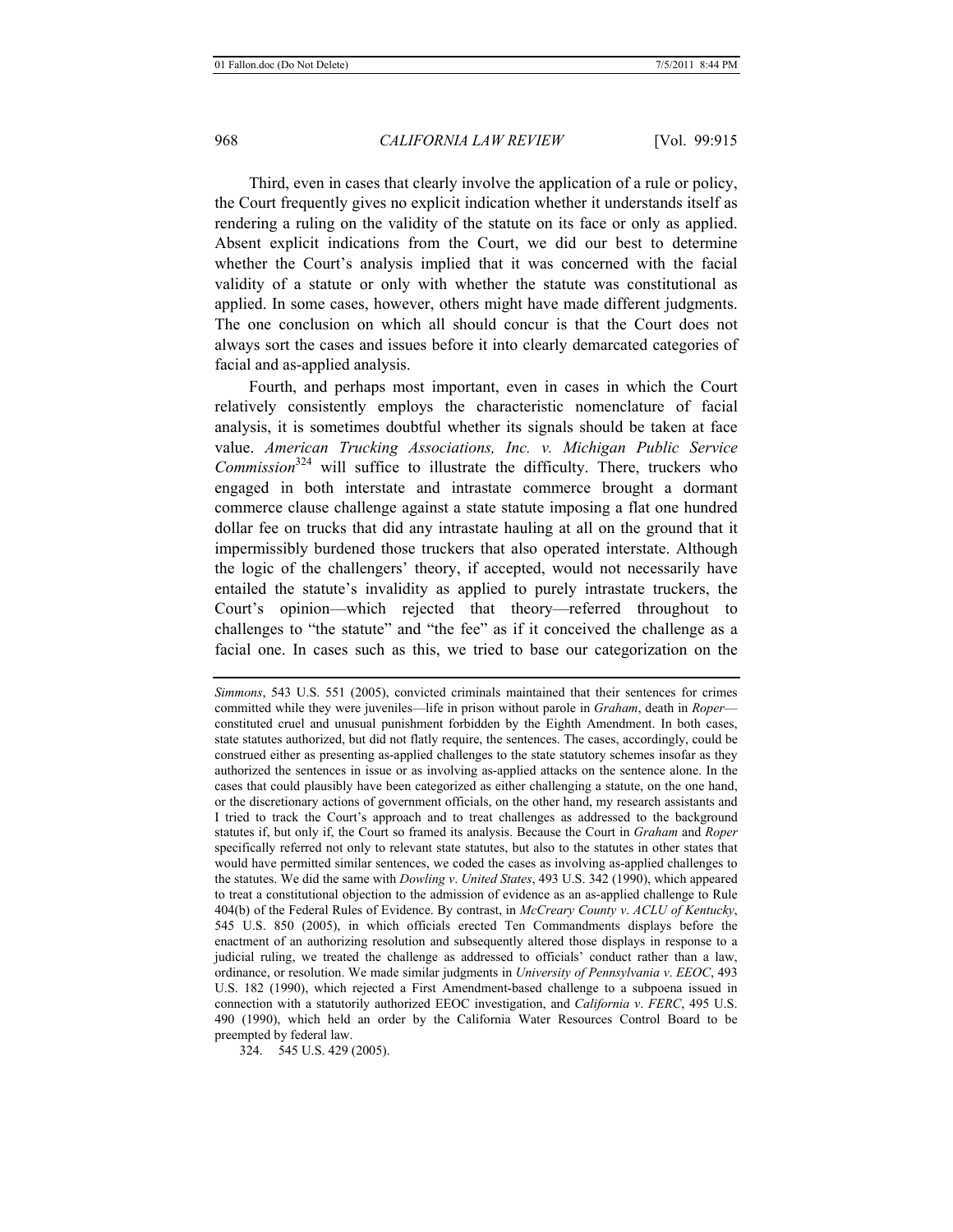Third, even in cases that clearly involve the application of a rule or policy, the Court frequently gives no explicit indication whether it understands itself as rendering a ruling on the validity of the statute on its face or only as applied. Absent explicit indications from the Court, we did our best to determine whether the Court's analysis implied that it was concerned with the facial validity of a statute or only with whether the statute was constitutional as applied. In some cases, however, others might have made different judgments. The one conclusion on which all should concur is that the Court does not always sort the cases and issues before it into clearly demarcated categories of facial and as-applied analysis.

Fourth, and perhaps most important, even in cases in which the Court relatively consistently employs the characteristic nomenclature of facial analysis, it is sometimes doubtful whether its signals should be taken at face value. *American Trucking Associations, Inc. v. Michigan Public Service Commission*<sup>324</sup> will suffice to illustrate the difficulty. There, truckers who engaged in both interstate and intrastate commerce brought a dormant commerce clause challenge against a state statute imposing a flat one hundred dollar fee on trucks that did any intrastate hauling at all on the ground that it impermissibly burdened those truckers that also operated interstate. Although the logic of the challengers' theory, if accepted, would not necessarily have entailed the statute's invalidity as applied to purely intrastate truckers, the Court's opinion—which rejected that theory—referred throughout to challenges to "the statute" and "the fee" as if it conceived the challenge as a facial one. In cases such as this, we tried to base our categorization on the

*Simmons*, 543 U.S. 551 (2005), convicted criminals maintained that their sentences for crimes committed while they were juveniles—life in prison without parole in *Graham*, death in *Roper* constituted cruel and unusual punishment forbidden by the Eighth Amendment. In both cases, state statutes authorized, but did not flatly require, the sentences. The cases, accordingly, could be construed either as presenting as-applied challenges to the state statutory schemes insofar as they authorized the sentences in issue or as involving as-applied attacks on the sentence alone. In the cases that could plausibly have been categorized as either challenging a statute, on the one hand, or the discretionary actions of government officials, on the other hand, my research assistants and I tried to track the Court's approach and to treat challenges as addressed to the background statutes if, but only if, the Court so framed its analysis. Because the Court in *Graham* and *Roper*  specifically referred not only to relevant state statutes, but also to the statutes in other states that would have permitted similar sentences, we coded the cases as involving as-applied challenges to the statutes. We did the same with *Dowling v*. *United States*, 493 U.S. 342 (1990), which appeared to treat a constitutional objection to the admission of evidence as an as-applied challenge to Rule 404(b) of the Federal Rules of Evidence. By contrast, in *McCreary County v*. *ACLU of Kentucky*, 545 U.S. 850 (2005), in which officials erected Ten Commandments displays before the enactment of an authorizing resolution and subsequently altered those displays in response to a judicial ruling, we treated the challenge as addressed to officials' conduct rather than a law, ordinance, or resolution. We made similar judgments in *University of Pennsylvania v*. *EEOC*, 493 U.S. 182 (1990), which rejected a First Amendment-based challenge to a subpoena issued in connection with a statutorily authorized EEOC investigation, and *California v*. *FERC*, 495 U.S. 490 (1990), which held an order by the California Water Resources Control Board to be preempted by federal law.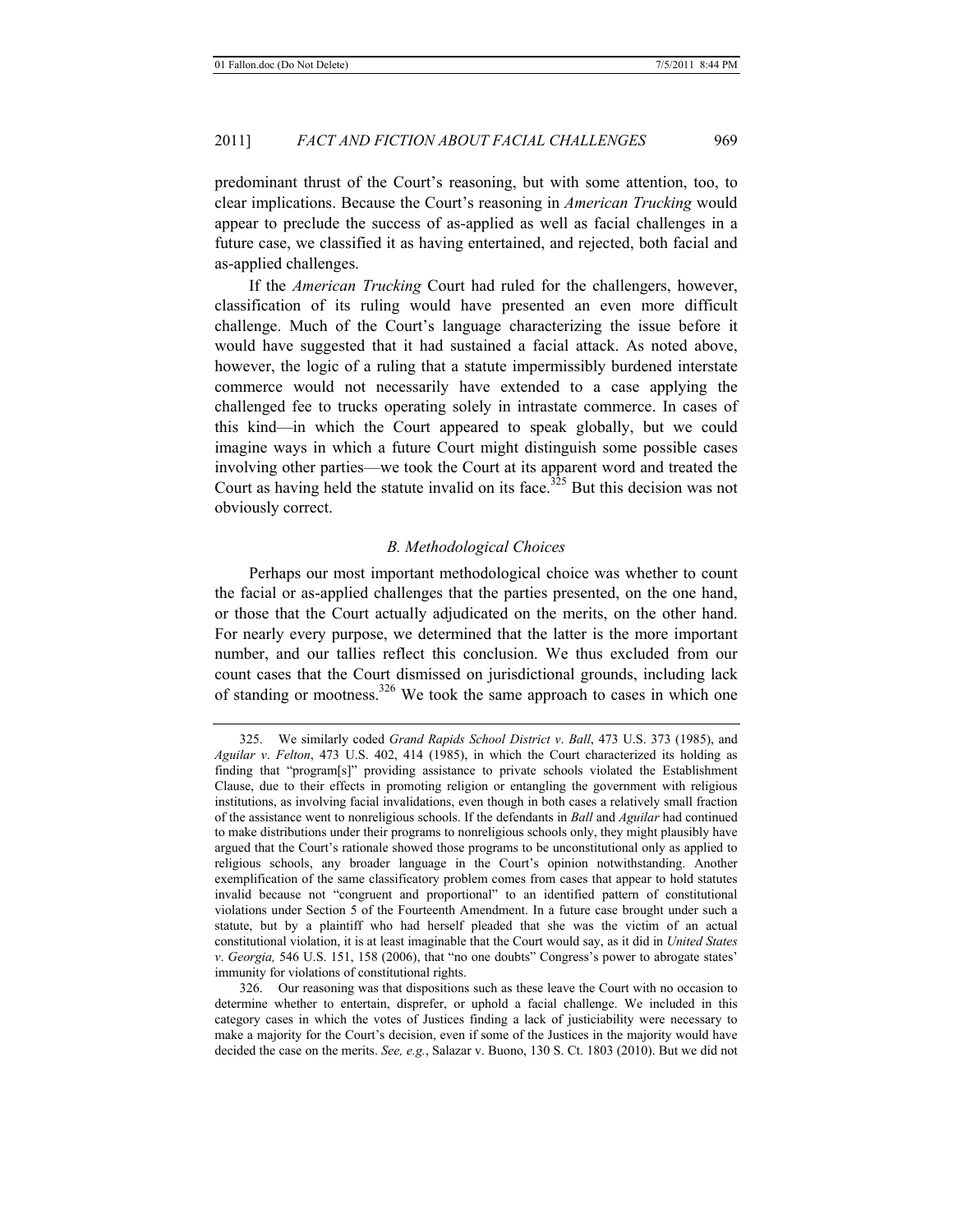predominant thrust of the Court's reasoning, but with some attention, too, to clear implications. Because the Court's reasoning in *American Trucking* would appear to preclude the success of as-applied as well as facial challenges in a future case, we classified it as having entertained, and rejected, both facial and as-applied challenges.

If the *American Trucking* Court had ruled for the challengers, however, classification of its ruling would have presented an even more difficult challenge. Much of the Court's language characterizing the issue before it would have suggested that it had sustained a facial attack. As noted above, however, the logic of a ruling that a statute impermissibly burdened interstate commerce would not necessarily have extended to a case applying the challenged fee to trucks operating solely in intrastate commerce. In cases of this kind—in which the Court appeared to speak globally, but we could imagine ways in which a future Court might distinguish some possible cases involving other parties—we took the Court at its apparent word and treated the Court as having held the statute invalid on its face.<sup>325</sup> But this decision was not obviously correct.

# *B. Methodological Choices*

Perhaps our most important methodological choice was whether to count the facial or as-applied challenges that the parties presented, on the one hand, or those that the Court actually adjudicated on the merits, on the other hand. For nearly every purpose, we determined that the latter is the more important number, and our tallies reflect this conclusion. We thus excluded from our count cases that the Court dismissed on jurisdictional grounds, including lack of standing or mootness.<sup>326</sup> We took the same approach to cases in which one

<sup>325.</sup> We similarly coded *Grand Rapids School District v*. *Ball*, 473 U.S. 373 (1985), and *Aguilar v*. *Felton*, 473 U.S. 402, 414 (1985), in which the Court characterized its holding as finding that "program[s]" providing assistance to private schools violated the Establishment Clause, due to their effects in promoting religion or entangling the government with religious institutions, as involving facial invalidations, even though in both cases a relatively small fraction of the assistance went to nonreligious schools. If the defendants in *Ball* and *Aguilar* had continued to make distributions under their programs to nonreligious schools only, they might plausibly have argued that the Court's rationale showed those programs to be unconstitutional only as applied to religious schools, any broader language in the Court's opinion notwithstanding. Another exemplification of the same classificatory problem comes from cases that appear to hold statutes invalid because not "congruent and proportional" to an identified pattern of constitutional violations under Section 5 of the Fourteenth Amendment. In a future case brought under such a statute, but by a plaintiff who had herself pleaded that she was the victim of an actual constitutional violation, it is at least imaginable that the Court would say, as it did in *United States v*. *Georgia,* 546 U.S. 151, 158 (2006), that "no one doubts" Congress's power to abrogate states' immunity for violations of constitutional rights.

<sup>326.</sup> Our reasoning was that dispositions such as these leave the Court with no occasion to determine whether to entertain, disprefer, or uphold a facial challenge. We included in this category cases in which the votes of Justices finding a lack of justiciability were necessary to make a majority for the Court's decision, even if some of the Justices in the majority would have decided the case on the merits. *See, e.g.*, Salazar v. Buono, 130 S. Ct. 1803 (2010). But we did not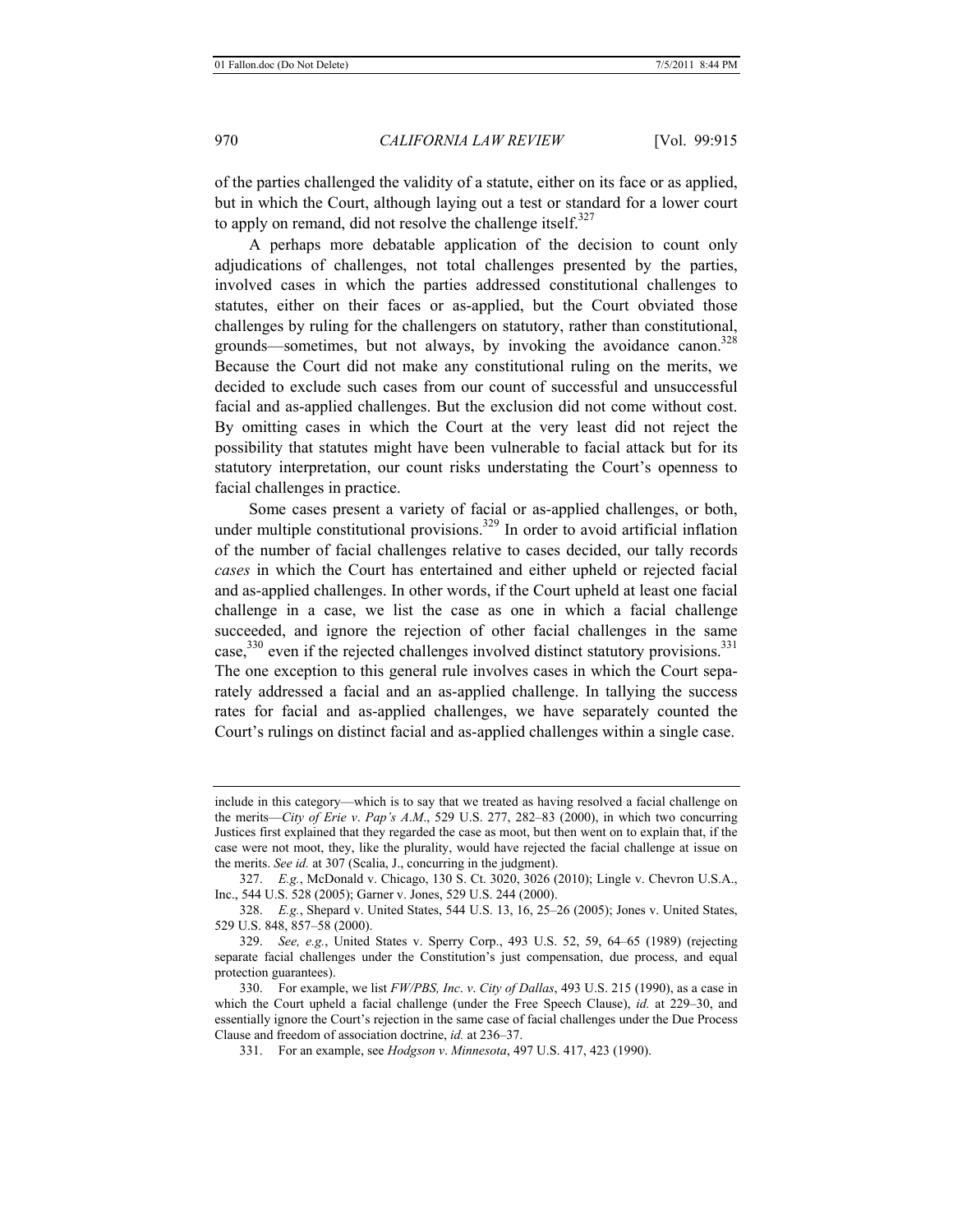of the parties challenged the validity of a statute, either on its face or as applied, but in which the Court, although laying out a test or standard for a lower court to apply on remand, did not resolve the challenge itself. $327$ 

A perhaps more debatable application of the decision to count only adjudications of challenges, not total challenges presented by the parties, involved cases in which the parties addressed constitutional challenges to statutes, either on their faces or as-applied, but the Court obviated those challenges by ruling for the challengers on statutory, rather than constitutional, grounds—sometimes, but not always, by invoking the avoidance canon.<sup>328</sup> Because the Court did not make any constitutional ruling on the merits, we decided to exclude such cases from our count of successful and unsuccessful facial and as-applied challenges. But the exclusion did not come without cost. By omitting cases in which the Court at the very least did not reject the possibility that statutes might have been vulnerable to facial attack but for its statutory interpretation, our count risks understating the Court's openness to facial challenges in practice.

Some cases present a variety of facial or as-applied challenges, or both, under multiple constitutional provisions.<sup>329</sup> In order to avoid artificial inflation of the number of facial challenges relative to cases decided, our tally records *cases* in which the Court has entertained and either upheld or rejected facial and as-applied challenges. In other words, if the Court upheld at least one facial challenge in a case, we list the case as one in which a facial challenge succeeded, and ignore the rejection of other facial challenges in the same case,  $330$  even if the rejected challenges involved distinct statutory provisions.  $331$ The one exception to this general rule involves cases in which the Court separately addressed a facial and an as-applied challenge. In tallying the success rates for facial and as-applied challenges, we have separately counted the Court's rulings on distinct facial and as-applied challenges within a single case.

include in this category—which is to say that we treated as having resolved a facial challenge on the merits—*City of Erie v*. *Pap's A*.*M*., 529 U.S. 277, 282–83 (2000), in which two concurring Justices first explained that they regarded the case as moot, but then went on to explain that, if the case were not moot, they, like the plurality, would have rejected the facial challenge at issue on the merits. *See id.* at 307 (Scalia, J., concurring in the judgment).

<sup>327.</sup> *E.g.*, McDonald v. Chicago, 130 S. Ct. 3020, 3026 (2010); Lingle v. Chevron U.S.A., Inc., 544 U.S. 528 (2005); Garner v. Jones, 529 U.S. 244 (2000).

<sup>328.</sup> *E.g.*, Shepard v. United States, 544 U.S. 13, 16, 25–26 (2005); Jones v. United States, 529 U.S. 848, 857–58 (2000).

<sup>329.</sup> *See, e.g.*, United States v. Sperry Corp., 493 U.S. 52, 59, 64–65 (1989) (rejecting separate facial challenges under the Constitution's just compensation, due process, and equal protection guarantees).

<sup>330.</sup> For example, we list *FW/PBS, Inc*. *v*. *City of Dallas*, 493 U.S. 215 (1990), as a case in which the Court upheld a facial challenge (under the Free Speech Clause), *id.* at 229–30, and essentially ignore the Court's rejection in the same case of facial challenges under the Due Process Clause and freedom of association doctrine, *id.* at 236–37.

<sup>331.</sup> For an example, see *Hodgson v*. *Minnesota*, 497 U.S. 417, 423 (1990).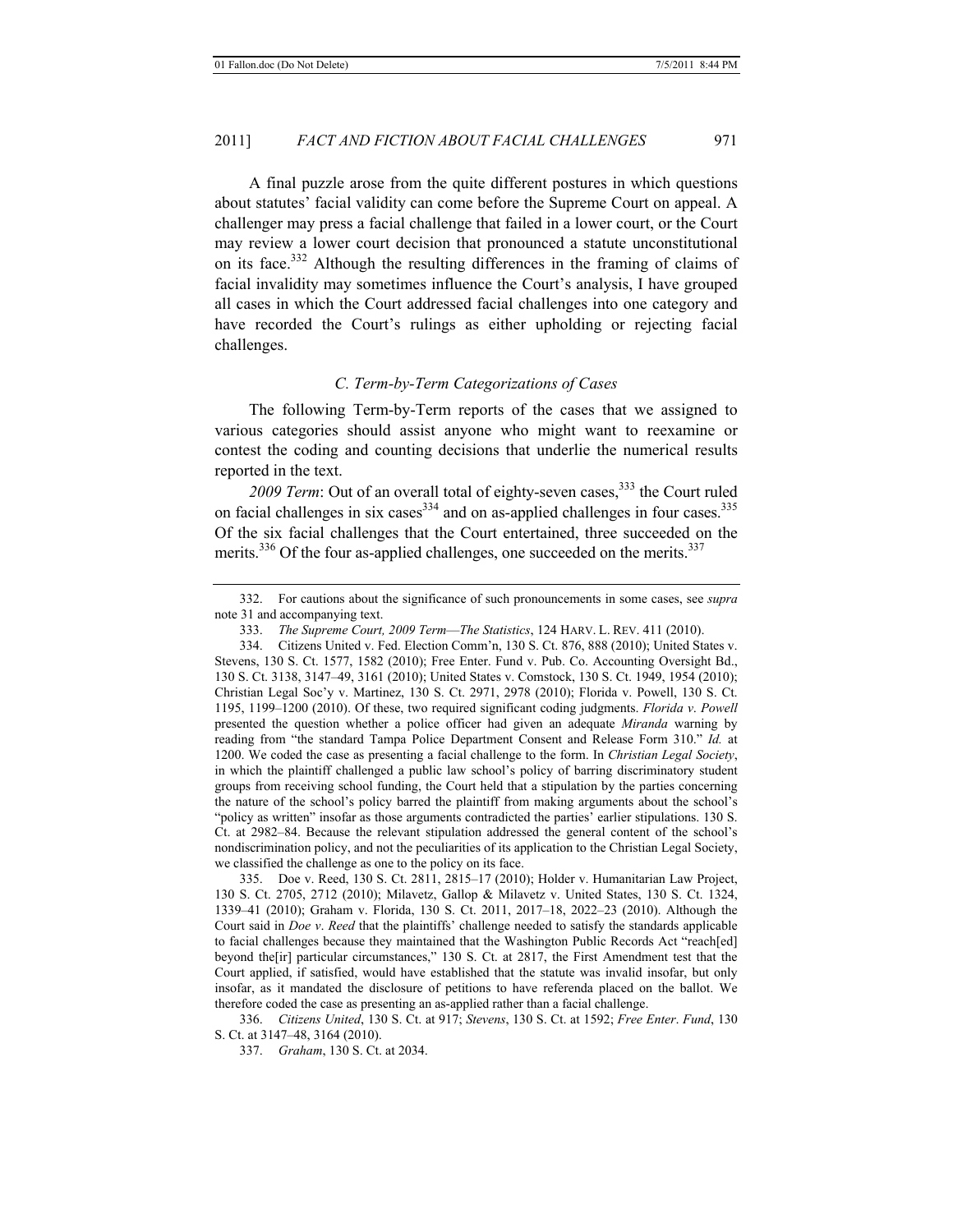A final puzzle arose from the quite different postures in which questions about statutes' facial validity can come before the Supreme Court on appeal. A challenger may press a facial challenge that failed in a lower court, or the Court may review a lower court decision that pronounced a statute unconstitutional on its face.332 Although the resulting differences in the framing of claims of facial invalidity may sometimes influence the Court's analysis, I have grouped all cases in which the Court addressed facial challenges into one category and have recorded the Court's rulings as either upholding or rejecting facial challenges.

# *C. Term-by-Term Categorizations of Cases*

The following Term-by-Term reports of the cases that we assigned to various categories should assist anyone who might want to reexamine or contest the coding and counting decisions that underlie the numerical results reported in the text.

2009 Term: Out of an overall total of eighty-seven cases,<sup>333</sup> the Court ruled on facial challenges in six cases<sup>334</sup> and on as-applied challenges in four cases.<sup>335</sup> Of the six facial challenges that the Court entertained, three succeeded on the merits.<sup>336</sup> Of the four as-applied challenges, one succeeded on the merits.<sup>337</sup>

334. Citizens United v. Fed. Election Comm'n, 130 S. Ct. 876, 888 (2010); United States v. Stevens, 130 S. Ct. 1577, 1582 (2010); Free Enter. Fund v. Pub. Co. Accounting Oversight Bd., 130 S. Ct. 3138, 3147–49, 3161 (2010); United States v. Comstock, 130 S. Ct. 1949, 1954 (2010); Christian Legal Soc'y v. Martinez, 130 S. Ct. 2971, 2978 (2010); Florida v. Powell, 130 S. Ct. 1195, 1199–1200 (2010). Of these, two required significant coding judgments. *Florida v*. *Powell* presented the question whether a police officer had given an adequate *Miranda* warning by reading from "the standard Tampa Police Department Consent and Release Form 310." *Id.* at 1200. We coded the case as presenting a facial challenge to the form. In *Christian Legal Society*, in which the plaintiff challenged a public law school's policy of barring discriminatory student groups from receiving school funding, the Court held that a stipulation by the parties concerning the nature of the school's policy barred the plaintiff from making arguments about the school's "policy as written" insofar as those arguments contradicted the parties' earlier stipulations. 130 S. Ct. at 2982–84. Because the relevant stipulation addressed the general content of the school's nondiscrimination policy, and not the peculiarities of its application to the Christian Legal Society, we classified the challenge as one to the policy on its face.

335. Doe v. Reed, 130 S. Ct. 2811, 2815–17 (2010); Holder v. Humanitarian Law Project, 130 S. Ct. 2705, 2712 (2010); Milavetz, Gallop & Milavetz v. United States, 130 S. Ct. 1324, 1339–41 (2010); Graham v. Florida, 130 S. Ct. 2011, 2017–18, 2022–23 (2010). Although the Court said in *Doe v*. *Reed* that the plaintiffs' challenge needed to satisfy the standards applicable to facial challenges because they maintained that the Washington Public Records Act "reach[ed] beyond the[ir] particular circumstances," 130 S. Ct. at 2817, the First Amendment test that the Court applied, if satisfied, would have established that the statute was invalid insofar, but only insofar, as it mandated the disclosure of petitions to have referenda placed on the ballot. We therefore coded the case as presenting an as-applied rather than a facial challenge.

336. *Citizens United*, 130 S. Ct. at 917; *Stevens*, 130 S. Ct. at 1592; *Free Enter*. *Fund*, 130 S. Ct. at 3147–48, 3164 (2010).

337. *Graham*, 130 S. Ct. at 2034.

<sup>332.</sup> For cautions about the significance of such pronouncements in some cases, see *supra* note 31 and accompanying text.

<sup>333.</sup> *The Supreme Court, 2009 Term*—*The Statistics*, 124 HARV. L. REV. 411 (2010).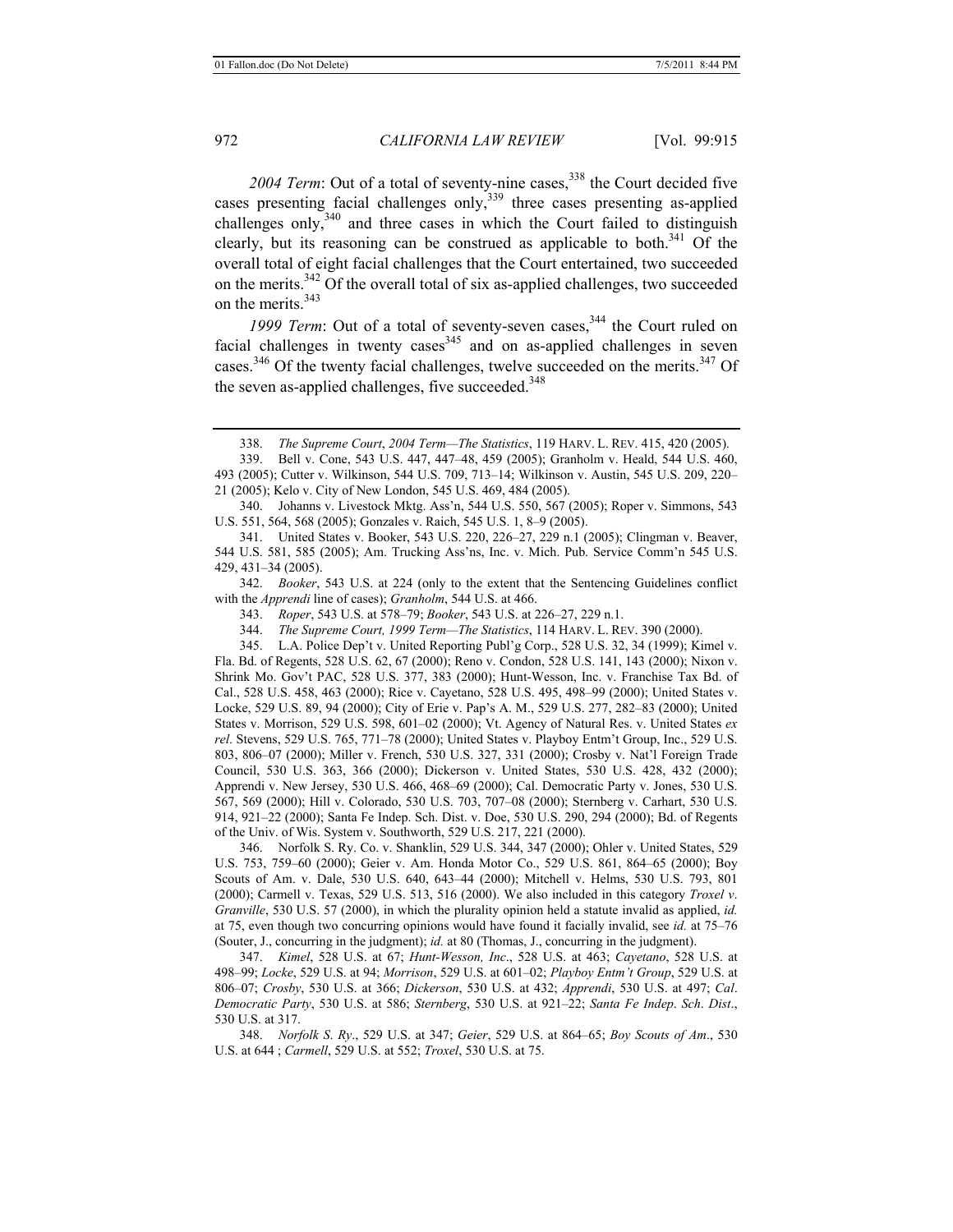2004 Term: Out of a total of seventy-nine cases,<sup>338</sup> the Court decided five cases presenting facial challenges only,<sup>339</sup> three cases presenting as-applied challenges only, $340$  and three cases in which the Court failed to distinguish clearly, but its reasoning can be construed as applicable to both. $341$  Of the overall total of eight facial challenges that the Court entertained, two succeeded on the merits.342 Of the overall total of six as-applied challenges, two succeeded on the merits.<sup>343</sup>

1999 Term: Out of a total of seventy-seven cases,<sup>344</sup> the Court ruled on facial challenges in twenty cases  $345$  and on as-applied challenges in seven cases.<sup>346</sup> Of the twenty facial challenges, twelve succeeded on the merits.<sup>347</sup> Of the seven as-applied challenges, five succeeded.<sup>348</sup>

340. Johanns v. Livestock Mktg. Ass'n, 544 U.S. 550, 567 (2005); Roper v. Simmons, 543 U.S. 551, 564, 568 (2005); Gonzales v. Raich, 545 U.S. 1, 8–9 (2005).

341. United States v. Booker, 543 U.S. 220, 226–27, 229 n.1 (2005); Clingman v. Beaver, 544 U.S. 581, 585 (2005); Am. Trucking Ass'ns, Inc. v. Mich. Pub. Service Comm'n 545 U.S. 429, 431–34 (2005).

342. *Booker*, 543 U.S. at 224 (only to the extent that the Sentencing Guidelines conflict with the *Apprendi* line of cases); *Granholm*, 544 U.S. at 466.

343. *Roper*, 543 U.S. at 578–79; *Booker*, 543 U.S. at 226–27, 229 n.1.

344. *The Supreme Court, 1999 Term—The Statistics*, 114 HARV. L. REV. 390 (2000).

345. L.A. Police Dep't v. United Reporting Publ'g Corp., 528 U.S. 32, 34 (1999); Kimel v. Fla. Bd. of Regents, 528 U.S. 62, 67 (2000); Reno v. Condon, 528 U.S. 141, 143 (2000); Nixon v. Shrink Mo. Gov't PAC, 528 U.S. 377, 383 (2000); Hunt-Wesson, Inc. v. Franchise Tax Bd. of Cal., 528 U.S. 458, 463 (2000); Rice v. Cayetano, 528 U.S. 495, 498–99 (2000); United States v. Locke, 529 U.S. 89, 94 (2000); City of Erie v. Pap's A. M., 529 U.S. 277, 282–83 (2000); United States v. Morrison, 529 U.S. 598, 601–02 (2000); Vt. Agency of Natural Res. v. United States *ex rel*. Stevens, 529 U.S. 765, 771–78 (2000); United States v. Playboy Entm't Group, Inc., 529 U.S. 803, 806–07 (2000); Miller v. French, 530 U.S. 327, 331 (2000); Crosby v. Nat'l Foreign Trade Council, 530 U.S. 363, 366 (2000); Dickerson v. United States, 530 U.S. 428, 432 (2000); Apprendi v. New Jersey, 530 U.S. 466, 468–69 (2000); Cal. Democratic Party v. Jones, 530 U.S. 567, 569 (2000); Hill v. Colorado, 530 U.S. 703, 707–08 (2000); Sternberg v. Carhart, 530 U.S. 914, 921–22 (2000); Santa Fe Indep. Sch. Dist. v. Doe, 530 U.S. 290, 294 (2000); Bd. of Regents of the Univ. of Wis. System v. Southworth, 529 U.S. 217, 221 (2000).

346. Norfolk S. Ry. Co. v. Shanklin, 529 U.S. 344, 347 (2000); Ohler v. United States, 529 U.S. 753, 759–60 (2000); Geier v. Am. Honda Motor Co., 529 U.S. 861, 864–65 (2000); Boy Scouts of Am. v. Dale, 530 U.S. 640, 643–44 (2000); Mitchell v. Helms, 530 U.S. 793, 801 (2000); Carmell v. Texas, 529 U.S. 513, 516 (2000). We also included in this category *Troxel v*. *Granville*, 530 U.S. 57 (2000), in which the plurality opinion held a statute invalid as applied, *id.* at 75, even though two concurring opinions would have found it facially invalid, see *id.* at 75–76 (Souter, J., concurring in the judgment); *id.* at 80 (Thomas, J., concurring in the judgment).

347. *Kimel*, 528 U.S. at 67; *Hunt-Wesson, Inc*., 528 U.S. at 463; *Cayetano*, 528 U.S. at 498–99; *Locke*, 529 U.S. at 94; *Morrison*, 529 U.S. at 601–02; *Playboy Entm't Group*, 529 U.S. at 806–07; *Crosby*, 530 U.S. at 366; *Dickerson*, 530 U.S. at 432; *Apprendi*, 530 U.S. at 497; *Cal*. *Democratic Party*, 530 U.S. at 586; *Sternberg*, 530 U.S. at 921–22; *Santa Fe Indep*. *Sch*. *Dist*., 530 U.S. at 317.

348. *Norfolk S*. *Ry*., 529 U.S. at 347; *Geier*, 529 U.S. at 864–65; *Boy Scouts of Am*., 530 U.S. at 644 ; *Carmell*, 529 U.S. at 552; *Troxel*, 530 U.S. at 75.

<sup>338.</sup> *The Supreme Court*, *2004 Term—The Statistics*, 119 HARV. L. REV. 415, 420 (2005).

<sup>339.</sup> Bell v. Cone, 543 U.S. 447, 447–48, 459 (2005); Granholm v. Heald, 544 U.S. 460, 493 (2005); Cutter v. Wilkinson, 544 U.S. 709, 713–14; Wilkinson v. Austin, 545 U.S. 209, 220– 21 (2005); Kelo v. City of New London, 545 U.S. 469, 484 (2005).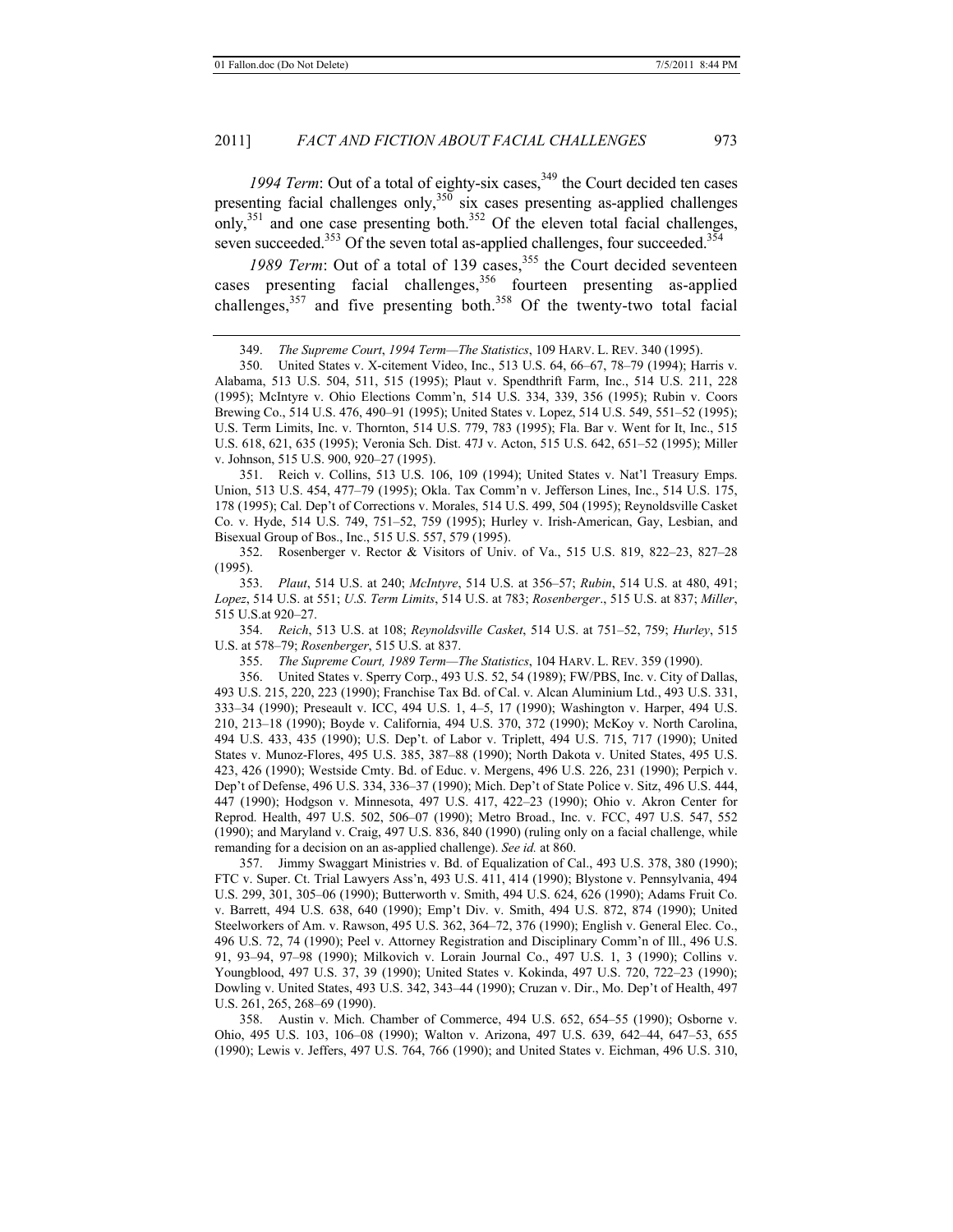1994 Term: Out of a total of eighty-six cases,  $349$  the Court decided ten cases presenting facial challenges only,  $350$  six cases presenting as-applied challenges only,  $351$  and one case presenting both.<sup>352</sup> Of the eleven total facial challenges, seven succeeded.<sup>353</sup> Of the seven total as-applied challenges, four succeeded.<sup>354</sup>

1989 Term: Out of a total of 139 cases,<sup>355</sup> the Court decided seventeen cases presenting facial challenges,<sup>356</sup> fourteen presenting as-applied challenges, $357$  and five presenting both. $358$  Of the twenty-two total facial

351. Reich v. Collins, 513 U.S. 106, 109 (1994); United States v. Nat'l Treasury Emps. Union, 513 U.S. 454, 477–79 (1995); Okla. Tax Comm'n v. Jefferson Lines, Inc., 514 U.S. 175, 178 (1995); Cal. Dep't of Corrections v. Morales, 514 U.S. 499, 504 (1995); Reynoldsville Casket Co. v. Hyde, 514 U.S. 749, 751–52, 759 (1995); Hurley v. Irish-American, Gay, Lesbian, and Bisexual Group of Bos., Inc., 515 U.S. 557, 579 (1995).

352. Rosenberger v. Rector & Visitors of Univ. of Va., 515 U.S. 819, 822–23, 827–28 (1995).

353. *Plaut*, 514 U.S. at 240; *McIntyre*, 514 U.S. at 356–57; *Rubin*, 514 U.S. at 480, 491; *Lopez*, 514 U.S. at 551; *U*.*S*. *Term Limits*, 514 U.S. at 783; *Rosenberger*., 515 U.S. at 837; *Miller*, 515 U.S.at 920–27.

354. *Reich*, 513 U.S. at 108; *Reynoldsville Casket*, 514 U.S. at 751–52, 759; *Hurley*, 515 U.S. at 578–79; *Rosenberger*, 515 U.S. at 837.

355. *The Supreme Court, 1989 Term—The Statistics*, 104 HARV. L. REV. 359 (1990).

356. United States v. Sperry Corp., 493 U.S. 52, 54 (1989); FW/PBS, Inc. v. City of Dallas, 493 U.S. 215, 220, 223 (1990); Franchise Tax Bd. of Cal. v. Alcan Aluminium Ltd., 493 U.S. 331, 333–34 (1990); Preseault v. ICC, 494 U.S. 1, 4–5, 17 (1990); Washington v. Harper, 494 U.S. 210, 213–18 (1990); Boyde v. California, 494 U.S. 370, 372 (1990); McKoy v. North Carolina, 494 U.S. 433, 435 (1990); U.S. Dep't. of Labor v. Triplett, 494 U.S. 715, 717 (1990); United States v. Munoz-Flores, 495 U.S. 385, 387–88 (1990); North Dakota v. United States, 495 U.S. 423, 426 (1990); Westside Cmty. Bd. of Educ. v. Mergens, 496 U.S. 226, 231 (1990); Perpich v. Dep't of Defense, 496 U.S. 334, 336–37 (1990); Mich. Dep't of State Police v. Sitz, 496 U.S. 444, 447 (1990); Hodgson v. Minnesota, 497 U.S. 417, 422–23 (1990); Ohio v. Akron Center for Reprod. Health, 497 U.S. 502, 506–07 (1990); Metro Broad., Inc. v. FCC, 497 U.S. 547, 552 (1990); and Maryland v. Craig, 497 U.S. 836, 840 (1990) (ruling only on a facial challenge, while remanding for a decision on an as-applied challenge). *See id.* at 860.

357. Jimmy Swaggart Ministries v. Bd. of Equalization of Cal., 493 U.S. 378, 380 (1990); FTC v. Super. Ct. Trial Lawyers Ass'n, 493 U.S. 411, 414 (1990); Blystone v. Pennsylvania, 494 U.S. 299, 301, 305–06 (1990); Butterworth v. Smith, 494 U.S. 624, 626 (1990); Adams Fruit Co. v. Barrett, 494 U.S. 638, 640 (1990); Emp't Div. v. Smith, 494 U.S. 872, 874 (1990); United Steelworkers of Am. v. Rawson, 495 U.S. 362, 364–72, 376 (1990); English v. General Elec. Co., 496 U.S. 72, 74 (1990); Peel v. Attorney Registration and Disciplinary Comm'n of Ill., 496 U.S. 91, 93–94, 97–98 (1990); Milkovich v. Lorain Journal Co., 497 U.S. 1, 3 (1990); Collins v. Youngblood, 497 U.S. 37, 39 (1990); United States v. Kokinda, 497 U.S. 720, 722–23 (1990); Dowling v. United States, 493 U.S. 342, 343–44 (1990); Cruzan v. Dir., Mo. Dep't of Health, 497 U.S. 261, 265, 268–69 (1990).

358. Austin v. Mich. Chamber of Commerce, 494 U.S. 652, 654–55 (1990); Osborne v. Ohio, 495 U.S. 103, 106–08 (1990); Walton v. Arizona, 497 U.S. 639, 642–44, 647–53, 655 (1990); Lewis v. Jeffers, 497 U.S. 764, 766 (1990); and United States v. Eichman, 496 U.S. 310,

<sup>349.</sup> *The Supreme Court*, *1994 Term—The Statistics*, 109 HARV. L. REV. 340 (1995).

<sup>350.</sup> United States v. X-citement Video, Inc., 513 U.S. 64, 66–67, 78–79 (1994); Harris v. Alabama, 513 U.S. 504, 511, 515 (1995); Plaut v. Spendthrift Farm, Inc., 514 U.S. 211, 228 (1995); McIntyre v. Ohio Elections Comm'n, 514 U.S. 334, 339, 356 (1995); Rubin v. Coors Brewing Co., 514 U.S. 476, 490–91 (1995); United States v. Lopez, 514 U.S. 549, 551–52 (1995); U.S. Term Limits, Inc. v. Thornton, 514 U.S. 779, 783 (1995); Fla. Bar v. Went for It, Inc., 515 U.S. 618, 621, 635 (1995); Veronia Sch. Dist. 47J v. Acton, 515 U.S. 642, 651–52 (1995); Miller v. Johnson, 515 U.S. 900, 920–27 (1995).